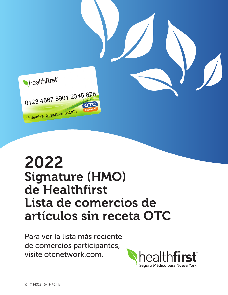

## 2022 Signature (HMO) de Healthfirst Lista de comercios de artículos sin receta OTC mature (HMO) graaare *ser*<br>Llaalthfirct **Healthfirst** .  $\blacksquare$ Card Services: 1-888-682-2400 or otcnetwork.com

Para ver la lista más reciente de comercios participantes, visite [otcnetwork.com.](http://otcnetwork.com) Para ver la lista mas reciente<br>.

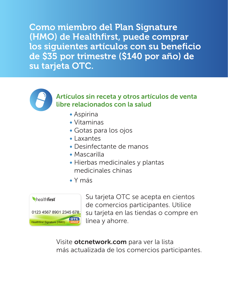Como miembro del Plan Signature (HMO) de Healthfirst, puede comprar los siguientes artículos con su beneficio de \$35 por trimestre (\$140 por año) de su tarjeta OTC.



Artículos sin receta y otros artículos de venta libre relacionados con la salud

- Aspirina
- Vitaminas
- Gotas para los ojos
- Laxantes
- Desinfectante de manos
- Mascarilla
- Hierbas medicinales y plantas medicinales chinas
- Y más



Su tarjeta OTC se acepta en cientos de comercios participantes. Utilice su tarjeta en las tiendas o compre en línea y ahorre.

Visite [otcnetwork.com](http://otcnetwork.com) para ver la lista más actualizada de los comercios participantes.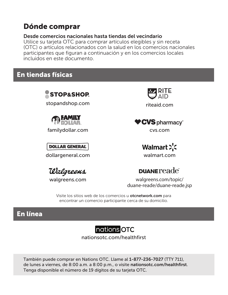## Dónde comprar

## Desde comercios nacionales hasta tiendas del vecindario

Utilice su tarjeta OTC para comprar artículos elegibles y sin receta (OTC) o artículos relacionados con la salud en los comercios nacionales participantes que figuran a continuación y en los comercios locales incluidos en este documento.

## En tiendas físicas



## nations OTC

[nationsotc.com/healthfirst](http://nationsotc.com/healthfirst)

También puede comprar en Nations OTC. Llame al 1-877-236-7027 (TTY 711), de lunes a viernes, de 8:00 a.m. a 8:00 p.m., o visite [nationsotc.com/healthfirst](http://nationsotc.com/healthfirst). Tenga disponible el número de 19 dígitos de su tarjeta OTC.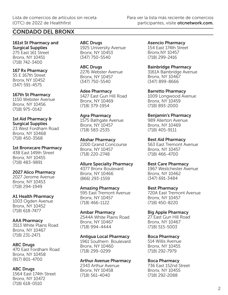## CONDADO DEL BRONX

161st St Pharmacy and Surgical Supplies 275 East 161 Street Bronx, NY 10451 (718) 742-3400

167 Rx Pharmacy 55 E 167th Street Bronx, NY 10452 (347) 591-4575

167th St Pharmacy 1150 Webster Avenue Bronx, NY 10456 (718) 975-0142

1st Aid Pharmacy & Surgical Supplies 23 West Fordham Road Bronx, NY 10468 (718) 450-3568

1st Bronxcare Pharmacy 438 East 149th Street Bronx, NY 10455 (718) 483-9891

2027 Alico Pharmacy 2027 Jerome Avenue Bronx, NY 10453 (718) 294-1949

A1 Health Pharmacy 1003 Ogden Avenue Bronx, NY 10452 (718) 618-7477

AAA Pharmacy 3513 White Plains Road Bronx, NY 10467 (718) 231-2471

ABC Drugs 470 East Fordham Road Bronx, NY 10458 (917) 801-4700

ABC Drugs 1564 East 174th Street Bronx, NY 10472 (718) 618-0510

ABC Drugs 1925 University Avenue Bronx, NY 10453 (347) 750-5540

ABC Drugs 2276 Webster Avenue Bronx, NY 10457 (347) 750-5540

Adee Pharmacy 1427 East Gun Hill Road Bronx, NY 10469 (718) 379-1954

Agra Pharmacy 1575 Bathgate Avenue Bronx, NY 10457 (718) 583-2535

Akshar Pharmacy 2200 Grand Concourse Bronx, NY 10457 (718) 220-2748

Allure Specialty Pharmacy 4377 Bronx Boulevard Bronx, NY 10466 (866) 293-1559

Amazing Pharmacy 595 East Tremont Avenue Bronx, NY 10457 (718) 466-1122

Ambar Pharmacy 2544A White Plains Road Bronx, NY 10467 (718) 994-4444

Antigua Local Pharmacy 1961 Southern Boulevard

Bronx, NY 10460 (718) 299-0299

Arthur Avenue Pharmacy

2343 Arthur Avenue Bronx, NY 10458 (718) 561-4040

Asencio Pharmacy 154 East 174th Street Bronx,NY 10457 (718) 299-2416

Bainbridge Pharmacy 3161A Bainbridge Avenue Bronx, NY 10467 (347) 899-8666

Barretto Pharmacy 1009 Longwood Avenue Bronx, NY 10459 (718) 893-2000

Benjamin's Pharmacy 989 Allerton Avenue Bronx, NY 10469 (718) 405-9111

Best Aid Pharmacy 563 East Tremont Avenue Bronx, NY 10457 (718) 466-4700

Best Care Pharmacy 1967 Westchester Avenue Bronx, NY 10462 (347) 691-3484

Best Pharmacy 720A East Tremont Avenue Bronx, NY 10457 (718) 450-8220

Big Apple Pharmacy 27 East Gun Hill Road Bronx, NY 10467 (718) 515-5003

Boca Pharmacy 514 Willis Avenue Bronx, NY 10455 (718) 292-7979

Boca Pharmacy 736 East 152nd Street Bronx, NY 10455 (718) 292-2088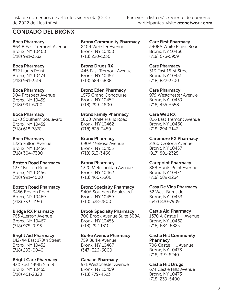## CONDADO DEL BRONX

Boca Pharmacy 864 B East Tremont Avenue Bronx, NY 10460 (718) 991-3532

## Boca Pharmacy

872 Hunts Point Bronx, NY 10474 (718) 991-3519

#### Boca Pharmacy

904 Prospect Avenue Bronx, NY 10459 (718) 991-6700

### Boca Pharmacy

1070 Southern Boulevard Bronx, NY 10459 (718) 618-7878

#### Boca Pharmacy

1225 Fulton Avenue Bronx, NY 10456 (718) 304-7380

### Boston Road Pharmacy

1272 Boston Road Bronx, NY 10456 (718) 991-4000

### Boston Road Pharmacy

3456 Boston Road Bronx, NY 10469 (718) 733-4150

### Bridge RX Pharmacy

763 Allerton Avenue Bronx, NY 10467 (718) 975-0195

### Bright Aid Pharmacy

142-44 East 170th Street Bronx, NY 10452 (718) 293-0040

## Bright Care Pharmacy

430 East 149th Street Bronx, NY 10455 (718) 401-2820

Bronx Community Pharmacy 2404 Webster Avenue Bronx, NY 10458 (718) 220-1336

Bronx Drugs RX 445 East Tremont Avenue Bronx, NY 10457 (718) 684-5888

Bronx Eden Pharmacy 1575 Grand Concourse Bronx, NY 10452 (718) 299-4800

#### Bronx Family Pharmacy

1800 White Plains Road Bronx, NY 10462 (718) 828-3450

### Bronx Pharmacy

690A Melrose Avenue Bronx, NY 10455 (718) 513-3466

### Bronx Pharmacy

1320 Metropolitan Avenue Bronx, NY 10462 (718) 466-5500

### Bronx Specialty Pharmacy

940A Southern Boulevard Bronx, NY 10459 (718) 328-2800

### Brook Specialty Pharmacy

700 Brook Avenue Suite 508A Bronx, NY 10455 (718) 292-1310

### Burke Avenue Pharmacy

759 Burke Avenue Bronx, NY 10467 (347) 326-6000

### Canaan Pharmacy

971 Westchester Avenue Bronx, NY 10459 (718) 779-4523

Care First Pharmacy 3908A White Plains Road Bronx, NY 10466 (718) 676-5959

Care Pharmacy 313 East 161st Street Bronx, NY 10451 (718) 822-3700

Care Pharmacy 979 Westchester Avenue Bronx, NY 10459 (718) 455-5558

## Care Well RX

826 East Tremont Avenue Bronx, NY 10460 (718) 294-7147

Caremore RX Pharmacy 2260 Crotona Avenue Bronx, NY 10457 (917) 801-2325

### Carepoint Pharmacy

888 Hunts Point Avenue Bronx, NY 10474 (718) 589-1234

#### Casa De Vida Pharmacy

52 West Burnside Bronx, NY 10453 (347) 820-7989

### Castle Aid Pharmacy

1370 A Castle Hill Avenue Bronx, NY 10462 (718) 684-6825

Castle Hill Community Pharmacy

706 Castle Hill Avenue Bronx, NY 10473 (718) 319-8240

### Castle Hill Drugs

674 Castle Hills Avenue Bronx, NY 10473 (718) 239-5400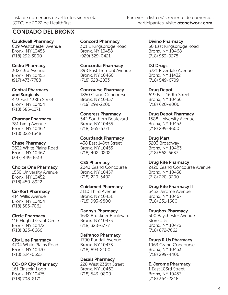## CONDADO DEL BRONX

Cauldwell Pharmacy 609 Westchester Avenue Bronx, NY 10455 (718) 292-3800

#### Cedra Pharmacy

3027 3rd Avenue Bronx, NY 10455 (917) 473-7788

## Central Pharmacy

and Surgicals 423 East 138th Street Bronx, NY 10454 (718) 585-1071

### Charmar Pharmacy

781 Lydig Avenue Bronx, NY 10462 (718) 822-1348

#### Chase Pharmacy

3632 White Plains Road Bronx, NY 10467 (347) 449-6513

### Choice One Pharmacy

1550 University Avenue Bronx, NY 10452 (718) 450-8922

### Cir-Kort Pharmacy

414 Willis Avenue Bronx, NY 10454 (718) 585-7061

### Circle Pharmacy

116 Hugh J Grant Circle Bronx, NY 10472 (718) 823-6666

### City Line Pharmacy

4704 White Plains Road Bronx, NY 10470 (718) 324-0555

### CO-OP City Pharmacy

161 Einstein Loop Bronx, NY 10475 (718) 708-8171

## Concord Pharmacy

301 E Kingsbridge Road Bronx, NY 10458 (929) 329-0421

Concordia Pharmacy 898 East Tremont Avenue Bronx, NY 10460 (718) 328-2833

Concourse Pharmacy 1850 Grand Concourse Bronx, NY 10457 (718) 299-2200

### Congress Pharmacy

542 Southern Boulevard Bronx, NY 10455 (718) 665-6771

#### Courtlandt Pharmacy

438 East 149th Street Bronx, NY 10455 (718) 402-0202

### CSS Pharmacy

2043 Grand Concourse Bronx, NY 10457 (718) 220-5402

## Cuidamed Pharmacy

3110 Third Avenue Bronx, NY 10451 (718) 993-9800

### Danny's Pharmacy

1632 Bruckner Boulevard Bronx, NY 10473 (718) 328-6777

### Defranco Pharmacy

1790 Randall Avenue Bronx, NY 10473 (718) 893-2400

### Desais Pharmacy

228 West 238th Street Bronx, NY 10463 (718) 543-0800

Divino Pharmacy 30 East Kingsbridge Road Bronx, NY 10468 (718) 933-0278

DJ Drugs 3721 Riverdale Avenue Bronx, NY 11432 (718) 549-6709

Drug Depot 619 East 169th Street Bronx, NY 10456 (718) 620-9000

### Drug Depot Pharmacy

1588 University Avenue Bronx, NY 10453 (718) 299-9600

## Drug Mart 5203 Broadway Bronx, NY 10463

(718) 562-6637

### Drug Rite Pharmacy

2426 Grand Concourse Avenue Bronx, NY 10458 (718) 220-9200

### Drug Rite Pharmacy II

3432 Jerome Avenue Bronx, NY 10467 (718) 231-1600

### Drugbox Pharmacy

500 Baychester Avenue Store # 5 Bronx, NY 10475 (718) 872-7662

## Drugs R Us Pharmacy

1963 Grand Concourse Bronx, NY 10453 (718) 299-4400

## E. Jerome Pharmacy

1 East 183rd Street Bronx, NY 10453 (718) 364-2248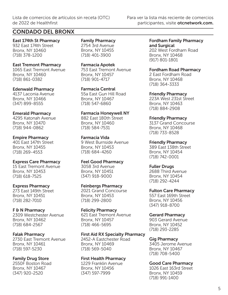## CONDADO DEL BRONX

East 174th St Pharmacy 932 East 174th Street Bronx, NY 10460 (718) 378-1200

#### East Tremont Pharmacy

1065 East Tremont Avenue Bronx, NY 10460 (718) 861-0382

#### Edenwald Pharmacy

4137 Laconia Avenue Bronx, NY 10466 (347) 899-8555

#### Emerald Pharmacy

4295 Katonah Avenue Bronx, NY 10470 (718) 944-0862

#### Empire Pharmacy

401 East 147th Street Bronx, NY 10455 (718) 269-4553

#### Express Care Pharmacy

15 East Tremont Avenue Bronx, NY 10453 (718) 618-7525

#### Express Pharmacy

273 East 149th Street Bronx, NY 10451 (718) 282-7010

#### F & N Pharmacy

2309 Westchester Avenue Bronx, NY 10462 (718) 684-2567

#### Falak Pharmacy

2730 East Tremont Avenue Bronx, NY 10461 (718) 597-5230

#### Family Drug Store

2550F Boston Road Bronx, NY 10467 (347) 920-2520

Family Pharmacy 2754 3rd Avenue Bronx, NY 10455 (718) 401-3900

Farmacia Apotek 753 East Tremont Avenue Bronx, NY 10457 (718) 901-4717

Farmacia Central 55a East Gun Hill Road Bronx, NY 10467 (718) 547-6860

## Farmacia Honeywell NY

882 East 180th Street Bronx, NY 10460 (718) 584-7531

#### Farmacia Vida

9 West Burnside Avenue Bronx, NY 10453 (718) 684-4260

Feel Good Pharmacy

3058 3rd Avenue Bronx, NY 10451 (347) 918-9000

#### Feinbergs Pharmacy

2021 Grand Concourse Bronx, NY 10453 (718) 299-2800

Felicity Pharmacy 621 East Tremont Avenue Bronx, NY 10457 (718) 466-5695

#### First Aid RX Specialty Pharmacy

2452-A Eastchester Road Bronx, NY 10469 (718) 569-5040

#### First Health Pharmacy

1229 Franklin Avenue Bronx, NY 10456 (347) 597-7999

Fordham Family Pharmacy and Surgical

202 West Fordham Road Bronx, NY 10468 (917) 801-1801

#### Fordham Road Pharmacy

2 East Fordham Road Bronx, NY 10468 (718) 364-3333

Friendly Pharmacy

223A West 231st Street Bronx, NY 10463 (718) 884-2908

#### Friendly Pharmacy

3137 Grand Concourse Bronx, NY 10468 (718) 733-8528

#### Friendly Pharmacy

389 East 138th Street Bronx, NY 10454 (718) 742-0001

#### Fuller Drugs

2688 Third Avenue Bronx, NY 10454 (718) 292-4244

#### Fulton Care Pharmacy

557 East 169th Street Bronx, NY 10456 (347) 918-8700

#### Gerard Pharmacy

903 Gerard Avenue Bronx, NY 10452 (718) 293-2285

#### Gig Pharmacy

3405 Jerome Avenue Bronx, NY 10467 (718) 708-5400

#### Good Care Pharmacy

1026 East 163rd Street Bronx, NY 10459 (718) 991-1400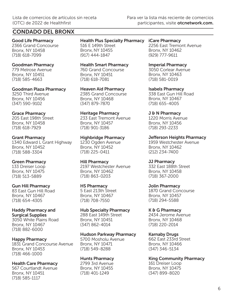## CONDADO DEL BRONX

Good Life Pharmacy 2366 Grand Concourse Bronx, NY 10458 (718) 618-7099

#### Goodman Pharmacy

779 Melrose Avenue Bronx, NY 10451 (718) 585-4663

Goodman Plaza Pharmacy

3250 Third Avenue Bronx, NY 10456 (347) 590-9102

### Grace Pharmacy

205 East 198th Street Bronx, NY 10458 (718) 618-7929

#### Grant Pharmacy

1340 Edward L Grant Highway Bronx, NY 10452 (718) 588-3304

### Green Pharmacy

133 Dreiser Loop Bronx, NY 10475 (718) 513-5889

#### Gun Hill Pharmacy

83 East Gun Hill Road Bronx, NY 10467 (718) 654-4305

#### Haddy Pharmacy and Surgical Supplies

3050 White Plains Road Bronx, NY 10467 (718) 882-6000

### Happy Pharmacy

1831 Grand Concourse Avenue Bronx, NY 10453 (718) 466-1000

### Health Care Pharmacy

567 Courtlandt Avenue Bronx, NY 10451 (718) 585-1117

#### Health Plus Specialty Pharmacy iCare Pharmacy 516 E 149th Street

Bronx, NY 10455 (917) 444-1847

Health Smart Pharmacy 760 Grand Concourse Bronx, NY 10451 (718) 618-7081

Heaven Aid Pharmacy 2385 Grand Concourse Bronx, NY 10468 (347) 879-7870

Heritage Pharmacy 233 East Tremont Avenue Bronx, NY 10457 (718) 901-3186

#### Highbridge Pharmacy

1230 Ogden Avenue Bronx, NY 10452 (718) 225-0411

Hill Pharmacy

2197 Westchester Avenue Bronx, NY 10462 (718) 863-0203

### HS Pharmacy

5 East 213th Street Bronx, NY 10467 (718) 708-7550

#### Hub Specialty Pharmacy

288 East 149th Street Bronx, NY 10451 (347) 862-4014

### Hudson Parkway Pharmacy

5700 Mosholu Avenue Bronx, NY 10471 (718) 549-8288

### Hunts Pharmacy

2799 3rd Avenue Bronx, NY 10455 (718) 401-1249

2256 East Tremont Avenue Bronx, NY 10462 (929) 777-9611

### Imperial Pharmacy

3050 Corlear Avenue Bronx, NY 10463 (718) 581-0019

Isabels Pharmacy 338 East Gun Hill Road Bronx, NY 10467 (718) 655-4005

## J & N Pharmacy

1220 Morris Avenue Bronx, NY 10456 (718) 293-2233

Jefferson Heights Pharmacy

1959 Westchester Avenue Bronx, NY 10462 (212) 234-7400

### JJ Pharmacy

332 East 188th Street Bronx, NY 10458 (718) 367-2000

### Jolin Pharmacy

1870 Grand Concourse Bronx, NY 10457 (718) 294-5588

### K & G Pharmacy

2434 Jerome Avenue Bronx, NY 10468 (718) 220-2014

## Karnaby Drugs

662 East 233rd Street Bronx, NY 10466 (347) 346-5134

### King Community Pharmacy

161 Dreiser Loop Bronx, NY 10475 (347) 899-8020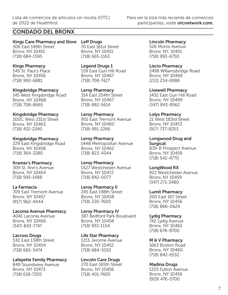## CONDADO DEL BRONX

Kings Care Pharmacy and Store Leff Drugs 306 East 149th Street Bronx, NY 10451 (718) 684-1595

Kings Pharmacy 545 St. Paul's Place Bronx, NY 10456 (718) 992-6881

Kingsbridge Pharmacy 145 West Kingsbridge Road Bronx, NY 10468 (718) 708-8665

Kingsbridge Pharmacy 200C West 231st Street Bronx, NY 10463 (718) 432-2240

Kingsbridge Pharmacy 229 East Kingsbridge Road Bronx, NY 10458 (718) 364-3280

Kramer's Pharmacy 309 St. Ann's Avenue Bronx, NY 10454 (718) 993-1488

La Farmacia 709 East Tremont Avenue Bronx, NY 10457 (917) 962-4444

Laconia Avenue Pharmacy 4041 Laconia Avenue Bronx, NY 10466 (347) 843-7747

Lacross Drugs 530 East 138th Street Bronx, NY 10454 (718) 665-5474

Lafayette Family Pharmacy 849 Soundview Avenue Bronx, NY 10473 (718) 618-7205

70 East 161st Street Bronx, NY 10451 (718) 665-1163

Legend Drugs 1 159 East Gun Hill Road Bronx, NY 10467 (718) 708-7427

Leroy Pharmacy 314 East 204th Street Bronx, NY 10467 (718) 882-5614

Leroy Pharmacy 901 East Tremont Avenue Bronx, NY 10460 (718) 991-2266

Leroy Pharmacy 1448 Metropolitan Avenue Bronx, NY 10462 (718) 823-4344

Leroy Pharmacy 1527 Westchester Avenue Bronx, NY 10472 (718) 842-0077

Leroy Pharmacy II 245 East 198th Street Bronx, NY 10458 (718) 220-7600

Leroy Pharmacy IV 387 Bedford Park Boulevard Bronx, NY 10458 (718) 933-1154

Life Star Pharmacy 1215 Jerome Avenue Bronx, NY 10452 (718) 684-5010

Lincoln Care Drugs 270 East 165th Street Bronx, NY 10456 (718) 401-7400

Lincoln Pharmacy 526 Morris Avenue Bronx NY, 10451 (718) 993-6750

Liscio Pharmacy 2498 Willamsbridge Road Bronx, NY 10469 (212) 234-6986

Livewell Pharmacy 1432 East Gun Hill Road Bronx, NY 10469 (347) 843-8562

Lolys Pharmacy 21 West 183rd Street Bronx, NY 10453 (917) 737-8253

Longwood Drug and Surgical 839-B Prospect Avenue Bronx, NY 10459 (718) 542-4770

LongWood RX 922 Westchester Avenue Bronx, NY 10459 (347) 271-3480

Lumit Pharmacy 200 East 167 Street Bronx, NY 10456 (718) 866-0629

Lydig Pharmacy 742 Lydig Avenue Bronx, NY 10462 (718) 678-8700

M & V Pharmacy 1663 Boston Road Bronx, NY 10460 (718) 842-6532

Madina Drugs 1225 Fulton Avenue Bronx, NY 10456 (929) 476-0700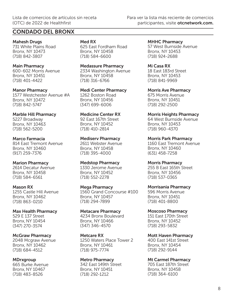## CONDADO DEL BRONX

Mahesh Drugs 731 White Plains Road Bronx, NY 10473 (718) 842-3807

Main Pharmacy 600-602 Morris Avenue Bronx, NY 10451 (718) 401-4422

Manor Pharmacy 1577 Westchester Avenue #A Bronx, NY 10472 (718) 842-5747

Marble Hill Pharmacy 5227 Broadway Bronx, NY 10463 (718) 562-5200

Marco Farmacia 814 East Tremont Avenue Bronx, NY 10460 (917) 259-7376

Marion Pharmacy 2614 Decatur Avenue Bronx, NY 10458 (718) 584-6561

Mason RX 1255 Castle Hill Avenue Bronx, NY 10462 (718) 863-0210

Max Health Pharmacy 529 E 137 Street Bronx, NY 10454 (347) 270-3574

McGraw Pharmacy 2048 Mcgraw Avenue Bronx, NY 10462 (718) 684-4512

**MDrxgroup** 665 Burke Avenue Bronx, NY 10467 (718) 483-8526

Med RX

625 East Fordham Road Bronx, NY 10458 (718) 584-6600

Medassure Pharmacy 2334 Washington Avenue Bronx, NY 10458 (718) 316-6766

Medi Center Pharmacy 1262 Boston Road Bronx, NY 10456 (347) 699-6006

Medicine Center RX 92 East 167th Street Bronx, NY 10452 (718) 410-2814

Mediserv Pharmacy 2611 Webster Avenue Bronx, NY 10458 (718) 395-4000

Medstop Pharmacy 1330 Jerome Avenue Bronx, NY 10452 (718) 552-2278

Mega Pharmacy 1560 Grand Concourse #100 Bronx, NY 10457 (718) 294-7899

Metacare Pharmacy 4234 Bronx Boulevard Bronx, NY 10466 (347) 346-4570

Metcare RX 1250 Waters Place Tower 2 Bronx, NY 10461 (718) 975-7774

Metro Pharmacy 342 East 149th Street Bronx, NY 10451 (718) 292-1212

MHHC Pharmacy 57 West Burnside Avenue Bronx, NY 10453 (718) 924-2688

Mi Casa RX 18 East 183rd Street Bronx, NY 10453 (718) 841-9969

Morris Ave Pharmacy 675 Morris Avenue Bronx, NY 10451 (718) 292-2500

Morris Heights Pharmacy 64 West Burnside Avenue Bronx, NY 10453 (718) 960-4370

Morris Park Pharmacy 1160 East Tremont Avenue Bronx, NY 10460 (631) 458-7258

Morris Pharmacy 255 B East 165th Street Bronx, NY 10456 (718) 537-0365

Morrisania Pharmacy 596 Morris Avenue Bronx, NY 10451 (718) 401-8800

Moscoso Pharmacy 151 East 170th Street Bronx, NY 10452 (718) 293-5832

Mott Haven Pharmacy 400 East 141st Street Bronx, NY 10454 (718) 292-9144

Mt Carmel Pharmacy 705 East 187th Street Bronx, NY 10458 (718) 364-6100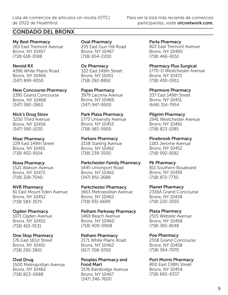## CONDADO DEL BRONX

My Best Pharmacy 263 East Tremont Avenue Bronx, NY 10457 (718) 618-0188

Nereid RX 4396 White Plains Road Bronx, NY 10466 (347) 899-8350

New Concourse Pharmacy 2395 Grand Concourse Bronx, NY 10468 (347) 590-2863

#### Nick's Drug Store

3250 Third Avenue Bronx, NY 10456 (347) 590-1030

#### Nisar Pharmacy

229 East 149th Street Bronx, NY 10451 (718) 402-9104

#### Nova Pharmacy

1521 Watson Avenue Bronx, NY 10472 (718) 328-7040

#### NVR Pharmacy

61 East Mount Eden Avenue Bronx, NY 10452 (718) 583-3575

#### Ogden Pharmacy

1071 Ogden Avenue Bronx, NY 10452 (718) 410-9131

#### One Stop Pharmacy

176 East 161st Street Bronx, NY 10451 (718) 292-3801

#### Oval Drug

1500 Metropolitan Avenue Bronx, NY 10462 (718) 823-0688

Oval Pharmacy 255 East Gun Hill Road Bronx, NY 10467 (718) 654-2200

Oz Pharmacy 322 East 149th Street Bronx, NY 10451

(718) 292-8892

Papas Pharmacy 3979 Laconia Avenue Bronx, NY 10466 (347) 947-9500

Park Plaza Pharmacy

1773 University Avenue Bronx, NY 10453 (718) 583-5900

Parkare Pharmacy 2158 Starling Avenue

Bronx, NY 10462 (718) 239-3500

Parkchester Family Pharmacy 1445 Unionport Road Bronx, NY 10462 (347) 851-2688

Parkchester Pharmacy

1663 Metropolitan Avenue Bronx, NY 10462 (718) 931-6699

#### Pelham Parkway Pharmacy

1469 Beach Avenue Bronx, NY 10460 (718) 409-0908

#### Pelham Pharmacy

2171 White Plains Road Bronx, NY 10462 (917) 708-9700

#### Peoples Pharmacy and Food Mart

3176 Bainbridge Avenue Bronx, NY 10467 (347) 346-7600

Perla Pharmacy 822 East Tremont Avenue Bronx, NY 10460 (718) 466-6551

Pharmacy Plus Surgical 1770-D Westchester Avenue Bronx, NY 10472 (718) 430-0911

Pharmore Pharmacy 337 East 149th Street Bronx, NY 10451 (646) 314-7954

Pilgrim Pharmacy

2941 Westchester Avenue Bronx, NY 10461 (718) 823-1085

Pinebrook Pharmacy 1183 Jerome Avenue Bronx, NY 10452 (718) 992-8182

Pk Pharmacy

811 Southern Boulevard Bronx, NY 10459 (718) 872-7730

Planet Pharmacy

2336A Grand Concourse Bronx, NY 10458 (718) 220-2035

#### Plaza Pharmacy

2515 Webster Avenue Bronx, NY 10458 (718) 365-8148

#### Poe Pharmacy

2558 Grand Concourse Bronx, NY 10458 (718) 364-7070

#### Port Morris Pharmacy

800 East 138th Street Bronx, NY 10454 (718) 665-6337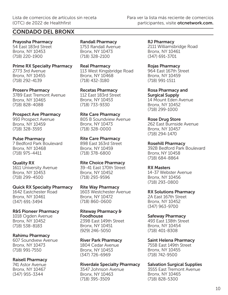## CONDADO DEL BRONX

Prayosha Pharmacy 54 East 183rd Street Bronx, NY 10453 (718) 220-1900

Prime RX Specialty Pharmacy 2773 3rd Avenue Bronx, NY 10455 (718) 292-4139

Proserv Pharmacy 3789 East Tremont Avenue Bronx, NY 10465 (718) 828-4088

Prospect Ave Pharmacy 993 Prospect Avenue Bronx, NY 10459 (718) 328-3593

Pulse Pharmacy 7 Bedford Park Boulevard Bronx, NY 10468 (718) 975-4411

Quality RX 1611 University Avenue Bronx, NY 10453 (718) 299-4500

Quick RX Specialty Pharmacy 1642 Eastchester Road Bronx, NY 10461 (347) 691-3494

## R&S Pioneer Pharmacy

1018 Ogden Avenue Bronx, NY 10452 (718) 538-8183

#### Rahimu Pharmacy

607 Soundvew Avenue Bronx, NY 10473 (718) 991-7550

### Raisell Pharmacy

741 Astor Avenue Bronx, NY 10467 (347) 955-3344

Randall Pharmacy 1753 Randall Avenue Bronx, NY 10473 (718) 328-2100

Real Pharmacy 113 West Kingsbridge Road Bronx, NY 10468 (718) 432-3180

Recetas Pharmacy 112 East 183rd Street Bronx, NY 10453 (718) 733-9330

Rite Care Pharmacy 805 B Soundview Avenue Bronx, NY 10473 (718) 328-0000

Rite Care Pharmacy 898 East 163rd Street Bronx, NY 10459 (718) 378-6800

Rite Choice Pharmacy 39-41 East 170th Street

Bronx, NY 10452 (718) 293-9596

Rite Way Pharmacy 1603 Westchester Avenue Bronx, NY 10472 (718) 860-0600

Riteway Pharmacy & Foodhouse 239B East 149th Street Bronx, NY 10451 (929) 246-5050

River Park Pharmacy 1804 Cedar Avenue Bronx, NY 10453 (347) 726-6969

Riverdale Specialty Pharmacy

3547 Johnson Avenue Bronx, NY 10463 (718) 395-3509

RJ Pharmacy 2111 Williamsbridge Road Bronx, NY 10461 (347) 691-3701

Rojas Pharmacy 964 East 167th Street Bronx, NY 10459 (718) 991-1511

Rosa Pharmacy and Surgical Supply 14 Mount Eden Avenue Bronx, NY 10452 (718) 299-1000

Rose Drug Store 262 East Burnside Avenue Bronx, NY 10457 (718) 294-1470

Rosehill Pharmacy 392B Bedford Park Boulevard Bronx, NY 10458 (718) 684-8864

RX Masters 14-37 Webster Avenue Bronx, NY 10456 (718) 293-0800

RX Solutions Pharmacy 2A East 167th Street Bronx, NY 10452 (347) 963-9700

Safeway Pharmacy 493 East 138th Street Bronx, NY 10454 (718) 401-8308

Saint Helena Pharmacy 755B East 149th Street Bronx, NY 10455 (718) 742-9500

Salvation Surgical Supplies

3555 East Tremont Avenue Bronx, NY 10465 (718) 828-5300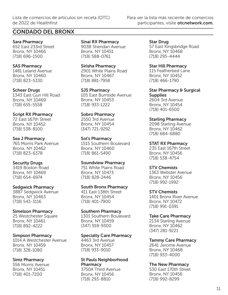## CONDADO DEL BRONX

Sara Pharmacy 652 East 233rd Street Bronx, NY 10466 (718) 696-1500

SAS Pharmacy 1481 Leland Avenue Bronx, NY 10460 (718) 823-5330

Scheer Drugs 1343 East Gun Hill Road Bronx, NY 10469 (718) 655-5558

Script RX Pharmacy 72 East 167th Street Bronx, NY 10452 (718) 538-8100

#### Sea J Pharmacy 765 Morris Park Avenue Bronx, NY 10462 (718) 823-6378

Security Drugs

3419 Boston Road Bronx, NY 10469 (718) 654-6974

### Sedgwick Pharmacy

3887 Sedgwick Avenue Bronx, NY 10463 (718) 543-3116

### Simelson Pharmacy

25 Westchester Square Bronx, NY 10461 (718) 892-4222

#### Simpson Pharmacy

1014 A Westchester Avenue Bronx, NY 10459 (718) 328-1080

### Simz Pharmacy

556 Morris Avenue Bronx, NY 10451 (718) 401-7200

Sinai RX Pharmacy 903B Sheridan Avenue Bronx, NY 10451 (718) 588-0761

Sirisha Pharmacy 2901 White Plains Road Bronx, NY 10467 (718) 881-7958

SJS Pharmacy 105 East Burnside Avenue Bronx, NY 10453 (718) 933-1222

Sobro Pharmacy 2550 3rd Avenue Bronx, NY 10454 (347) 721-9292

Sol's Pharmacy

1515 Southern Boulevard Bronx, NY 10460 (718) 861-5490

Soundview Pharmacy

751 White Plains Road Bronx, NY 10473 (718) 828-2446

### South Bronx Pharmacy

411 East 138th Street Bronx, NY 10454 (718) 401-7900

### Southern Pharmacy

1301 Southern Boulevard Bronx, NY 10459 (347) 918-9300

### Specialty Care Pharmacy

4463 3rd Avenue Bronx, NY 10457 (718) 933-9010

### St Pauls Neighborhood **Pharmacy**

3750A Third Avenue Bronx, NY 10456 (718) 293-8810

Star Drug 57 East Kingsbridge Road Bronx, NY 10468 (718) 295-4444

Star Hill Pharmacy 115 Featherbed Lane Bronx, NY 10452 (718) 466-1790

Star Pharmacy & Surgical **Supplies** 2604 3rd Avenue Bronx, NY 10454 (718) 401-6500

Starling Pharmacy

2098 Starling Avenue Bronx, NY 10462 (718) 684-6880

STAT RX Pharmacy

235 East 167th Street Bronx, NY 10456 (718) 538-4754

### STV Chemists

1363 Webster Avenue Bronx, NY 10456 (718) 992-1992

STV Chemists

1401 Bronx River Avenue Bronx, NY 10472 (718) 991-0391

Take Care Pharmacy

2134 Starling Avenue Bronx, NY 10462 (347) 281-9221

## Tammy Care Pharmacy

2641 Jerome Avenue Bronx, NY 10468 (718) 933-4000

## The New Pharmacy

530 East 170th Street Bronx, NY 10456 (718) 992-8299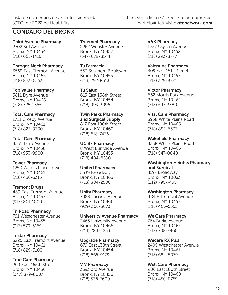## CONDADO DEL BRONX

Third Avenue Pharmacy 2702 3rd Avenue Bronx, NY 10454 (718) 665-1410

#### Throggs Neck Pharmacy

3569 East Tremont Avenue Bronx, NY 10465 (718) 823-6353

#### Top Value Pharmacy

3811 Dyre Avenue Bronx, NY 10466 (718) 325-1355

#### Total Care Pharmacy

1721 Crosby Avenue Bronx, NY 10461 (718) 823-9300

#### Total Care Pharmacy

4531 Third Avenue Bronx, NY 10438 (718) 933-9900

#### Tower Pharmacy

1250 Waters Place Tower Bronx, NY 10461 (718) 450-3313

### Tremont Drugs

489 East Tremont Avenue Bronx, NY 10457 (917) 801-1000

### Tri Road Pharmacy

791 Westchester Avenue Bronx, NY 10455 (917) 570-5169

### Tristar Pharmacy

3225 East Tremont Avenue Bronx, NY 10461 (718) 829-5100

### True Care Pharmacy

209 East 165th Street Bronx, NY 10456 (347) 879-8007

Truemed Pharmacy 2262 Webster Avenue Bronx, NY 10457 (347) 879-8144

#### Tu Farmacia

553 Southern Boulevard Bronx, NY 10455 (718) 292-8513

#### Tu Salud

615 East 138th Street Bronx, NY 10454 (718) 993-3096

#### Twin Parks Pharmacy and Surgical Supply

817 East 180th Street Bronx, NY 10460 (718) 618-7436

#### UC Bx Pharmacy

8 West Burnside Avenue Bronx, NY 10453 (718) 484-8590

#### United Pharmacy

5539 Broadway Bronx, NY 10463 (718) 884-2500

#### Unity Pharmacy

3983 Laconia Avenue Bronx, NY 10466 (929) 368-3873

#### University Avenue Pharmacy

2465 University Avenue Bronx, NY 10468 (718) 220-4253

Upgrade Pharmacy 679 East 138th Street Bronx, NY 10454 (718) 665-9179

#### V V Pharmacy

3593 3rd Avenue Bronx, NY 10456 (718) 538-7600

V&K Pharmacy 1227 Ogden Avenue Bronx, NY 10452 (718) 293-8777

### Valentine Pharmacy

309 East 181st Street Bronx, NY 10457 (718) 329-9721

Victor Pharmacy 662 Morris Park Avenue Bronx, NY 10462

(718) 597-3380

#### Vital Care Pharmacy

3958 White Plains Road Bronx, NY 10466 (718) 882-6337

#### Wakefield Pharmacy

4338 White Plains Road Bronx, NY 10466 (718) 547-0040

#### Washington Heights Pharmacy and Surgical 4197 Broadway

Bronx, NY 10033 (212) 795-7455

#### Washington Pharmacy

484 E Tremont Avenue Bronx, NY 10457 (718) 466-5555

#### We Care Pharmacy

764 Burke Avenue Bronx, NY 10467 (718) 708-7960

#### Wecare RX Plus

2405 Westchester Avenue Bronx, NY 10461 (718) 684-5070

### Well Care Pharmacy

906 East 180th Street Bronx, NY 10460 (718) 450-8759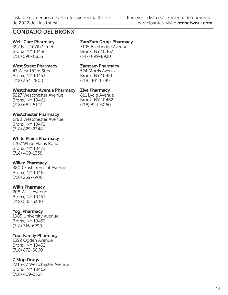## CONDADO DEL BRONX

## Well-Care Pharmacy

397 East 167th Street Bronx, NY 10456 (718) 590-0853

#### West Street Pharmacy

47 West 183rd Street Bronx, NY 10453 (718) 364-2800

#### Westchester Avenue Pharmacy

3227 Westchester Avenue Bronx, NY 10461 (718) 684-5127

Westchester Pharmacy 1780 Westchester Avenue Bronx, NY 10472 (718) 829-2348

#### White Plains Pharmacy

1207 White Plains Road Bronx, NY 10472 (718) 409-1338

### Willen Pharmacy

3800 East Tremont Avenue Bronx, NY 10465 (718) 239-7900

### Willis Pharmacy

208 Willis Avenue Bronx, NY 10454 (718) 585-5300

### Yogi Pharmacy

1985 University Avenue Bronx, NY 10453 (718) 716-6299

### Your Family Pharmacy

1392 Ogden Avenue Bronx, NY 10452 (718) 872-6060

### Z Stop Drugs

2315-17 Westchester Avenue Bronx, NY 10462 (718) 409-3537

## ZamZam Drugs Pharmacy

3105 Bainbridge Avenue Bronx, NY 10467 (347) 899-8930

#### Zamzam Pharmacy

524 Morris Avenue Bronx, NY 10451 (718) 401-6799

#### Zive Pharmacy

811 Lydig Avenue Bronx, NY 10462 (718) 824-6060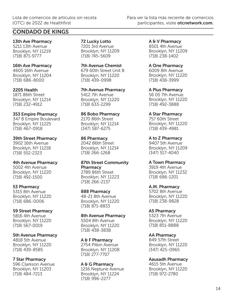13th Ave Pharmacy 5211 13th Avenue Brooklyn, NY 11219 (718) 871-9777

16th Ave Pharmacy 4605 16th Avenue

Brooklyn, NY 11204 (718) 686-8000

2205 Health

1871 86th Street Brooklyn, NY 11214 (718) 232-4912

## 353 Empire Pharmacy

347 B Empire Boulevard Brooklyn, NY 11225 (718) 467-0918

#### 39th Street Pharmacy

3902 16th Avenue Brooklyn, NY 11218 (718) 552-2323

#### 4th Avenue Pharmacy

5002 4th Avenue Brooklyn, NY 11220 (718) 492-1500

#### 53 Pharmacy

5315 8th Avenue Brooklyn, NY 11220 (718) 686-0006

### 59 Street Pharmacy

5816 4th Avenue Brooklyn, NY 11220 (718) 567-0019

5th Avenue Pharmacy

4818 5th Avenue Brooklyn, NY 11220 (718) 439-8585

## 7 Star Pharmacy

596 Clarkson Avenue Brooklyn, NY 11203 (718) 484-7213

72 Lucky Lotto 7201 3rd Avenue Brooklyn, NY 11209 (718) 745-5609

7th Avenue Chemist 679 60th Street Unit B Brooklyn, NY 11220 (718) 439-0998

7th Avenue Pharmacy 5412 7th Avenue Brooklyn, NY 11220 (718) 633-2299

86 Bobo Pharmacy 2170 86th Street Brooklyn, NY 11214 (347) 587-6275

86 Pharmacy 2042 86th Street

Brooklyn, NY 11214 (718) 266-1268

#### 87th Street Community **Pharmacy** 2789 86th Street

Brooklyn, NY 11223 (718) 266-2137

888 Pharmacy 48-21 8th Avenue Brooklyn, NY 11220

(718) 871-8833

### 8th Avenue Pharmacy

5504 8th Avenue Brooklyn, NY 11220 (718) 438-3838

A & F Pharmacy 2754 Pitkin Avenue Brooklyn, NY 11208 (718) 277-7707

A & G Pharmacy 1216 Neptune Avenue Brooklyn, NY 11224 (718) 996-2277

A & V Pharmacy 8501 4th Avenue Brooklyn, NY 11209 (718) 238-1402

A One Pharmacy 6009 8th Avenue Brooklyn, NY 11220 (718) 438-3999

A Plus Pharmacy 56 05 7th Avenue Brooklyn, NY 11220 (718) 492-3888

A Star Pharmacy 757 60th Street Brooklyn, NY 11220 (718) 439-4981

A to Z Pharmacy 9407 5th Avenue Brooklyn, NY 11209 (347) 517-4040

A Town Pharmacy

3919 4th Avenue Brooklyn, NY 11232 (718) 686-1201

A.M. Pharmacy

5702 8th Avenue Brooklyn, NY 11220 (718) 238-9828

### A5 Pharmacy

5323 7th Avenue Brooklyn, NY 11220 (718) 851-8888

AA Pharmacy

849 57th Street Brooklyn, NY 11220 (347) 425-0965

Aausadh Pharmacy

4615 5th Avenue Brooklyn, NY 11220 (718) 972-2780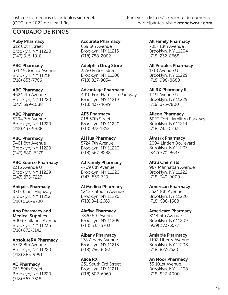Abby Pharmacy 812 60th Street Brooklyn, NY 11220 (347) 915-1010

ABC Pharmacy 371 Mcdonald Avenue Brooklyn, NY 11218 (718) 853-7766

ABC Pharmacy 4624 7th Avenue Brooklyn, NY 11220 (347) 599-1088

#### ABC Pharmacy 5304 7th Avenue Brooklyn, NY 11220 (718) 437-9888

ABC Pharmacy 5401 8th Avenue Brooklyn, NY 11220 (347) 680-6278

ABC Source Pharmacy 2313 Avenue U Brooklyn, NY 11229 (347) 875-7227

Abigails Pharmacy 9717 Kings Highway Brooklyn, NY 11212 (718) 566-9700

Abo Pharmacy and Medical Supplies 8003 Flatlands Avenue Brooklyn, NY 11236 (718) 872-5142

AbsoluteRX Pharmacy 5322 8th Avenue Brooklyn, NY 11220

AC Pharmacy 762 59th Street Brooklyn, NY 11220 (718) 567-3318

(718) 883-9991

Accurate Pharmacy 639 5th Avenue Brooklyn, NY 11215 (718) 788-2082

Adelphia Drug Store 3350 Fulton Street Brooklyn, NY 11208 (718) 827-9034

Advantage Pharmacy 4910 Fort Hamilton Parkway Brooklyn, NY 11219 (718) 437-4699

AE3 Pharmacy 818 57th Street Brooklyn, NY 11220 (718) 972-1852

Ai Hua Pharmacy 5724 7th Avenue Brooklyn, NY 11220 (718) 567-8288

AJ Family Pharmacy 4709 8th Avenue Brooklyn, NY 11220 (347) 533-7291

Al Medina Pharmacy 1242 Flatbush Avenue Brooklyn, NY 11226 (718) 941-2669

Alafiya Pharmacy 7820 5th Avenue Brooklyn, NY 11209 (718) 333-5703

Albany Pharmacy 178 Albany Avenue Brooklyn, NY 11213 (718) 756-6061

Alice RX 231 South 3rd Street Brooklyn, NY 11211 (718) 502-6969

All Family Pharmacy 7017 18th Avenue Brooklyn, NY 11204 (718) 232-8668

All Peoples Pharmacy 1718 Avenue U Brooklyn, NY 11229 (718) 998-8688

All RX Pharmacy II 1231 Avenue U Brooklyn, NY 11229 (718) 375-7800

Alleon Pharmacy 6823 Fort Hamilton Parkway Brooklyn, NY 11219 (718) 745-0733

Almark Pharmacy 2094 Linden Boulevard Brooklyn, NY 11207 (347) 770-8633

Altru Chemists 987 Manhattan Avenue Brooklyn, NY 11222 (718) 349-9009

American Pharmacy 5524 8th Avenue Brooklyn, NY 11220 (718) 686-1688

Americare Pharmacy 8114 5th Avenue Brooklyn, NY 11209 (929) 373-5577

Amiable Pharmacy 1108 Liberty Avenue Brooklyn, NY 11208 (718) 827-7528

An Noor Pharmacy 35 101st Avenue Brooklyn, NY 11208 (718) 827-4000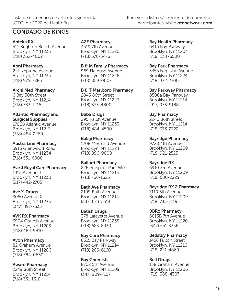Anteka RX 511 Brighton Beach Avenue Brooklyn, NY 11235 (718) 332-4002

## Apni Pharmacy 211 Neptune Avenue

Brooklyn, NY 11235 (718) 975-7885

### Archi Med Pharmacy

6 Bay 50th Street Brooklyn, NY 11214 (718) 333-1215

#### Atlantic Pharmacy and Surgical Supplies

1706B Atlantic Avenue Brooklyn, NY 11213 (718) 484-2260

## Austra Line Pharmacy

5916 Glenwood Road Brooklyn, NY 11234 (718) 531-6000

## Ave J Royal Care Pharmacy

1315 Avenue J Brooklyn, NY 11230 (917) 442-2705

## Ave X-Drugs

3050 Avenue X Brooklyn, NY 11235 (347) 497-7333

## AVK RX Pharmacy

3904 Church Avenue Brooklyn, NY 11203 (718) 484-9810

## Avon Pharmacy

82 Graham Avenue Brooklyn, NY 11206 (718) 384-0630

## Award Pharmacy

2249 86th Street Brooklyn, NY 11214 (718) 331-1310

## AZE Pharmacy

4519 7th Avenue Brooklyn, NY 11220 (718) 576-3476

## B & M Family Pharmacy

969 Flatbush Avenue Brooklyn, NY 11226 (718) 859-0007

B & T Marlboro Pharmacy 2845 86th Street Brooklyn, NY 11223 (718) 373-4800

## Baba Drugs

295 Ralph Avenue Brooklyn, NY 11233 (718) 484-4500

## Balaji Pharmacy

1708 Mermaid Avenue Brooklyn, NY 11224 (718) 996-9000

### Ballard Pharmacy

226 Prospect Park West Brooklyn, NY 11215 (718) 768-1325

### Bath Ave Pharmacy

2109 Bath Avenue Brooklyn, NY 11214 (347) 673-5314

## Batish Drugs

378 Lafayette Avenue Brooklyn, NY 11238 (718) 623-8930

### Bay Care Pharmacy

8515 Bay Parkway Brooklyn, NY 11214 (718) 266-6160

## Bay Chemists

8702 5th Avenue Brooklyn, NY 11209 (347) 909-7107

Bay Health Pharmacy 6415 Bay Parkway Brooklyn, NY 11204 (718) 234-6500

## Bay Park Pharmacy

3355 Neptune Avenue Brooklyn, NY 11224 (718) 372-2700

Bay Parkway Pharmacy 8506a Bay Parkway Brooklyn, NY 11214 (917) 933-9188

## Bay Pharmacy

2240 86th Street Brooklyn, NY 11214 (718) 373-2722

Bayridge Pharmacy 9720 4th Avenue Brooklyn, NY 11209 (718) 921-2525

## Bayridge RX

6910 3rd Avenue Brooklyn, NY 11209 (718) 680-2229

### Bayridge RX 2 Pharmacy

7119 5th Avenue Brooklyn, NY 11209 (718) 745-7119

## BBRx Pharmacy

6013B 7th Avenue Brooklyn, NY 11220 (347) 551-3356

## Bedstuy Pharmacy

1458 Fulton Street Brooklyn, NY 11216 (718) 221-4860

## Bell Drugs

138 Graham Avenue Brooklyn, NY 11206 (718) 388-4307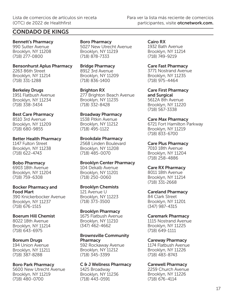Bennett's Pharmacy 990 Sutter Avenue Brooklyn, NY 11208 (718) 277-0800

Bensonhurst Aplus Pharmacy 2263 86th Street Brooklyn, NY 11214 (718) 331-1288

Berkeley Drugs 1951 Flatbush Avenue Brooklyn, NY 11234 (718) 338-3434

Best Care Pharmacy 8510 3rd Avenue Brooklyn, NY 11209 (718) 680-9855

Better Health Pharmacy 1147 Fulton Street Brooklyn, NY 11238 (718) 622-4743

#### Bobo Pharmacy 6903 18th Avenue Brooklyn, NY 11204 (718) 759-6308

Bocker Pharmacy and Food Mart

390 Knickerbocker Avenue Brooklyn, NY 11237 (718) 676-1515

#### Boerum Hill Chemist

8022 18th Avenue Brooklyn, NY 11214 (718) 643-6975

### Boreum Drugs

194 Union Avenue Brooklyn, NY 11211 (718) 387-8288

### Boro Park Pharmacy

5600 New Utrecht Avenue Brooklyn, NY 11219 (718) 480-0700

Boro Pharmacy 5027 New Utrecht Avenue Brooklyn, NY 11219 (718) 878-7333

Bridge Pharmacy 8912 3rd Avenue Brooklyn, NY 11209 (718) 836-1400

Brighton RX 277 Brighton Beach Avenue Brooklyn, NY 11235 (718) 332-8428

Broadway Pharmacy 1538 Pitkin Avenue Brooklyn, NY 11212 (718) 495-1122

Brookdale Pharmacy

2568 Linden Boulevard Brooklyn, NY 11208 (718) 485-0070

Brooklyn Center Pharmacy 104 Dekalb Avenue Brooklyn, NY 11201 (718) 250-0060

### Brooklyn Chemists

121 Avenue U Brooklyn, NY 11223 (718) 373-3500

### Brooklyn Pharmacy

1675 Flatbush Avenue Brooklyn, NY 11210 (347) 462-4662

#### Brownsville Community **Pharmacy**

592 Rockaway Avenue Brooklyn, NY 11212 (718) 345-3399

C & J Wellness Pharmacy

1425 Broadway Brooklyn, NY 11236 (718) 443-0591

Cairo RX 1932 Bath Avenue Brooklyn, NY 11214 (718) 749-9219

Care Fast Pharmacy 3771 Nostrand Avenue Brooklyn, NY 11235 (718) 975-4464

Care First Pharmacy and Surgical 5612A 8th Avenue Brooklyn, NY 11220 (718) 567-3338

Care Max Pharmacy 6721 Fort Hamilton Parkway Brooklyn, NY 11219 (718) 833-6700

Care Plus Pharmacy 7010 18th Avenue Brooklyn, NY 11204 (718) 258-4886

## Care RX Pharmacy

8011 18th Avenue Brooklyn, NY 11214 (718) 331-2668

Careland Pharmacy 84 Clark Street

Brooklyn, NY 11201 (347) 987-4315

Caremark Pharmacy

1115 Nostrand Avenue Brooklyn, NY 11225 (718) 649-1111

Careway Pharmacy

1174 Flatbush Avenue Brooklyn, NY 11226 (718) 483-8743

Carewell Pharmacy

2259 Church Avenue Brooklyn, NY 11226 (718) 676-4114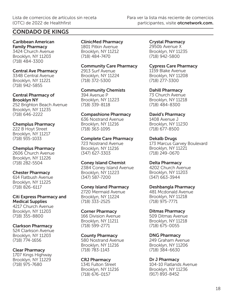Caribbean American Family Pharmacy 3424 Church Avenue Brooklyn, NY 11203 (718) 484-3300

#### Central Ave Pharmacy

334B Central Avenue Brooklyn, NY 11221 (718) 942-5855

#### Central Pharmacy of Brooklyn NY

252 Brighton Beach Avenue Brooklyn, NY 11235 (718) 646-2222

## Chemplus Pharmacy

222 B Hoyt Street Brooklyn, NY 11217 (718) 935-1033

### Chemplus Pharmacy

2606 Church Avenue Brooklyn, NY 11226 (718) 282-5504

## Chester Pharmacy

614 Flatbush Avenue Brooklyn, NY 11225 (718) 826-6117

Citi Express Pharmacy and Medical Supplies 4217 Church Avenue Brooklyn, NY 11203 (718) 355-8800

### Clarkson Pharmacy

524 Clarkson Avenue Brooklyn, NY 11203 (718) 774-1656

### Clear Pharmacy

1707 Kings Highway Brooklyn, NY 11229 (718) 975-7680

#### ClinicMed Pharmacy 1801 Pitkin Avenue

Brooklyn, NY 11212 (718) 484-7470

Community Care Pharmacy 2913 Surf Avenue Brooklyn, NY 11224

(718) 372-5300

Community Chemists 394 Avenue P

Brooklyn, NY 11223 (718) 339-8118

### Compashione Pharmacy

636 Nostrand Avenue Brooklyn, NY 11216 (718) 363-1095

#### Complete Care Pharmacy

723 Nostrand Avenue Brooklyn, NY 11216 (347) 627-3303

### Coney Island Chemist

2384 Coney Island Avenue Brooklyn, NY 11223 (347) 587-7200

### Coney Island Pharmacy

2720 Mermaid Avenue Brooklyn, NY 11224 (718) 333-2525

### Corner Pharmacy

166 Division Avenue Brooklyn, NY 11211 (718) 599-2771

### County Pharmacy

580 Nostrand Avenue Brooklyn, NY 11216 (718) 783-1143

### CRJ Pharmacy

1341 Fulton Street Brooklyn, NY 11216 (718) 676-0157

Crystal Pharmacy 2950b Avenue X Brooklyn, NY 11235 (718) 942-5800

#### Cypress Care Pharmacy

1159 Blake Avenue Brooklyn, NY 11208 (718) 277-3300

### Dahill Pharmacy

73 Church Avenue Brooklyn, NY 11218 (718) 484-8300

## David's Pharmacy

1408 Avenue J Brooklyn, NY 11230 (718) 677-8500

### Dekalb Drugs

173 Marcus Garvey Boulevard Brooklyn, NY 11221 (718) 249-0670

### Delta Pharmacy

4202 Church Avenue Brooklyn, NY 11203 (347) 663-3944

### Deshbangla Pharmacy

481 Mcdonald Avenue Brooklyn, NY 11218 (718) 975-7771

### Ditmas Pharmacy

509 Ditmas Avenue Brooklyn, NY 11218 (718) 675-0055

### DNG Pharmacy

249 Graham Avenue Brooklyn, NY 11206 (718) 384-6630

### Dr J Pharmacy

104-10 Flatlands Avenue Brooklyn, NY 11236 (917) 893-8452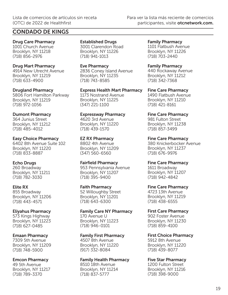Drug Care Pharmacy 1001 Church Avenue Brooklyn, NY 11218 (718) 856-2976

Drug Mart Pharmacy 4914 New Utrecht Avenue Brooklyn, NY 11219 (718) 633-4900

Drugland Pharmacy 5806 Fort Hamilton Parkway Brooklyn, NY 11219 (718) 972-1056

#### Dumont Pharmacy 364 Junius Street

Brooklyn, NY 11212 (718) 485-4012

### Easy Choice Pharmacy

6402 8th Avenue Suite 102 Brooklyn, NY 11220 (718) 833-8887

### Echo Drugs

260 Broadway Brooklyn, NY 11211 (718) 782-3030

### Elite RX

855 Broadway Brooklyn, NY 11206 (718) 443-4571

## Eliyahus Pharmacy

573 Kings Highway Brooklyn, NY 11223 (718) 627-0485

### Emaan Pharmacy

7309 5th Avenue Brooklyn, NY 11209 (718) 748-5900

## Emcon Pharmacy

49 5th Avenue Brooklyn, NY 11217 (718) 789-3370

Established Drugs 3001 Clarendon Road Brooklyn, NY 11226 (718) 941-1013

Eve Pharmacy 2836 Coney Island Avenue Brooklyn, NY 11235 (718) 743-8585

Express Health Mart Pharmacy 1173 Nostrand Avenue Brooklyn, NY 11225 (347) 221-1100

Expressway Pharmacy 4620 3rd Avenue

Brooklyn, NY 11220 (718) 439-1570

EZ RX Pharmacy 8802 4th Avenue Brooklyn, NY 11209 (347) 560-6560

Fairfield Pharmacy 953 Pennsylvania Avenue Brooklyn, NY 11207 (718) 395-9400

Faith Pharmacy 52 Willoughby Street Brooklyn, NY 11201

(718) 643-6300

Family Care NY Pharmacy 170 Avenue U Brooklyn, NY 11223 (718) 946-0101

## Family First Pharmacy

4507 8th Avenue Brooklyn, NY 11220 (917) 332-8084

### Family Health Pharmacy

8510 18th Avenue Brooklyn, NY 11214 (718) 837-5777

Family Pharmacy 1101 Flatbush Avenue Brooklyn, NY 11226 (718) 703-2440

Family Pharmacy 440 Rockaway Avenue Brooklyn, NY 11212 (718) 342-7368

Fine Care Pharmacy 1490 Flatbush Avenue Brooklyn, NY 11210 (718) 421-8161

Fine Care Pharmacy 981 Fulton Street Brooklyn, NY 11238 (718) 857-3499

Fine Care Pharmacy 380 Knickerbocker Avenue Brooklyn, NY 11237 (718) 676-9976

Fine Care Pharmacy 1611 Broadway Brooklyn, NY 11207 (718) 942-4842

Fine Care Pharmacy

4723 13th Avenue Brooklyn, NY 11219 (718) 438-6555

First Care Pharmacy 902 Foster Avenue

Brooklyn, NY 11230 (718) 859-4100

First Choice Pharmacy 5912 8th Avenue Brooklyn, NY 11220 (718) 439-8077

Five Star Pharmacy

1200 Fulton Street Brooklyn, NY 11216 (718) 398-9000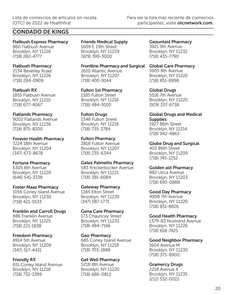Flatbush Express Pharmacy 860 Flatbush Avenue Brooklyn, NY 11226 (718) 282-4777

#### Flatbush Pharmacy 2134 Beverley Road

Brooklyn, NY 11226 (718) 284-0909

Flatbush RX 1855 Flatbush Avenue Brooklyn, NY 11210 (718) 677-4067

### Flatlands Pharmacy

9002 Flatlands Avenue Brooklyn, NY 11236 (718) 975-8200

Forever Health Pharmacy 7224 18th Avenue Brooklyn, NY 11204 (347) 673-8678

### Fortune Pharmacy

6305 8th Avenue Brooklyn, NY 11220 (646) 541-3338

### Foster Maaz Pharmacy

1056 Coney Island Avenue Brooklyn, NY 11230 (718) 421-5533

### Franklin and Carroll Drugs

886 Franklin Avenue Brooklyn, NY 11225 (718) 221-1838

### Freedom Pharmacy

6914 5th Avenue Brooklyn, NY 11209 (347) 517-4431

### Friendly RX

651 Coney Island Avenue Brooklyn, NY 11218 (718) 732-3399

Friends Medical Supply 1609 E 19th Street Brooklyn, NY 11229 (929) 399-3000

Frontline Pharmacy and Surgical Global Care Pharmacy 2610 Atlantic Avenue Brooklyn, NY 11207 (718) 400-9144

Fulton 1st Pharmacy 1185 Fulton Street Brooklyn, NY 11216 (718) 484-9100

### Fulton Drugs

1548 Fulton Street Brooklyn, NY 11216 (718) 735-3784

### Fulton Pharmacy

2818 Fulton Avenue Brooklyn, NY 11207 (718) 235-6344

### Gates Palmetto Pharmacy

583 Knickerbocker Avenue Brooklyn, NY 11221 (718) 381-6084

### Gateway Pharmacy

1184 Elton Street Brooklyn, NY 11239 (347) 587-1771

### Gena Care Pharmacy

173 Chauncey Street Brooklyn, NY 11233 (718) 484-7166

### Geo Pharmacy

685 Coney Island Avenue Brooklyn, NY 11218 (718) 703-1888

### Get Well Pharmacy

5218 8th Avenue Brooklyn, NY 11220 (718) 686-0812

Gezuntaid Pharmacy 3921 9th Avenue Brooklyn, NY 11232 (718) 435-7790

5905 8th Avenue Brooklyn, NY 11220

Global Drugs 5516 7th Avenue Brooklyn, NY 11220 (929) 337-6738

(718) 851-8998

## Global Drugs and Medical **Supplies**

1927 86th Street Brooklyn, NY 11214 (718) 942-4863

Globe Drug and Surgical 403 86th Street Brooklyn, NY 11209 (718) 745-1252

## Golden aid Pharmacy

882 Utica Avenue Brooklyn, NY 11203 (718) 693-0888

### Good Day Pharmacy

4908 7th Avenue Brooklyn, NY 11220 (718) 851-8826

### Good Health Pharmacy

1379-83 Nostrand Avenue Brooklyn, NY 11226 (718) 618-7425

### Good Neighbor Pharmacy

1604 Avenue M Brooklyn, NY 11230 (718) 375-8900

## Gramercy Drugs

2218 Avenue X Brooklyn, NY 11235 (212) 532-0022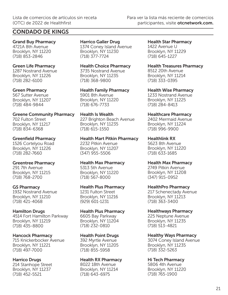## CONDADO DE KINGS

Grand Buy Pharmacy 4721A 8th Avenue Brooklyn, NY 11220 (718) 853-2846

#### Green Life Pharmacy

1287 Nostrand Avenue Brooklyn, NY 11226 (718) 282-6100

#### Green Pharmacy

567 Sutter Avenue Brooklyn, NY 11207 (718) 484-9844

Greene Community Pharmacy 702 Fulton Street Brooklyn, NY 11217 (718) 834-6368

#### Greenfield Pharmacy

1526 Cortelyou Road Brooklyn, NY 11226 (718) 282-7660

### Greentree Pharmacy

291 7th Avenue Brooklyn, NY 11215 (718) 768-2700

### GS Pharmacy

1932 Nostrand Avenue Brooklyn, NY 11210 (718) 421-4068

### Hamilton Drugs

4514 Fort Hamilton Parkway Brooklyn, NY 11219 (718) 435-8800

### Hancock Pharmacy

715 Knickerbocker Avenue Brooklyn, NY 11221 (718) 497-7000

### Harrico Drugs

214 Stanhope Street Brooklyn, NY 11237 (718) 452-5521

Harrico Galler Drug 1374 Coney Island Avenue Brooklyn, NY 11230 (718) 377-7724

Health Choice Pharmacy 3735 Nostrand Avenue Brooklyn, NY 11235 (718) 368-9800

Health Family Pharmacy 5901 8th Avenue Brooklyn, NY 11220 (718) 676-7733

Health Is Wealth 227 Brighton Beach Avenue Brooklyn, NY 11235 (718) 615-1550

Health Mart Pitkin Pharmacy 2232 Pitkin Avenue Brooklyn, NY 11207

(347) 955-5506

#### Health Max Pharmacy

5313 5th Avenue Brooklyn, NY 11220 (718) 567-8000

### Health Plus Pharmacy

1231 Fulton Street Brooklyn, NY 11216 (929) 601-1231

#### Health Plus Pharmacy

6605 Bay Parkway Brooklyn, NY 11204 (718) 232-0810

### Health Point Drugs

392 Myrtle Avenue Brooklyn, NY 11205 (718) 855-5958

### Health RX Pharmacy

8022 18th Avenue Brooklyn, NY 11214 (718) 643-6975

Health Star Pharmacy 1422 Avenue U Brooklyn, NY 11229 (718) 645-1227

Health Treasures Pharmacy 8512 20th Avenue

Brooklyn, NY 11214 (718) 333-0395

Health Wise Pharmacy 1233 Nostrand Avenue Brooklyn, NY 11225 (718) 284-8413

## Healthcare Pharmacy

2402 Mermaid Avenue Brooklyn, NY 11224 (718) 996-9900

#### Healthlink RX

5623 8th Avenue Brooklyn, NY 11220 (718) 633-1685

### Health Max Pharmacy

2749 Pitkin Avenue Brooklyn, NY 11208 (347) 915-0952

### HealthPro Pharmacy

217 Schenectady Avenue Brooklyn, NY 11213 (718) 363-3400

### Healthways Pharmacy

225 Neptune Avenue Brooklyn, NY 11235 (718) 513-4821

## Healthy Ways Pharmacy

3074 Coney Island Avenue Brooklyn, NY 11235 (718) 332-5263

## Hi Tech Pharmacy

5806 4th Avenue Brooklyn, NY 11220 (718) 765-1900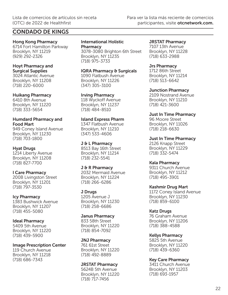Hong Kong Pharmacy

6714 Fort Hamilton Parkway Brooklyn, NY 11219 (929) 292-2326

#### Hoyt Pharmacy and Surgical Supplies

3024 Atlantic Avenue Brooklyn, NY 11208 (718) 220-6000

## Huikang Pharmacy

6410 8th Avenue Brooklyn, NY 11220 (718) 333-5654

## Humdard Pharmacy and Food Mart

949 Coney Island Avenue Brooklyn, NY 11230 (718) 703-1800

## Hyat Drugs

1214 Liberty Avenue Brooklyn, NY 11208 (718) 827-7700

I Care Pharmacy 200B Livingston Street Brooklyn, NY 11201 (718) 797-3530

Icy Pharmacy 1383 Bushwick Avenue Brooklyn, NY 11207 (718) 455-5080

Ideal Pharmacy 5409 5th Avenue Brooklyn, NY 11220 (718) 439-5900

Image Prescription Center 119 Church Avenue Brooklyn, NY 11218 (718) 686-7343

International Holistic **Pharmacy** 3078-3080 Brighton 6th Street Brooklyn, NY 11235

(718) 975-3733

IQRA Pharmacy & Surgicals

1090 Flatbush Avenue Brooklyn, NY 11226 (347) 305-3100

Irving Pharmacy 118 Wyckoff Avenue Brooklyn, NY 11237 (718) 484-8510

## Island Express Pharm

1347 Flatbush Avenue Brooklyn, NY 11210 (347) 533-4606

J & L Pharmacy 8513 Bay 16th Street Brooklyn, NY 11214 (718) 232-5541

#### J & R Pharmacy 2032 Mermaid Avenue

Brooklyn, NY 11224 (718) 266-6286

J Drugs 1205 Avenue J Brooklyn, NY 11230 (718) 258-6686

Janus Pharmacy 833 58th Street Brooklyn, NY 11220 (718) 854-7092

JNJ Pharmacy 761 61st Street Brooklyn, NY 11220 (718) 492-8889

JRSTAT Pharmacy 5624B 5th Avenue Brooklyn, NY 11220 (718) 717-7456

JRSTAT Pharmacy

7107 13th Avenue Brooklyn, NY 11228 (718) 633-2988

## Jrs Pharmacy

1712 86th Street Brooklyn, NY 11214 (718) 513-6642

Junction Pharmacy 2109 Nostrand Avenue Brooklyn, NY 11210 (718) 421-3600

Just In Time Pharmacy 96 Moore Street Brooklyn, NY 11026 (718) 218-6630

Just In Time Pharmacy 2126 Knapp Street Brooklyn, NY 11229 (718) 332-5474

## Kala Pharmacy

9311 Church Avenue Brooklyn, NY 11212 (718) 495-3901

Kashmir Drug Mart

1172 Coney Island Avenue Brooklyn, NY 11230 (718) 859-6100

## Katz Drugs

76 Graham Avenue Brooklyn, NY 11206 (718) 388-4588

Kellys Pharmacy 5825 5th Avenue Brooklyn, NY 11220 (718) 439-6360

Key Care Pharmacy 3411 Church Avenue

Brooklyn, NY 11203 (718) 693-1957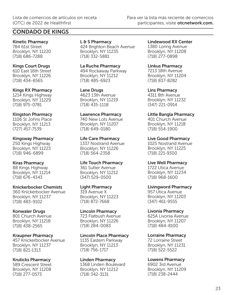Kinetic Pharmacy 784 61st Street Brooklyn, NY 11220 (718) 686-7288

#### Kings Court Drugs

610 East 16th Street Brooklyn, NY 11226 (718) 434-6565

#### Kings RX Pharmacy

1214 Kings Highway Brooklyn, NY 11229 (718) 975-0781

### Kingston Pharmacy

1106 St Johns Place Brooklyn, NY 11213 (727) 457-7539

#### Kingsway Pharmacy

250 Kings Highway Brooklyn, NY 11223 (718) 946-6899

### Kiras Pharmacy

88 Kings Highway Brooklyn, NY 11214 (718) 676-4343

### Knickerbocker Chemists

360 Knickerbocker Avenue Brooklyn, NY 11237 (718) 483-9102

### Konwaler Drugs

801 Church Avenue Brooklyn, NY 11218 (718) 438-2565

### Kraupner Pharmacy

457 Knickerbocker Avenue Brooklyn, NY 11237 (718) 821-1313

### Kruticks Pharmacy

589 Crescent Street Brooklyn, NY 11208 (718) 277-0573

## L & S Pharmacy 424 Brighton Beach Avenue

Brooklyn, NY 11235 (718) 332-5881

La Ruche Pharmacy 494 Rockaway Parkway Brooklyn, NY 11212

(718) 485-6923

## Lane Drugs

4623 13th Avenue Brooklyn, NY 11219 (718) 435-1118

### Lawrence Pharmacy

740 New Lots Avenue Brooklyn, NY 11207 (718) 649-0180

### Life Care Pharmacy

1337 Nostrand Avenue Brooklyn, NY 11226 (718) 564-2358

## Life Touch Pharmacy

361 Sutter Avenue Brooklyn, NY 11212 (347) 529-0500

### Light Pharmacy

319 Avenue X Brooklyn, NY 11223 (718) 872-7668

### Lincoln Pharmacy

723 Flatbush Avenue Brooklyn, NY 11226 (718) 284-0083

### Lincoln Place Pharmacy

1135 Eastern Parkway Brooklyn, NY 11213 (718) 756-1717

### Linden Pharmacy

1368 Linden Boulevard Brooklyn, NY 11212 (718) 342-3131

Lindewood RX Center 1380 Loring Avenue Brooklyn, NY 11208 (718) 277-0898

#### Linkus Pharmacy 7213 18th Avenue

Brooklyn, NY 11204 (718) 837-8282

Lins Pharmacy 4311 8th Avenue Brooklyn, NY 11232 (347) 221-0914

#### Little Bangla Pharmacy 401 Church Avenue

Brooklyn, NY 11218 (718) 554-1900

## Live Good Pharmacy

1025 Nostrand Avenue Brooklyn, NY 11225 (718) 221-9300

## Live Well Pharmacy

1722 Utica Avenue Brooklyn, NY 11234 (718) 968-1600

### Livingword Pharmacy

957 Utica Avenue Brooklyn, NY 11203 (347) 461-9555

### Livonia Pharmacy

625A Livonia Avenue Brooklyn, NY 11207 (718) 484-8100

## Lorraine Pharmacy

72 Lorraine Street Brooklyn, NY 11231 (718) 522-5522

## Lowens Pharmacy

6902 3rd Avenue Brooklyn, NY 11209 (718) 238-2444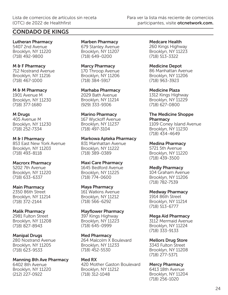Lutheran Pharmacy 5407 2nd Avenue Brooklyn, NY 11220 (718) 492-9800

M & F Pharmacy 712 Nostrand Avenue Brooklyn, NY 11216 (718) 467-1000

M & M Pharmacy 1901 Avenue M Brooklyn, NY 11230 (718) 377-1680

#### M Drugs 405 Avenue M Brooklyn, NY 11230 (718) 252-7334

M & I Pharmacy 853 East New York Avenue Brooklyn, NY 11203 (718) 493-8118

#### Macrorx Pharmacy 5202 7th Avenue

Brooklyn, NY 11220 (718) 633-6337

### Main Pharmacy

2350 86th Street Brooklyn, NY 11214 (718) 372-2144

### Malik Pharmacy

2981 Fulton Street Brooklyn, NY 11208 (718) 827-8943

## Manipal Drugs

280 Nostrand Avenue Brooklyn, NY 11205 (718) 623-9533

Manning 8th Ave Pharmacy 6402 8th Avenue Brooklyn, NY 11220 (212) 227-0922

Marben Pharmacy 679 Stanley Avenue Brooklyn, NY 11207 (718) 649-0200

Marcy Pharmacy 170 Throop Avenue Brooklyn, NY 11206 (718) 384-5917

Marhaba Pharmacy 2029 Bath Avenue Brooklyn, NY 11214 (929) 333-9306

Marino Pharmacy

167 Wyckoff Avenue Brooklyn, NY 11237 (718) 497-3104

### Markowa Apteka Pharmacy

831 Manhattan Avenue Brooklyn, NY 11222 (718) 389-0389

### Maxi Care Pharmacy

1645 Bedford Avenue Brooklyn, NY 11225 (718) 774-0600

## Maya Pharmacy

161 Watkins Avenue Brooklyn, NY 11212 (718) 566-6292

### Mayflower Pharmacy

397 Kings Highway Brooklyn, NY 11223 (718) 645-0999

## Med Pharmacy

264 Malcolm X Boulevard Brooklyn, NY 11233 (718) 452-5530

## Med RX

420 Mother Gaston Boulevard Brooklyn, NY 11212 (718) 312-1048

Medcare Health 260 Kings Highway Brooklyn, NY 11223 (718) 513-3322

Medicine Depot 86 Manhattan Avenue Brooklyn, NY 11206

(718) 963-3923

Medicine Plaza 1312 Kings Highway Brooklyn, NY 11229 (718) 627-0800

#### The Medicine Shoppe **Pharmacy**

1109 Coney Island Avenue Brooklyn, NY 11230 (718) 434-4649

Medina Pharmacy

5721 5th Avenue Brooklyn, NY 11220 (718) 439-3500

## Medly Pharmacy

104 Graham Avenue Brooklyn, NY 11206 (718) 782-7539

Medway Pharmacy

1914 86th Street Brooklyn, NY 11214 (718) 513-6777

## Mega Aid Pharmacy

3112 Mermaid Avenue Brooklyn, NY 11224 (718) 333-9133

## Mellors Drug Store

3343 Fulton Street Brooklyn, NY 11208 (718) 277-5371

## Mercy Pharmacy

6413 18th Avenue Brooklyn, NY 11204 (718) 256-1020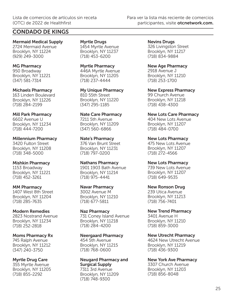## CONDADO DE KINGS

Mermaid Medical Supply 2724 Mermaid Avenue Brooklyn, NY 11224 (929) 249-3000

MG Pharmacy 950 Broadway Brooklyn, NY 11221 (347) 581-7314

Michaels Pharmacy 163 Linden Boulevard Brooklyn, NY 11226 (718) 284-2199

Mill Park Pharmacy 6602 Avenue U Brooklyn, NY 11234 (718) 444-7200

Millennium Pharmacy 3420 Fulton Street Brooklyn, NY 11208 (718) 348-5000

Mishkin Pharmacy 1153 Broadway Brooklyn, NY 11221 (718) 452-3261

MM Pharmacy 1407 West 8th Street Brooklyn, NY 11204 (718) 285-7635

Modern Remedies 2823 Nostrand Avenue Brooklyn, NY 11234 (718) 252-2818

Moms Pharmacy Rx 745 Ralph Avenue Brooklyn, NY 11212 (347) 240-3750

Myrtle Drug Care 355 Myrtle Avenue Brooklyn, NY 11205 (718) 855-2292

Myrtle Drugs 1454 Myrtle Avenue Brooklyn, NY 11237 (718) 453-6200

Myrtle Pharmacy 446A Myrtle Avenue Brooklyn, NY 11205 (718) 237-4444

My Unique Pharmacy 810 55th Street Brooklyn, NY 11220 (347) 295-1185

Nate Care Pharmacy 7211 5th Avenue Brooklyn, NY 11209 (347) 560-6866

Nate's Pharmacy 376 Van Brunt Street Brooklyn, NY 11231 (718) 797-0200

Nathans Pharmacy 1901 1903 Bath Avenue Brooklyn, NY 11214 (718) 975-4441

Navar Pharmacy 3002 Avenue M Brooklyn, NY 11210 (718) 677-5811

Naz Pharmacy 731 Coney Island Avenue Brooklyn, NY 11218 (718) 284-4200

Neergaard Pharmacy 454 5th Avenue Brooklyn, NY 11215 (718) 768-0600

Neugard Pharmacy and Surgical Supply 7311 3rd Avenue Brooklyn, NY 11209

(718) 748-9300

Nevins Drugs 326 Livingston Street Brooklyn, NY 11217 (718) 834-9884

New Age Pharmacy 2918 Avenue J Brooklyn, NY 11210 (718) 253-1700

New Express Pharmacy 99 Church Avenue Brooklyn, NY 11218 (718) 438-4300

New Lots Care Pharmacy 404 New Lots Avenue Brooklyn, NY 11207 (718) 484-0700

New Lots Pharmacy 475 New Lots Avenue Brooklyn, NY 11207 (718) 272-4566

New Lots Pharmacy 739 New Lots Avenue Brooklyn, NY 11207 (718) 649-9535

New Ronson Drug 239 Utica Avenue Brooklyn, NY 11213 (718) 756-7401

New Trend Pharmacy 3401 Avenue H Brooklyn, NY 11210 (718) 859-3000

New Utrecht Pharmacy 4624 New Utrecht Avenue Brooklyn, NY 11219 (718) 436-9300

New York Ave Pharmacy 3307 Church Avenue Brooklyn, NY 11203 (718) 856-8048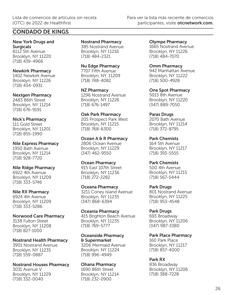New York Drugs and **Surgicals** 6112 5th Avenue Brooklyn, NY 11220 (718) 439-4966

Newkirk Pharmacy

1402 Newkirk Avenue Brooklyn, NY 11226 (718) 434-0931

Nextgen Pharmacy

2483 86th Street Brooklyn, NY 11214 (718) 676-9191

Nick's Pharmacy

111 Gold Street Brooklyn, NY 11201 (718) 855-1990

Nile Express Pharmacy

1950 Bath Avenue Brooklyn, NY 11214 (718) 928-7720

Nile Ridge Pharmacy

6922 4th Avenue Brooklyn, NY 11209 (718) 333-5746

Nile RX Pharmacy

6924 4th Avenue Brooklyn, NY 11209 (718) 333-5286

Norwood Care Pharmacy 3138 Fulton Street Brooklyn, NY 11208 (718) 827-1000

Nostrand Health Pharmacy 3901 Nostrand Avenue Brooklyn, NY 11235 (718) 559-0887

Nostrand Houses Pharmacy 3031 Avenue V Brooklyn, NY 11229 (718) 332-0040

Nostrand Pharmacy 385 Nostrand Avenue Brooklyn, NY 11216 (718) 484-2321

Nu Edge Pharmacy 7707 Fifth Avenue Brooklyn, NY, 11209 (718) 748-4082

NZ Pharmacy 1296 Nostrand Avenue Brooklyn, NY 11226 (718) 676-1497

Oak Park Pharmacy 205 Prospect Park West Brooklyn, NY 11215 (718) 768-6300

Ocean A & R Pharmacy 2806 Ocean Avenue Brooklyn, NY 11229 (347) 462-9550

Ocean Pharmacy 915 East 107th Street Brooklyn, NY 11236 (718) 272-2282

Oceana Pharmacy 3211 Coney Island Avenue Brooklyn, NY 11235 (347) 868-6394

Oceania Pharmacy 415 Brighton Beach Avenue Brooklyn, NY 11235 (718) 769-5777

Oceanside Pharmacy & Supermarket 3206 Mermaid Avenue Brooklyn, NY 11224 (718) 996-4949

Ohana Pharmacy 1690 86th Street Brooklyn, NY 11214 (718) 232-0900

Olympe Pharmacy 1665 Nostrand Avenue Brooklyn, NY 11226 (718) 484-7070

Omm Pharmacy 942 Manhattan Avenue Brooklyn, NY 11222 (718) 500-4928

One Spot Pharmacy 5015 8th Avenue Brooklyn, NY 11220 (347) 889-7050

Paras Drugs 2070 Bath Avenue Brooklyn, NY 11214 (718) 372-8795

Park Chemists 164 5th Avenue Brooklyn, NY 11217 (718) 393-5555

Park Chemists 500 4th Avenue Brooklyn, NY 11215 (718) 567-5444

Park Drugs 801 Nostrand Avenue Brooklyn, NY 11225 (718) 953-4548

Park Drugs 693 Broadway Brooklyn, NY 11206 (347) 987-3380

Park Place Pharmacy 160 Park Place Brooklyn, NY 11217 (718) 857-4000

Park RX 836 Broadway Brooklyn, NY 11206 (718) 388-7228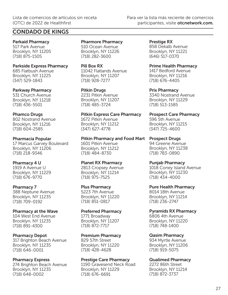Parkaid Pharmacy 517 Park Avenue Brooklyn, NY 11205 (718) 875-1505

#### Parkside Express Pharmacy 685 Flatbush Avenue

Brooklyn, NY 11225 (347) 529-1843

### Parkway Pharmacy

531 Church Avenue Brooklyn, NY 11218 (718) 436-5501

## Phamco Drugs

802 Nostrand Avenue Brooklyn, NY 11216 (718) 604-2585

## Pharmacia Popular

17 Marcus Garvey Boulevard Brooklyn, NY 11206 (718) 218-9346

## Pharmacy 4 U

1919 A Avenue U Brooklyn, NY 11229 (718) 676-9770

## Pharmacy 7

388 Neptune Avenue Brooklyn, NY 11235 (718) 709-0192

## Pharmacy at the Wave

104 West End Avenue Brooklyn, NY 11235 (718) 891-4300

## Pharmacy Depot

317 Brighton Beach Avenue Brooklyn, NY 11235 (718) 646-0001

## Pharmacy Express

274 Brighton Beach Avenue Brooklyn, NY 11235 (718) 648-0002

Pharmore Pharmacy 510 Ocean Avenue Brooklyn, NY 11226 (718) 282-3600

Pill Box RX 11042 Flatlands Avenue Brooklyn, NY 11207 (718) 928-7277

Pitkin Drugs 2231 Pitkin Avenue Brooklyn, NY 11207 (718) 485-3724

Pitkin Express Care Pharmacy 1672 Pitkin Avenue Brooklyn, NY 11212 (347) 627-4778

#### Pitkin Pharmacy and Food Mart Prospect Drugs 1601 Pitkin Avenue

Brooklyn, NY 11212 (718) 484-8730

## Planet RX Pharmacy

2813 Cropsey Avenue Brooklyn, NY 11214 (718) 975-7525

## Plus Pharmacy

5223 7th Avenue Brooklyn, NY 11220 (718) 851-0817

## Preferred Pharmacy

1771 Broadway Brooklyn, NY 11207 (718) 872-7717

## Premium Pharmacy

829 57th Street Brooklyn, NY 11220 (718) 428-4628

### Prestige Care Pharmacy

1190 Gravesend Neck Road Brooklyn, NY 11229 (718) 676-6691

Prestige RX 858 Dekalb Avenue Brooklyn, NY 11221 (646) 517-0370

Prime Health Pharmacy

1417 Bedford Avenue Brooklyn, NY 11216 (718) 676-4405

Prix Pharmacy 3340 Nostrand Avenue Brooklyn, NY 11229 (718) 513-1585

Prospect Care Pharmacy 596 5th Avenue Brooklyn, NY 11215 (347) 725-4600

94 Greene Avenue Brooklyn, NY 11238 (718) 783-0890

Punjab Pharmacy 1018 Coney Island Avenue Brooklyn, NY 11230 (718) 434-4000

### Pure Health Pharmacy

8014 18th Avenue Brooklyn, NY 11214 (718) 236-2747

### Pyramids RX Pharmacy

6806 4th Avenue Brooklyn, NY 11220 (718) 748-1400

## Qasim Pharmacy

934 Myrtle Avenue Brooklyn, NY 11206 (718) 919-5075

## Qualimed Pharmacy

2272 86th Street Brooklyn, NY 11214 (718) 872-3737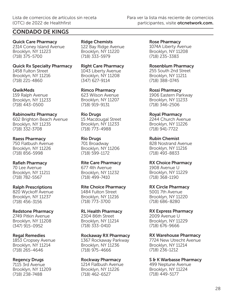Quick Care Pharmacy 2314 Coney Island Avenue Brooklyn, NY 11223 (718) 375-5700

Quick Rx Specialty Pharmacy 1458 Fulton Street Brooklyn, NY 11216 (718) 221-4860

QwikMeds 159 Ralph Avenue Brooklyn, NY 11233 (718) 443-0500

#### Rabinowitz Pharmacy 602 Brighton Beach Avenue Brooklyn, NY 11235 (718) 332-3708

Raess Pharmacy 750 Flatbush Avenue Brooklyn, NY 11226

## (718) 856-5998 Rafieh Pharmacy

70 Lee Avenue Brooklyn, NY 11211 (718) 782-5567

## Ralph Prescriptions

820 Wyckoff Avenue Brooklyn, NY 11237 (718) 456-3156

## Redstone Pharmacy

2749 Pitkin Avenue Brooklyn, NY 11208 (347) 915-0952

### Regal Remedies

1853 Cropsey Avenue Brooklyn, NY 11214 (718) 265-4646

## Regency Drugs

7115 3rd Avenue Brooklyn, NY 11209 (718) 238-7488

Ridge Chemists 122 Bay Ridge Avenue Brooklyn, NY 11220 (718) 333-5979

Right Care Pharmacy 1043 Liberty Avenue Brooklyn, NY 11208  $(347)$  627-9114

Rimco Pharmacy 623 Wilson Avenue Brooklyn, NY 11207 (718) 919-9131

Rio Drugs 15 Macdougal Street Brooklyn, NY 11233 (718) 773-4988

## Rio Drugs

701 Broadway Brooklyn, NY 11206 (718) 599-1172

Rite Care Pharmacy 677 4th Avenue

Brooklyn, NY 11232 (718) 499-7410

## Rite Choice Pharmacy

1484 Fulton Street Brooklyn, NY 11216 (718) 773-3700

## RL Health Pharmacy

2304 86th Street Brooklyn, NY 11214 (718) 333-0410

## Rockaway RX Pharmacy

1367 Rockaway Parkway Brooklyn, NY 11236 (718) 975-4666

## Rockway Pharmacy

1214 Flatbush Avenue Brooklyn, NY 11226 (718) 462-6527

Rose Pharmacy 1074A Liberty Avenue Brooklyn, NY 11208 (718) 235-3383

Rosenblum Pharmacy 255 South 2nd Street Brooklyn, NY 11211 (718) 388-0745

Rossi Pharmacy 1906 Eastern Parkway Brooklyn, NY 11233 (718) 346-2506

Royal Pharmacy

2244 Church Avenue Brooklyn, NY 11226 (718) 941-7722

Rubin Chemist 828 Nostrand Avenue Brooklyn, NY 11216 (718) 493-8833

RX Choice Pharmacy 1908 Avenue U Brooklyn, NY 11229 (718) 368-1190

RX Circle Pharmacy

5001 7th Avenue Brooklyn, NY 11220 (718) 686-8280

RX Express Pharmacy

2009 Avenue U Brooklyn, NY 11229 (718) 676-9666

## RX Warehouse Pharmacy

7724 New Utrecht Avenue Brooklyn, NY 11214 (718) 236-1212

## S & K Warbasse Pharmacy

499 Neptune Avenue Brooklyn, NY 11224 (718) 449-5177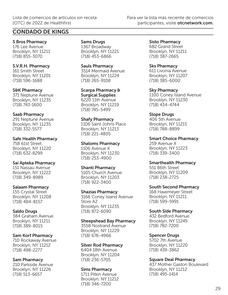S Bros Pharmacy 176 Lee Avenue Brooklyn, NY 11211 (718) 855-3070

S.V.R.H. Pharmacy 161 Smith Street Brooklyn, NY 11201 (718) 596-1688

S&K Pharmacy 371 Neptune Avenue Brooklyn, NY 11235 (718) 743-1600

Saab Pharmacy 291 Neptune Avenue Brooklyn, NY 11235 (718) 332-5577

Safe Health Pharmacy 758 61st Street Brooklyn, NY 11220 (718) 632-8299

Sai Apteka Pharmacy 151 Nassau Avenue Brooklyn, NY 11222 (718) 349-8989

Salaam Pharmacy 155 Crystal Street Brooklyn, NY 11208 (718) 484-8157

Saldo Drugs 384 Graham Avenue Brooklyn, NY 11211 (718) 389-8015

Sam Korf Pharmacy 710 Rockaway Avenue Brooklyn, NY 11212 (718) 498-2277

Sam Pharmacy 210 Parkside Avenue Brooklyn, NY 11226 (718) 513-6657

Sams Drugs 1367 Broadway Brooklyn, NY 11221 (718) 453-6866

Sauls Pharmacy 3514 Mermaid Avenue Brooklyn, NY 11224 (718) 265-9108

Scarpa Pharmacy & Surgical Supplies 6220 11th Avenue Brooklyn, NY 11219 (718) 745-5499

Shafy Pharmacy 1106 Saint Johns Place Brooklyn, NY 11213 (718) 221-4805

Shaloms Pharmacy 1106 Avenue K Brooklyn, NY 11230 (718) 253-4900

Shanti Pharmacy 5105 Church Avenue Brooklyn, NY 11203 (718) 922-3400

Shazias Pharmacy 3166 Coney Island Avenue Store A2 Brooklyn, NY 11235 (718) 872-6090

Sheepshead Bay Pharmacy 3558 Nostrand Avenue Brooklyn, NY 11229

(718) 676-4966

Silver Rod Pharmacy 6404 18th Avenue Brooklyn, NY 11204 (718) 236-5705

Sims Pharmacy 1711 Pitkin Avenue Brooklyn, NY 11212 (718) 346-7200

Sisto Pharmacy 682 Grand Street Brooklyn, NY 11211 (718) 387-2665

Sks Pharmacy 611 Livonia Avenue Brooklyn, NY 11207 (718) 385-6000

Sky Pharmacy 1100 Coney Island Avenue Brooklyn, NY 11230 (718) 434-4744

Slope Drugs 406 5th Avenue Brooklyn, NY 11215 (718) 788-8899

Smart Choice Pharmacy 259 Avenue X Brooklyn, NY 11223 (718) 339-3400

Smarthealth Pharmacy 551 86th Street Brooklyn, NY 11209 (718) 238-2725

South Second Pharmacy 168 Havemeyer Street Brooklyn, NY 11211 (718) 599-5991

South Side Pharmacy 432 Bedford Avenue Brooklyn, NY 11249 (718) 782-7200

Spencer Drugs 5702 7th Avenue Brooklyn, NY 11220 (718) 439-3862

Square Deal Pharmacy 437 Mother Gaston Boulevard Brooklyn, NY 11212 (718) 495-1414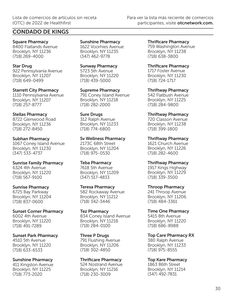Square Pharmacy 8400 Flatlands Avenue Brooklyn, NY 11236 (718) 269-4000

Star Drug 922 Pennsylvania Avenue Brooklyn, NY 11207 (718) 649-0499

Starrett City Pharmacy 1110 Pennsylvania Avenue Brooklyn, NY 11207 (718) 257-8777

Stellas Pharmacy 8722 Glenwood Road Brooklyn, NY 11236 (718) 272-8450

Subhan Pharmacy 1067 Coney Island Avenue Brooklyn, NY 11230 (347) 533-4737

Sunrise Family Pharmacy 6324 4th Avenue Brooklyn, NY 11220 (718) 567-9100

Sunrise Pharmacy 6725 Bay Parkway Brooklyn, NY 11204 (718) 837-0600

Sunset Corner Pharmacy 6002 4th Avenue Brooklyn, NY 11220 (718) 491-7289

Sunset Park Pharmacy 4510 5th Avenue Brooklyn, NY 11220 (718) 633-6533

Sunshine Pharmacy 411 Kingston Avenue Brooklyn, NY 11225 (718) 773-2020

Sunshine Pharmacy 1622 Voorhies Avenue Brooklyn, NY 11235 (347) 462-9778

Sunway Pharmacy 5723 5th Avenue Brooklyn, NY 11220 (718) 439-5000

Supreme Pharmacy 791 Coney Island Avenue Brooklyn, NY 11218 (718) 282-2000

Sure Drugs 312 Ralph Avenue Brooklyn, NY 11233 (718) 774-6800

Sv Wellness Pharmacy 2173C 68th Street Brooklyn, NY 11204 (718) 975-0530

Teba Pharmacy 7618 5th Avenue Brooklyn, NY 11209 (347) 517-4833

Teresa Pharmacy 582 Rockaway Avenue Brooklyn, NY 11212 (718) 342-3446

Tez Pharmacy 834 Coney Island Avenue Brooklyn, NY 11218 (718) 284-0100

Three P Drugs 791 Flushing Avenue Brooklyn, NY 11206 (718) 302-4850

Thriftcare Pharmacy 524 Nostrand Avenue Brooklyn, NY 11216 (718) 230-3009

Thriftcare Pharmacy 759 Washington Avenue Brooklyn, NY 11238 (718) 638-3800

Thriftcare Pharmacy 1717 Foster Avenue Brooklyn, NY 11230 (718) 724-1717

Thriftway Pharmacy 542 Flatbush Avenue Brooklyn, NY 11225 (718) 284-9800

Thriftway Pharmacy 720 Classon Avenue Brooklyn, NY 11238 (718) 399-1800

Thriftway Pharmacy 1621 Church Avenue Brooklyn, NY 11226 (718) 282-4600

Thriftway Pharmacy 1917 Kings Highway Brooklyn, NY 11229 (718) 339-3500

Throop Pharmacy 241 Throop Avenue Brooklyn, NY 11206 (718) 484-3361

Time One Pharmacy 5415 8th Avenue Brooklyn, NY 11220 (718) 686-8988

Top Care Pharmacy RX 380 Ralph Avenue Brooklyn, NY 11233 (718) 975-8555

Top Kare Pharmacy 1863 86th Street Brooklyn, NY 11214 (347) 492-7831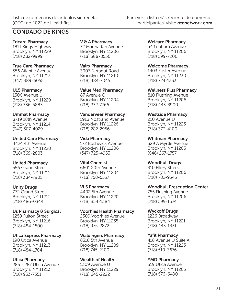Tricare Pharmacy 1811 Kings Highway Brooklyn, NY 11229 (718) 382-9999

True Care Pharmacy 556 Atlantic Avenue Brooklyn, NY 11217 (347) 889-6055

U15 Pharmacy 1506 Avenue U Brooklyn, NY 11229 (718) 336-5883

Ummat Pharmacy 8719 18th Avenue Brooklyn, NY 11214 (347) 587-4029

United Care Pharmacy 4424 4th Avenue Brooklyn, NY 11220 (718) 369-2803

United Pharmacy 556 Grand Street Brooklyn, NY 11211 (718) 384-7901

Unity Drugs 772 Grand Street Brooklyn, NY 11211 (718) 486-0344

Us Pharmacy & Surgical 1259 Fulton Street Brooklyn, NY 11216 (718) 484-1500

Utica Express Pharmacy 190 Utica Avenue Brooklyn, NY 11213 (718) 484-1704

Utica Pharmacy 285 - 287 Utica Avenue Brooklyn, NY 11213 (718) 953-7351

V & A Pharmacy 72 Manhattan Avenue Brooklyn, NY 11206 (718) 388-8556

Valrx Pharmacy 3007 Farragut Road Brooklyn, NY 11210 (718) 484-7045

Value Med Pharmacy 87 Avenue O Brooklyn, NY 11204 (718) 232-7766

Vanderveer Pharmacy 1913 Nostrand Avenue Brooklyn, NY 11226 (718) 282-2956

Vida Pharmacy 172 Bushwick Avenue Brooklyn, NY 11206 (347) 725-4953

Vital Chemist 6601 20th Avenue Brooklyn, NY 11204 (718) 758-5557

VLS Pharmacy 4402 5th Avenue Brooklyn, NY 11220 (718) 854-1384

Voorhies Health Pharmacy 2309 Voorhies Avenue Brooklyn, NY 11235 (718) 975-2872

Waldingers Pharmacy

8318 5th Avenue Brooklyn, NY 11209 (718) 745-2100

Wealth of Health 1309 Avenue U Brooklyn, NY 11229 (718) 645-2222

Welcare Pharmacy 54 Graham Avenue Brooklyn, NY 11206 (718) 599-7200

Welcome Pharmacy 1403 Foster Avenue Brooklyn, NY 11230 (718) 724-1333

Wellness Plus Pharmacy 810 Flushing Avenue Brooklyn, NY 11206 (718) 443-3900

Westside Pharmacy 210 Avenue U Brooklyn, NY 11223 (718) 373-4100

Whitman Pharmacy 329 A Myrtle Avenue Brooklyn, NY 11205 (646) 267-1757

Woodhull Drugs 310 Ellery Street Brooklyn, NY 11206 (718) 782-9345

Woodhull Prescription Center 755 Flushing Avenue Brooklyn, NY 11206 (718) 599-1374

Wyckoff Drugs 1226 Broadway Brooklyn, NY 11221 (718) 443-1331

Yafit Pharmacy 418 Avenue U Suite A Brooklyn, NY 11223 (718) 510-3676

YMD Pharmacy 519 Utica Avenue Brooklyn, NY 11203 (718) 576-6490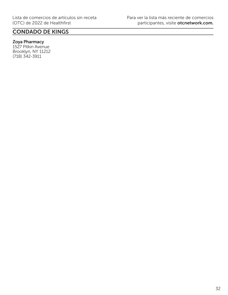## Zoya Pharmacy

1527 Pitkin Avenue Brooklyn, NY 11212 (718) 342-3911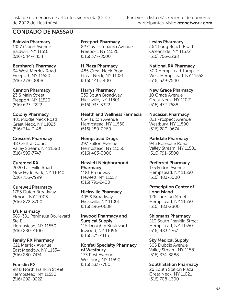## CONDADO DE NASSAU

Baldwin Pharmacy 1927 Grand Avenue Baldwin, NY 11510 (516) 544-4454

#### Bernhard's Pharmacy

34 West Merrick Road Freeport, NY 11520 (516) 378-0008

#### Cannon Pharmacy

23 S Main Street Freeport, NY 11520 (516) 623-2222

### Colony Pharmacy

481 Middle Neck Road Great Neck, NY 11023 (516) 314-3148

#### Crescent Pharmacy

48 Central Court Valley Stream, NY 11580 (516) 593-7747

### Curemed RX

2020 Lakeville Road New Hyde Park, NY 11040 (516) 755-7999

#### Curewell Pharmacy

1785 Dutch Broadway Elmont, NY 11003 (516) 872-8700

#### D's Pharmacy

389-391 Peninsula Boulevard Ste E Hempstead, NY 11550 (516) 280-4100

### Family RX Pharmacy

621 Merrick Avenue East Meadow, NY 11554 (516) 280-7474

Franklin RX 98 B North Franklin Street Hempstead, NY 11550 (516) 292-0222

Freeport Pharmacy 82 Guy Lombardo Avenue Freeport, NY 11520 (516) 377-8500

H Plaza Pharmacy 485 Great Neck Road Great Neck, NY 11021 (516) 441-5400

Harrys Pharmacy 333 South Broadway Hicksville, NY 11801 (516) 933-3322

Health and Wellness Farmacia 634 Fulton Avenue Hempstead, NY 11550 (516) 280-2260

Hempstead Drugs 397 Fulton Avenue Hempstead, NY 11550 (516) 483-3000

Hewlett Neighborhood **Pharmacy** 

1181 Broadway Hewlett, NY 11557 (516) 791-2400

Hicksville Pharmacy

495 S Broadway Hicksville, NY 11801 (516) 396-0608

#### Inwood Pharmacy and Surgical Supply

115 Doughty Boulevard Inwood, NY 11096 (516) 371-4113

Konfeti Specialty Pharmacy of Westbury 173 Post Avenue Westbury, NY 11590 (516) 333-7700

Levins Pharmacy 364 Long Beach Road Oceanside, NY 11572 (516) 766-2288

National RX Pharmacy 300 Hempstead Turnpike West Hempstead, NY 11552 (516) 539-7540

New Grace Pharmacy 10 Grace Avenue Great Neck, NY 11021 (516) 472-7688

Nucassel Pharmacy

821 Prospect Avenue Westbury, NY 11590 (516) 280-9674

Parkdale Pharmacy 945 Rosedale Road Valley Stream, NY 11581 (516) 791-6500

#### Preferred Pharmacy

175 Fulton Avenue Hempstead, NY 11550 (516) 483-5000

Prescription Center of Long Island 126 Jackson Street Hempstead, NY 11550

(516) 483-2800

Shipmans Pharmacy

210 South Franklin Street Hempstead, NY 11550 (516) 483-1767

Sky Medical Supply

505 Dubois Avenue Valley Stream, NY 11581 (516) 374-3888

### South Station Pharmacy

26 South Station Plaza Great Neck, NY 11021 (516) 708-1300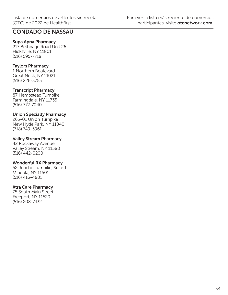## CONDADO DE NASSAU

### Supa Apna Pharmacy

217 Bethpage Road Unit 26 Hicksville, NY 11801 (516) 595-7718

### Taylors Pharmacy

1 Northern Boulevard Great Neck, NY 11021 (516) 226-3755

#### Transcript Pharmacy

87 Hempstead Turnpike Farmingdale, NY 11735 (516) 777-7040

### Union Specialty Pharmacy

265-01 Union Turnpike New Hyde Park, NY 11040 (718) 749-5961

#### Valley Stream Pharmacy

42 Rockaway Avenue Valley Stream, NY 11580 (516) 442-0200

#### Wonderful RX Pharmacy

52 Jericho Turnpike, Suite 1 Mineola, NY 11501 (516) 416-4881

#### Xtra Care Pharmacy

75 South Main Street Freeport, NY 11520 (516) 208-7432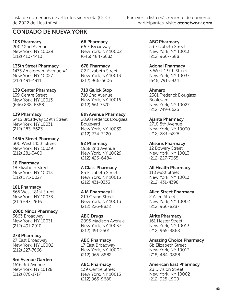103 Pharmacy 2002 2nd Avenue New York, NY 10029 (212) 410-4410

#### 133th Street Pharmacy

1473 Amsterdam Avenue #1 New York, NY 10027 (212) 491-4911

#### 139 Center Pharmacy

139 Centre Street New York, NY 10013 (646) 838-6388

#### 139 Pharmacy

3415 Broadway 139th Street New York, NY 10031 (212) 283-6623

#### 145th Street Pharmacy

300 West 145th Street New York, NY 10039 (212) 281-3480

#### 18 Pharmacy

18 Elizabeth Street New York, NY 10013 (212) 571-0027

#### 181 Pharmacy

565 West 181st Street New York, NY 10033 (212) 543-2616

2000 Ninos Pharmacy 3663 Broadway New York, NY 10031 (212) 491-2910

### 278 Pharmacy

27 East Broadway New York, NY 10002 (212) 227-7666

3rd Avenue Garden 1616 3rd Avenue New York, NY 10128 (212) 876-1717

66 Pharmacy 66 E Broadway New York, NY 10002 (646) 484-6683

678 Pharmacy 82 Elizabeth Street New York, NY 10013 (212) 966-6606

710 Quick Stop 710 2nd Avenue New York, NY 10016 (212) 661-7570

#### 8th Avenue Pharmacy

2830 Frederick Douglass **Boulevard** New York, NY 10039 (212) 234-3220

#### 92 Pharmacy

1938 2nd Avenue New York, NY 10029 (212) 426-6484

#### A Class Pharmacy

85 Elizabeth Street New York, NY 10013 (212) 431-0333

#### A M Pharmacy II

219 Grand Street New York, NY 10013 (212) 226-8832

**ABC Drugs** 2095 Madison Avenue New York, NY 10037 (212) 491-2501

ABC Pharmacy 17 East Broadway New York, NY 10002 (212) 965-8882

ABC Pharmacy 139 Centre Street New York, NY 10013 (212) 965-9688

ABC Pharmacy 53 Elizabeth Street New York, NY 10013 (212) 966-7588

#### Adonai Pharmacy

3 West 137th Street New York, NY 10037 (646) 791-5934

Ahmarx

2381 Frederick Douglass Boulevard New York, NY 10027 (212) 749-6626

Ajanta Pharmacy

2718 8th Avenue New York, NY 10030 (212) 283-6228

Alisons Pharmacy

12 Bowery Street New York, NY 10013 (212) 227-7065

#### All Health Pharmacy

118 Mott Street New York, NY 10013 (212) 431-4398

Allen Street Pharmacy

2 Allen Street New York, NY 10002 (212) 966-8287

Alrite Pharmacy 161 Hester Street

New York, NY 10013 (212) 965-8868

Amazing Choice Pharmacy 6b Elizabeth Street New York, NY 10013 (718) 484-9888

American East Pharmacy

23 Division Street New York, NY 10002 (212) 925-1900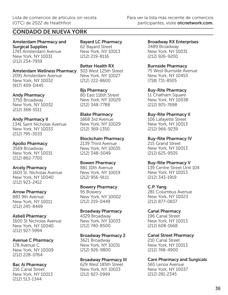Amsterdam Pharmacy and Surgical Supplies 1743 Amsterdam Avenue New York, NY 10031 (212) 234-7959

## Amsterdam Wellness Pharmacy 503 West 125th Street

2091 Amsterdam Avenue New York, NY 10032 (917) 409-0445

#### Andy Pharmacy

3750 Broadway New York, NY 10032 (212) 368-5511

#### Andy Pharmacy II

1341 Saint Nicholas Avenue New York, NY 10033 (212) 795-3033

#### Apollo Pharmacy

3569 Broadway New York, NY 10031 (212) 862-7700

### Arcely Pharmacy

1603 St. Nicholas Avenue New York, NY 10040 (212) 923-2412

#### Arrow Pharmacy

883 9th Avenue New York, NY 10011 (212) 245-8469

#### Asbell Pharmacy

1600 St Nicholas Avenue New York, NY 10040 (212) 927-5994

### Avenue C Pharmacy

178 Avenue C New York, NY 10009 (212) 228-0764

#### Bac Ai Pharmacy

216 Canal Street New York, NY 10013 (212) 513-1344

Bayard LC Pharmacy 62 Bayard Street New York, NY 10013 (212) 219-8116

Better Health RX New York, NY 10027 (212) 222-8600

Bjs Pharmacy 80 East 116th Street New York, NY 10029 (212) 348-7788

Blake Pharmacy 1868 3rd Avenue New York, NY 10029 (212) 369-1350

#### Blockchain Pharmacy

2139 Third Avenue New York, NY 10035 (212) 348-5049

#### Bowen Pharmacy

881 10th Avenue New York, NY 10019 (212) 956-9111

#### Bowery Pharmacy

95 Bowery New York, NY 10002 (212) 219-0449

#### Broadway Pharmacy

4329 Broadway New York, NY 10033 (212) 740-8500

### Broadway Pharmacy 2

3621 Broadway New York, NY 10031 (212) 926-9800

#### Broadway Pharmacy III

629 West 185th Street New York, NY 10033 (212) 927-0999

Broadway RX Enterprises 3489 Broadway New York, NY 10031 (212) 926-9200

Burnside Pharmacy

75 West Burnside Avenue New York, NY 10453 (718) 731-8505

Buy-Rite Pharmacy 11 Chatham Square New York, NY 10038 (212) 925-7698

Buy-Rite Pharmacy II

106 Lafayette Street New York, NY 10013 (212) 966-9239

Buy-Rite Pharmacy IV 215 Grand Street New York, NY 10013 (212) 625-9505

#### Buy-Rite Pharmacy V

139 Centre Street Unit 104 New York, NY 10013 (212) 343-1919

C.P. Yang 281 Columbus Avenue New York, NY 10023 (212) 877-0837

## Canal Pharmacy

196 Canal Street New York, NY 10013 (212) 608-1668

#### Canal Street Pharmacy

210 Canal Street New York, NY 10013 (212) 748-4900

### Care Pharmacy and Surgicals

565 Lenox Avenue New York, NY 10037 (212) 281-2345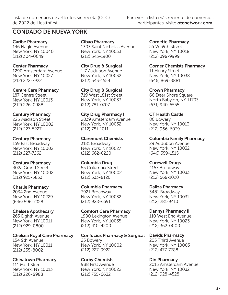## CONDADO DE NUEVA YORK

Caribe Pharmacy 146 Nagle Avenue New York, NY 10040 (212) 304-0649

Center Pharmacy 1290 Amsterdam Avenue

New York, NY 10027 (212) 222-7922

Centre Care Pharmacy 187 Centre Street New York, NY 10013 (212) 226-0988

## Century Pharmacy 225 Madison Street New York, NY 10002

(212) 227-5227

## Century Pharmacy

159 East Broadway New York, NY 10002 (212) 227-7262

## Century Pharmacy

302a Grand Street New York, NY 10002 (212) 925-3833

Charlie Pharmacy

2034 2nd Avenue New York, NY 10229 (646) 596-7028

## Chelsea Apothecary

265 Eighth Avenue New York, NY 10011 (212) 929-0800

Chelsea Royal Care Pharmacy

154 9th Avenue New York, NY 10011 (212) 255-8002

## Chinatown Pharmacy

111 Mott Street New York, NY 10013 (212) 226-8988

Cibao Pharmacy 1303 Saint Nicholas Avenue New York, NY 10033 (212) 543-1900

City Drug & Surgical 1-7 Audubon Avenue New York, NY 10032 (212) 543-1554

City Drug & Surgical 719 West 181st Street New York, NY 10033 (212) 781-0707

City Drug Pharmacy II 2039 Amsterdam Avenue New York, NY 10032 (212) 781-1011

Claremont Chemists

3181 Broadway New York, NY 10027 (212) 662-0220

Columbia Drug

55 Columbia Street New York, NY 10002 (212) 533-8120

Columbia Pharmacy

3921 Broadway New York, NY 10032 (212) 928-6591

Comfort Care Pharmacy 1990 Lexington Avenue New York, NY 10035 (212) 410-4200

Confucius Pharmacy & Surgical Davids Pharmacy

25 Bowery New York, NY 10002 (212) 227-0922

Corby Chemists

988 First Avenue New York, NY 10022 (212) 755-6632

Cordette Pharmacy 55 W 39th Street New York, NY 10018 (212) 398-9999

Corner Chemists Pharmacy 11 Henry Street

New York, NY 10038 (646) 869-8881

Crown Pharmacy 66 Deer Shore Square North Babylon, NY 11703 (631) 940-5555

CT Health Castle 86 Bowery New York, NY 10013

(212) 966-6039 Columbia Family Pharmacy

29 Audubon Avenue New York, NY 10032 (646) 559-1515

Curewell Drugs

4157 Broadway New York, NY 10033 (212) 568-1020

Daliza Pharmacy 3481 Broadway New York, NY 10031 (212) 281-9410

Dannys Pharmacy II 110 West End Avenue

New York, NY 10023 (212) 362-0000

205 Third Avenue New York, NY 10003 (212) 477-7788

Din Pharmacy 2015 Amsterdam Avenue

New York, NY 10032 (212) 928-4528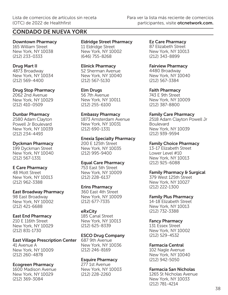Downtown Pharmacy 165 William Street New York, NY 10038 (212) 233-0333

#### Drug Mart II

4873 Broadway New York, NY 10034 (212) 569-4400

#### Drug Stop Pharmacy

2062 2nd Avenue New York, NY 10029 (212) 410-0509

#### Dunbar Pharmacy

2580 Adam Clayton Powell Jr Boulevard New York, NY 10039 (212) 234-4493

#### Dyckman Pharmacy

199 Dyckman Street New York, NY 10040 (212) 567-1331

#### E Care Pharmacy

48 Mott Street New York, NY 10013 (212) 962-3388

#### East Broadway Pharmacy

98 East Broadway New York, NY 10002 (212) 421-6688

#### East End Pharmacy

210 E 116th Street New York, NY 10029 (212) 831-1730

East Village Prescription Center 41 Avenue A New York, NY 10009

## (212) 260-4878

Ecogreen Pharmacy

1600 Madison Avenue New York, NY 10029 (212) 369-3084

#### Eldridge Street Pharmacy 11 Eldridge Street New York, NY 10002 (646) 755-8268

Elinick Pharmacy 52 Sherman Avenue New York, NY 10040 (212) 567-5130

#### Elm Drugs

56 7th Avenue New York, NY 10011 (212) 255-6100

#### Embassy Pharmacy

1873 Amsterdam Avenue New York, NY 10031 (212) 690-1331

#### Enexia Specialty Pharmacy

200 E 125th Street New York, NY 10035 (212) 995-9400

#### Equal Care Pharmacy

753 East 5th Street New York, NY 10009 (212) 228-6137

### Erins Pharmacy

360 East 4th Street New York, NY 10009 (212) 677-7335

### eRxCity

185 Canal Street New York, NY 10013 (212) 625-8339

### ESCO Drug Company

687 9th Avenue New York, NY 10036 (212) 246-8169

### Esquire Pharmacy

277 1st Avenue New York, NY 10003 (212) 228-2260

Ez Care Pharmacy 87 Elizabeth Street New York, NY 10013 (212) 343-8899

#### Fairview Pharmacy

4480 Broadway New York, NY 10040 (212) 567-3384

Faith Pharmacy

743 E 9th Street New York, NY 10009 (212) 387-8800

#### Family Care Pharmacy

2518 Adam Clayton Powell Jr Boulevard New York, NY 10039 (212) 939-9594

#### Family Choice Pharmacy

13-17 Elizabeth Street Lower Level #10 New York, NY 10013 (212) 925-6088

### Family Pharmacy & Surgical

379 West 125th Street New York, NY 10027 (212) 222-1300

#### Family Plus Pharmacy

14-18 Elizabeth Street New York, NY 10013 (212) 732-3388

### Fancy Pharmacy

131 Essex Street New York, NY 10002 (212) 529-4532

### Farmacia Central

102 Nagle Avenue New York, NY 10040 (212) 942-5050

### Farmacia San Nicholas

1265 St Nicholas Avenue New York, NY 10033 (212) 781-4214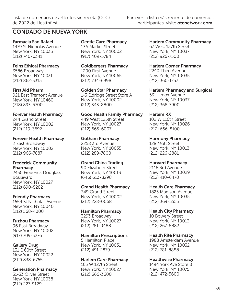Farmacia San Rafael 1479 St Nicholas Avenue New York, NY 10033 (212) 740-0341

## Feins Ethical Pharmacy

3586 Broadway New York, NY 10031 (212) 862-3315

### First Aid Pharm

921 East Tremont Avenue New York, NY 10460 (718) 893-5700

### Forever Health Pharmacy

244 Grand Street New York, NY 10002 (212) 219-3692

### Forever Health Pharmacy

2 East Broadway New York, NY 10002 (212) 966-7887

#### Frederick Community **Pharmacy**

2450 Frederick Douglass Boulevard New York, NY 10027 (212) 690-5202

### Friendly Pharmacy

1654 St Nicholas Avenue New York, NY 10040 (212) 568-4000

## Fuzhou Pharmacy

96 East Broadway New York, NY 10002 (917) 709-3276

## Gallery Drug

131 E 60th Street New York, NY 10022 (212) 838-6765

## Generation Pharmacy

31-33 Oliver Street New York, NY 10038 (212) 227-9129

Gentle Care Pharmacy 13A Market Street New York, NY 10002 (917) 409-5784

Goldbergers Pharmacy 1200 First Avenue New York, NY 10065 (212) 734-6998

Golden Star Pharmacy 1-3 Eldridge Street Store A New York, NY 10002 (212) 343-8800

Good Health Family Pharmacy 449 West 125th Street New York, NY 10027 (212) 665-6007

## Gotham Pharmacy

2258 3rd Avenue New York, NY 10035 (212) 289-7800

## Grand China Trading

90 Elizabeth Street New York, NY 10013 (646) 613-8298

### Grand Health Pharmacy

349 Grand Street New York, NY 10002 (212) 228-0068

### Hamilton Pharmacy

3293 Broadway New York, NY 10027 (212) 281-0488

### Hamilton Prescriptions

5 Hamilton Place New York, NY 10031 (212) 491-2879

### Harlem Care Pharmacy

165 W 127th Street New York, NY 10027 (212) 666-3600

Harlem Community Pharmacy 67 West 137th Street New York, NY 10037 (212) 926-7500

## Harlem Corner Pharmacy

2240 Third Avenue New York, NY 10035 (212) 360-1757

Harlem Pharmacy and Surgical

531 Lenox Avenue New York, NY 10037 (212) 368-7900

## Harlem RX

102 W 116th Street New York, NY 10026 (212) 666-8100

Harmony Pharmacy 128 Mott Street New York, NY 10013 (212) 226-2881

## Harvard Pharmacy

2118 3rd Avenue New York, NY 10029 (212) 410-6470

### Health Care Pharmacy

1825 Madison Avenue New York, NY 10035 (212) 369-5555

## Health City Pharmacy

10 Bowery Street New York, NY 10013 (212) 267-8882

## Health Rite Pharmacy

1988 Amsterdam Avenue New York, NY 10032 (212) 781-8888

## Healthwise Pharmacy

1494 York Ave Store 8 New York, NY 10075 (212) 472-5600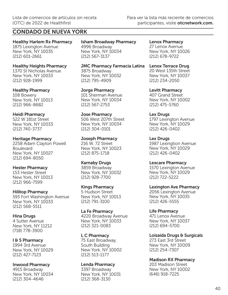Healthy Harlem Rx Pharmacy 1875 Lexington Avenue New York, NY 10035 (212) 601-2661

Healthy Heights Pharmacy 1370 St Nicholas Avenue New York, NY 10033 (212) 928-1999

Healthy Pharmacy 108 Bowery New York, NY 10013 (212) 966-8682

Heidi Pharmacy 522 W 181st Street New York, NY 10033 (212) 740-3737

Heritage Pharmacy 2258 Adam Clayton Powell Boulevard New York, NY 10027 (212) 694-8050

Hester Pharmacy 153 Hester Street New York, NY 10013 (212) 966-7599

Hilltop Pharmacy 593 Fort Washington Avenue New York, NY 10033 (212) 568-5511

Hina Drugs 4 Sutter Avenue New York, NY 11212 (718) 778-3900

I & S Pharmacy 1994 3rd Avenue New York, NY 10029 (212) 427-7123

Inwood Pharmacy 4915 Broadway New York, NY 10034 (212) 304-4646

Isham Broadway Pharmacy 4996 Broadway New York, NY 10034 (212) 567-3137

JMC Pharmacy Farmacia Latina Lenox Terrace Drug 3875 Broadway New York, NY 10032 (212) 795-4909

Jorge Pharmacy 101 Sherman Avenue New York, NY 10034 (212) 567-2753

Jose Pharmacy 506 West 207th Street New York, NY 10034 (212) 304-0101

Joseph Pharmacy 216 W. 72 Street New York, NY 10023 (212) 875-1718

Karnaby Drugs 3859 Broadway New York, NY 10032 (212) 928-7700

Kings Pharmacy 5 Hudson Street New York, NY 10013 (212) 791-3100

La Fe Pharmacy 4220 Broadway Avenue New York, NY 10033 (212) 321-0083

L C Pharmacy 75 East Broadway, South Building New York, NY 10002 (212) 513-1177

Lenda Pharmacy 3397 Broadway New York, NY 10031 (212) 368-3130

Lenox Pharmacy 27 Lenox Avenue New York, NY 10026 (212) 678-9722

20 West 135th Street New York, NY 10037 (212) 234-2050

Levitt Pharmacy 407 Grand Street New York, NY 10002 (212) 475-5760

Lex Drugs 1797 Lexington Avenue New York, NY 10029 (212) 426-0402

Lex Drugs 1987 Lexingtion Avenue New York, NY 10029 (212) 426-0402

Lexcare Pharmacy 1570 Lexington Avenue New York, NY 10029 (212) 722-5222

Lexington Ave Pharmacy 2056 Lexington Avenue New York, NY 10035 (212) 426-5555

Life Pharmacy 471 Lenox Avenue New York, NY 10037 (212) 694-5700

Loisaida Drugs & Surgicals 273 East 3rd Street New York, NY 10009 (212) 254-7307

Madison RX Pharmacy 203 Madison Street New York, NY 10002 (646) 918-7225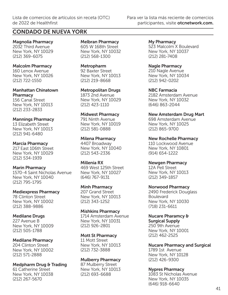## CONDADO DE NUEVA YORK

Magnolia Pharmacy 2032 Third Avenue New York, NY 10029 (212) 369-6075

#### Malcolm Pharmacy

160 Lenox Avenue New York, NY 10026 (212) 722-1550

#### Manhattan Chinatown **Pharmacy**

156 Canal Street New York, NY 10013 (212) 233-2833

### Mannings Pharmacy

13 Elizabeth Street New York, NY 10013 (212) 941-6480

#### Marcia Pharmacy

217 East 106th Street New York, NY 10029 (212) 534-1939

#### Marin Pharmacy

1570-4 Saint Nicholas Avenue New York, NY 10040 (212) 795-1795

### Mediexpress Pharmacy

78 Clinton Street New York, NY 10002 (212) 388-9886

### Medilane Drugs

227 Avenue B New York, NY 10009 (212) 505-1788

### Medilane Pharmacy

204 Clinton Street New York, NY 10002 (212) 571-2888

### Medpharm Drug & Trading

61 Catherine Street New York, NY 10038 (212) 267-5670

Melbran Pharmacy 605 W 168th Street New York, NY 10032 (212) 568-1300

Metropharm 92 Baxter Street New York, NY 10013 (212) 219-8668

Metropolitan Drugs 1873 2nd Avenue New York, NY 10029 (212) 423-1110

#### Midwest Pharmacy 791 Ninth Avenue New York, NY 10019 (212) 581-0888

Milena Pharmacy 4407 Broadway New York, NY 10040 (212) 543-2336

#### Millenia RX

469 West 125th Street New York, NY 10027 (646) 767-9131

### Minh Pharmacy

207 Grand Street New York, NY 10013 (212) 343-1252

## Mishkins Pharmacy

1714 Amsterdam Avenue New York, NY 10031 (212) 926-2801

### Mott St Pharmacy

11 Mott Street New York, NY 10013 (212) 732-3888

### Mulberry Pharmacy

87 Mulberry Street New York, NY 10013 (212) 693-6688

My Pharmacy 523 Malcolm X Boulevard New York, NY 10037 (212) 281-7408

Nagle Pharmacy 210 Nagle Avenue New York, NY 10034 (212) 942-0202

NBC Farmacia 2182 Amsterdam Avenue New York, NY 10032 (646) 863-2044

New Amsterdam Drug Mart 698 Amsterdam Avenue New York, NY 10025 (212) 865-9700

New Rochelle Pharmacy 110 Lockwood Avenue New York, NY 10801 (914) 654-1222

#### Newgen Pharmacy

12A Pell Street New York, NY 10013 (212) 349-1857

### Norwood Pharmacy

2490 Frederick Douglass Boulevard New York, NY 10030 (718) 231-6611

## Nucare Pharamcy &

Surgical Supply 250 9th Avenue New York, NY 10001 (212) 462-2525

### Nucare Pharmacy and Surgical

1789 1st Avenue New York, NY 10128 (212) 426-9300

## Nypres Pharmacy

1083 St Nicholas Avenue New York, NY 10035 (646) 918-6640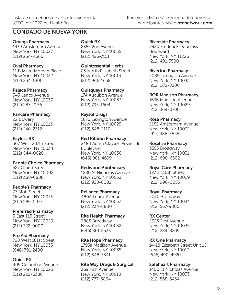Omega Pharmacy 1439 Amsterdam Avenue New York, NY 10027 (212) 234-4666

## Oval Pharmacy

11 Edward Morgan Place New York, NY 10032 (212) 234-1800

#### Palace Pharmacy

543 Lenox Avenue New York, NY 10037 (212) 283-2136

### Pancare Pharmacy

22 Bowery New York, NY 10013 (212) 240-2312

#### Payless RX

567 West 207th Street New York, NY 10034 (212) 544-0020

People Choice Pharmacy 527 Grand Street New York, NY 10002 (212) 388-0888

#### People's Pharmacy

77 Mott Street New York, NY 10013 (212) 285-0977

### Preferred Pharmacy

3 East 115 Street New York, NY 10029 (212) 722-0000

### Pro Aid Pharmacy

728 West 181st Street New York, NY 10033 (646) 791-2400

### Quick RX

909 Columbus Avenue New York, NY 10025 (212) 222-6388

#### Quick RX

2355 2nd Avenue New York, NY 10035 (212) 426-7151

Quintessential Herbs 85 North Elizabeth Street New York, NY 10013 (212) 966-1638

Quisqueya Pharmacy 174 Audubon Avenue New York, NY 10033

## Raysol Drugs

(212) 795-1604

1870 Lexington Avenue New York, NY 10029 (212) 348-2117

#### Red Ribbon Pharmacy

2484 Adam Clayton Powell Jr Boulevard New York, NY 10030 (646) 901-4699

### Redwood Apothecary

1280 St Nicholas Avenue New York, NY 10033 (212) 928-8082

#### Reliance Pharmacy

480A Lenox Avenue New York, NY 10037 (212) 234-8800

### Rite Health Pharmacy

3885 Broadway New York, NY 10032 (646) 861-2533

Rite Hope Pharmacy 1793a Madison Avenue New York, NY 10035 (212) 348-3341

### Rite Way Drugs & Surgical

369 First Avenue New York, NY 10010 (212) 777-6864

#### Riverside Pharmacy

2920 Frederick Douglass Boulevard New York, NY 11226 (212) 491-5500

#### Riverton Pharmacy

2085 Lexington Avenue New York, NY 10035 (212) 283-8300

#### ROR Madison Pharmacy

1636 Madison Avenue New York, NY 10029 (212) 369-0700

#### Rosa Pharmacy

2182 Amsterdam Avenue New York, NY 10032 (917) 388-3858

#### Rosalise Pharmacy

3355 Broadway New York, NY 10031 (212) 690-6502

### Royal Care Pharmacy

127 E 110th Street New York, NY 10029 (212) 996-0055

### Royal Pharmacy

5030 Broadway New York, NY 10034 (212) 567-9800

### RX Center

2325 First Avenue New York, NY 10035 (212) 289-8839

### RX One Pharmacy

14-18 Elizabeth Street Unit 15 New York, NY 10013 (646) 490-4920

### Safeheart Pharmacy

1400 St Nicholas Avenue New York, NY 10033 (212) 568-5454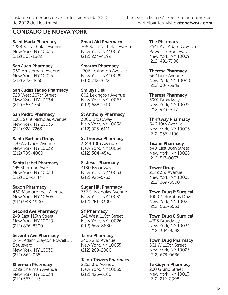## CONDADO DE NUEVA YORK

Saint Maria Pharmacy 1328 St. Nicholas Avenue New York, NY 10033 (212) 568-1382

#### San Juan Pharmacy

960 Amsterdam Avenue New York, NY 10025 (212) 222-4650

San Judas Tadeo Pharmacy

520 West 207th Street New York, NY 10034 (212) 567-1350

#### San Pedro Pharmacy

1381 Saint Nicholas Avenue New York, NY 10033 (212) 928-7263

#### Santa Barbara Drugs

120 Audubon Avenue New York, NY 10032 (212) 795-4080

#### Santa Isabel Pharmacy

145 Sherman Avenue New York, NY 10034 (212) 567-1444

#### Saxon Pharmacy

460 Mamaroneck Avenue New York, NY 10605 (914) 948-1900

### Second Ave Pharmacy

249 East 115th Street New York, NY 10029 (212) 876-8300

#### Seventh Ave Pharmacy

2454 Adam Clayton Powell Jr. Boulevard New York, NY 10030 (212) 862-0554

#### Sherman Pharmacy

232a Sherman Avenue New York, NY 10034 (212) 567-1115

Smart Aid Pharmacy 708 Saint Nicholas Avenue New York, NY 10031 (212) 234-4299

Smartrx Pharmacy 1706 Lexington Avenue New York, NY 10029 (718) 742-7622

#### Smileys Deli

802 Lexington Avenue New York, NY 10065 (212) 688-1510

#### St Anthony Pharmacy

3860 Broadway New York, NY 10032 (212) 923-6111

#### St Theresa Pharmacy

3849 10th Avenue New York, NY 10034 (212) 304-4541

#### St Jesus Pharmacy

4180 Broadway New York, NY 10033 (212) 923-5733

#### Sugar Hill Pharmacy

752 St Nicholas Avenue New York, NY 10031 (212) 281-8300

#### SY Pharmacy

241 West 116th Street New York, NY 10026 (212) 665-8880

#### Taino Pharmacy

2403 2nd Avenue New York, NY 10035 (212) 289-2000

#### Taino Towers Pharmacy

2253 3rd Avenue New York, NY 10035 (212) 426-6200

#### The Pharmacy

2541 AC, Adam Clayton Powell Jr Boulevard New York, NY 10039 (212) 491-7900

#### Theresa Pharmacy

66 Nagle Avenue New York, NY 10040 (212) 304-3949

#### Theresa Pharmacy

3901 Broadway New York, NY 10032 (212) 923-7617

#### Thriftway Pharmacy

646 10th Avenue New York, NY 10036 (212) 956-1100

#### Tisane Pharmacy

340 East 86th Street New York, NY 10028 (212) 517-0037

### Tower Drugs

2272 3rd Avenue New York, NY 10035 (212) 369-6500

#### Town Drug & Surgical

1009 Columbus Drive New York, NY 10025 (212) 662-6563

## Town Drug & Surgical

4785 Broadway New York, NY 10034 (212) 304-9582

#### Town Drug Pharmacy

501 W 113th Street New York, NY 10025 (212) 678-0636

### Tu Quynh Pharmacy

230 Grand Street New York, NY 10013 (212) 219-8998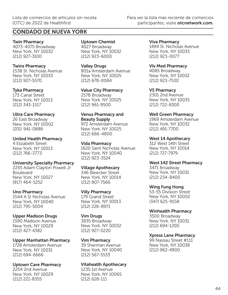Twin Pharmacy 4073-4075 Broadway New York, NY 10032 (212) 927-3100

#### Twins Pharmacy

1538 St. Nicholas Avenue New York, NY 10033 (212) 927-5570

#### Tyka Pharmacy

173 Canal Street New York, NY 10013 (212) 343-1517

### Ultra Care Pharmacy

26 East Broadway New York, NY 10002 (201) 941-0888

United Health Pharmacy 4 Elizabeth Street New York, NY 10013 (212) 766-3773

## University Specialty Pharmacy

2255 Adam Clayton Powell Jr Boulevard New York, NY 10027 (917) 464-5252

### Uno Pharmacy

1544 A St Nicholas Avenue New York, NY 10040 (212) 795-5004

### Upper Madison Drugs

1590 Madison Avenue New York, NY 10029 (212) 427-4382

Upper Manhattan Pharmacy 1728 Amsterdam Avenue New York, NY 10031 (212) 694-6666

Uptown Care Pharmacy 2254 2nd Avenue New York, NY 10029 (212) 221-8355

Uptown Chemist 4027 Broadway New York, NY 10032 (212) 923-6000

## Valley Drugs

801a Amsterdam Avenue New York, NY 10025 (212) 678-0084

Value City Pharmacy 2578 Broadway New York, NY 10025 (212) 961-9500

## Venus Pharmacy and Beauty Supply

972 Amsterdam Avenue New York, NY 10025 (212) 666-4800

### Vida Pharmacy

1620 Saint Nicholas Avenue New York, NY 10040 (212) 923-3524

### Village Apothecary

346 Bleecker Street New York, NY 10014 (212) 807-7566

### Villy Pharmacy

179 Grand Street New York, NY 10013 (212) 226-8971

## Vim Drugs

3835 Broadway New York, NY 10032 (212) 927-0220

### Vim Pharmacy

39 Sherman Avenue New York, NY 10040 (212) 567-5533

### Vitahealth Apothecary

1235 1st Avenue New York, NY 10065 (212) 628-111

Viva Pharmacy 1494 St. Nicholas Avenue New York, NY 10033 (212) 923-0077

### Vlv Med Pharmacy

4085 Broadway New York, NY 10032 (212) 923-7530

VS Pharmacy 2301 2nd Avenue New York, NY 10035 (212) 722-8300

#### Well Green Pharmacy

1969 Amsterdam Avenue New York, NY 10032 (212) 491-7700

#### West 14 Apothecary

312 West 14th Street New York, NY 10014 (212) 727-7979

#### West 142 Street Pharmacy

3471 Broadway New York, NY 10031 (212) 234-8400

### Wing Fung Hong

53-55 Division Street New York, NY 10002 (347) 625-9158

## Winhealth Pharmacy

3500 Broadway New York, NY 10031 (212) 694-1200

## Xpress Lane Pharmacy

99 Nassau Street #111 New York, NY 10038 (212) 962-4900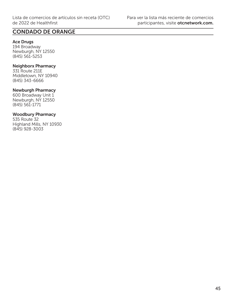## CONDADO DE ORANGE

#### Ace Drugs

194 Broadway Newburgh, NY 12550 (845) 561-5253

#### Neighborx Pharmacy

331 Route 211E Middletown, NY 10940 (845) 343-6666

#### Newburgh Pharmacy

600 Broadway Unit 1 Newburgh, NY 12550 (845) 561-1771

## Woodbury Pharmacy

535 Route 32 Highland Mills, NY 10930 (845) 928-3003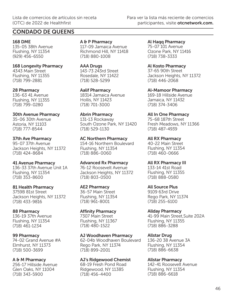## CONDADO DE QUEENS

## 168 DME

135-05 38th Avenue Flushing, NY 11354 (929) 456-6550

#### 168 Longevity Pharmacy 4343 Main Street

Flushing, NY 11355 (718) 799-2881

## 28 Pharmacy

136-63 41 Avenue Flushing, NY 11355 (718) 799-0280

## 30th Avenue Pharmacy

35-06 30th Avenue Astoria, NY 11103 (718) 777-8544

## 37th Ave Pharmacy

95-07 37th Avenue Jackson Heights, NY 11372 (718) 424-8684

## 41 Avenue Pharmacy

136-33 37th Avenue Unit 1A Flushing, NY 11354 (718) 353-8600

## 81 Health Pharmacy

3759B 81st Street Jackson Heights, NY 11372 (718) 433-9816

## 88 Pharmacy

136-19 37th Avenue Flushing, NY 11354 (718) 461-1234

## 99 Pharmacy

74-02 Grand Avenue #A Elmhurst, NY 11373 (718) 500-3699

## A & M Pharmacy

256-17 Hillside Avenue Glen Oaks, NY 11004 (718) 343-5900

A & P Pharmacy 117-09 Jamaica Avenue Richmond Hill, NY 11418 (718) 880-1008

AAA Drugs 143-73 243rd Street Rosedale, NY 11422 (718) 528-5299

Aalif Pharmacy 18314 Jamaica Avenue Hollis, NY 11423 (718) 701-3000

Abrin Pharmacy 131-13 Rockaway South Ozone Park, NY 11420 (718) 529-1130

AC Northern Pharmacy 154-16 Northern Boulevard Flushing, NY 11354 (718) 886-0060

Advanced Rx Pharmacy 76-12 Roosevelt Avenue Jackson Heights, NY 11372 (718) 803-0500

#### AE2 Pharmacy 36-57 Main Street Flushing, NY 11354 (718) 961-8001

#### Affinity Pharmacy 7307 Main Street Flushing, NY 11367 (718) 480-1522

### AJ Woodhaven Pharmacy

62-04b Woodhaven Boulevard Rego Park, NY 11374 (718) 899-2001

## AJ's Ridgewood Chemist

68-19 Fresh Pond Road Ridgewood, NY 11385 (718) 456-4400

Al Haqq Pharmacy 75-07 101 Avenue Ozone Park, NY 11416 (718) 738-3333

Al Kosto Pharmacy 37-65 90th Street Jackson Heights, NY 11372 (718) 446-2068

Al-Mamoor Pharmacy 169-18 Hillside Avenue Jamaica, NY 11432 (718) 374-3406

All In One Pharmacy 75-68 187th Street Fresh Meadows, NY 11366 (718) 487-4939

All RX Pharmacy 40-22 Main Street Flushing, NY 11354 (718) 460-0666

All RX Pharmacy III 133-14 41st Road Flushing, NY 11355 (718) 888-0580

All Source Plus 9109 63rd Drive Rego Park, NY 11374 (718) 255-6100

## Allday Pharmacy

41-99 Main Street,Suite 202A Flushing, NY 11355 (718) 886-3288

## Allstar Drug

136-20 38 Avenue 3A Flushing, NY 11354 (718) 886-6638

## Allstar Pharmacy

142-41 Roosevelt Avenue Flushing, NY 11354 (718) 886-6618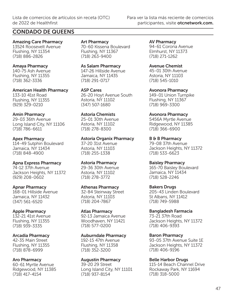## CONDADO DE QUEENS

Amazing Care Pharmacy 13524 Roosevelt Avenue Flushing, NY 11354 (718) 886-2826

#### Amaya Pharmacy

140-75 Ash Avenue Flushing, NY 11355 (718) 362-3336

American Health Pharmacy 133-10 41st Road Flushing, NY 11355 (929) 329-0210

#### Amin Pharmacy

29-03 36th Avenue Long Island City, NY 11106 (718) 786-6611

#### Apex Pharmacy

114-49 Sutphin Boulevard Jamaica, NY 11434 (718) 848-4900

### Apna Express Pharmacy

74-12 37th Avenue Jackson Heights, NY 11372 (929) 208-0602

### Apnar Pharmacy

168-01 Hillside Avenue Jamaica, NY 11432 (347) 561-6520

### Apple Pharmacy

132-21 41st Avenue Flushing, NY 11355 (718) 939-3335

### Arcadia Pharmacy

42-35 Main Street Flushing, NY 11355 (718) 878-6999

### Aro Pharmacy

60-61 Myrtle Avenue Ridgewood, NY 11385 (718) 417-4154

Art Pharmacy 70-60 Kissena Boulevard Flushing, NY 11367 (718) 263-9400

As Salam Pharmacy 147-26 Hillside Avenue Jamaica, NY 11435 (718) 291-0717

ASP Cares 26-20 Hoyt Avenue South Astoria, NY 11102 (347) 507-1680

## Astoria Chemists

25-01 30th Avenue Astoria, NY 11102 (718) 278-8300

## Astoria Organix Pharmacy

37-20 31st Avenue Astoria, NY 11103 (718) 255-1338

### Astoria Pharmacy

29-36 30th Avenue Astoria, NY 11102 (718) 278-3772

#### Athenas Pharmacy

32-84 Steinway Street Astoria, NY 11103 (718) 204-7867

#### Atlas Pharmacy

92-13 Jamaica Avenue Woodhaven, NY 11421 (718) 577-0200

#### Auburndale Pharmacy

192-15 47th Avenue Flushing, NY 11358 (718) 352-3200

#### Augustin Pharmacy

39-20 29 Street Long Island City, NY 11101 (718) 937-8154

AV Pharmacy 94-61 Corona Avenue Elmhurst, NY 11373 (718) 271-1262

## Avenue Chemist

45-01 30th Avenue Astoria, NY 11103 (718) 545-1010

Avonora Pharmacy

149-01 Union Turnpike Flushing, NY 11367 (718) 969-3300

#### Avonora Pharmacy

5456A Myrtle Avenue Ridgewood, NY 11385 (718) 366-6900

B & B Pharmacy

79-08 37th Avenue Jackson Heights, NY 11372 (718) 533-6623

#### Baisley Pharmacy

165-70 Baisley Boulevard Jamaica, NY 11434 (718) 528-2246

### Bakers Drugs

205-43 Linden Boulevard St Albans, NY 11412 (718) 749-5988

### Bangladesh Farmacia

73-21 37th Road Jackson Heights, NY 11372 (718) 406-9393

### Baron Pharmacy

93-05 37th Avenue Suite 1E Jackson Heights, NY 11372 (718) 406-9196

### Belle Harbor Drugs

115-14 Beach Channel Drive Rockaway Park, NY 11694 (718) 318-5000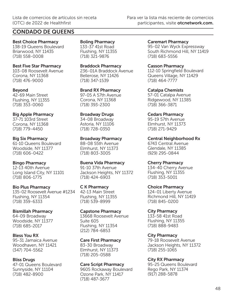## CONDADO DE QUEENS

Best Choice Pharmacy 138-19 Queens Boulevard Briarwood, NY 11435 (718) 558-0008

Best Five Star Pharmacy 103-08 Roosevelt Avenue Corona, NY 11368 (718) 476-9000

Beyond 42-69 Main Street Flushing, NY 11355 (718) 353-0060

Big Apple Pharmacy 37-71 103rd Street Corona, NY 11368 (718) 779-4450

Big Six Pharmacy 61-10 Queens Boulevard Woodside, NY 11377 (718) 606-0422

Bingo Pharmacy 12-13 40th Avenue Long Island City, NY 11101 (718) 806-1775

Bio Plus Pharmacy 135-02 Roosevelt Avenue #1234 Flushing, NY 11354 (718) 359-6333

Bismillah Pharmacy 64-09 Broadway Woodside, NY 11377 (718) 685-2017

Bless You RX 95-31 Jamaica Avenue Woodhaven, NY 11421 (347) 704-5562

Bliss Drugs 47-01 Queens Boulevard Sunnyside, NY 11104 (718) 482-8900

Boling Pharmacy 133-37 41st Road Flushing, NY 11355 (718) 321-9876

Braddock Pharmacy 236-01A Braddock Avenue Bellerose, NY 11426 (718) 347-1539

Brand RX Pharmacy 97-05 A 57th Avenue Corona, NY 11368 (718) 393-2300

Broadway Drugs 34-08 Broadway Astoria, NY 11106 (718) 728-0350

Broadway Pharmacy 88-08 55th Avenue Elmhurst, NY 11373 (718) 803-3005

Buena Vida Pharmacy 91-10 37th Avenue Jackson Heights, NY 11372 (718) 424-6903

C K Pharmacy 42-13 Main Street Flushing, NY 11355 (718) 539-8999

Capstone Pharmacy 13668 Roosevelt Avenue Suite 605 Flushing, NY 11354 (212) 784-6853

Care First Pharmacy 83-30 Broadway Elmhurst, NY 11373 (718) 205-0588

Care Script Pharmacy 9605 Rockaway Boulevard Ozone Park, NY 11417 (718) 487-3677

Caremart Pharmacy 95-02 Van Wyck Expressway South Richmond Hill, NY 11419 (718) 683-5556

Casson Pharmacy 112-10 Springfield Boulevard Queens Village, NY 11429 (718) 464-7777

Catalpa Chemists 57-01 Catalpa Avenue Ridgewood, NY 11385 (718) 366-3871

Cedars Pharmacy 95-19 57th Avenue Elmhurst, NY 11373 (718) 271-9429

Central Neighborhood Rx 6743 Central Avenue Glendale, NY 11385 (929) 295-0844

Cherry Pharmacy 134-40 Cherry Avenue Flushing, NY 11355 (718) 353-5001

Choice Pharmacy 124-01 Liberty Avenue Richmond Hill, NY 11419 (718) 845-0200

City Pharmacy 133-58 41st Road Flushing, NY 11355 (718) 888-9483

City Pharmacy 79-18 Roosevelt Avenue Jackson Heights, NY 11372 (718) 255-1065

City RX Pharmacy 95-25 Queens Boulevard Rego Park, NY 11374 (917) 288-5878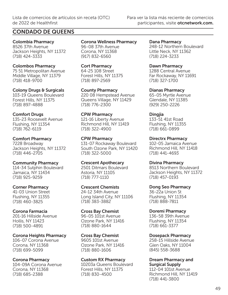## CONDADO DE QUEENS

Colombia Pharmacy 8526 37th Avenue Jackson Heights, NY 11372 (718) 424-3333

Colombos Pharmacy 75 51 Metropolitan Avenue Middle Village, NY 11379 (718) 418-9700

Colony Drugs & Surgicals 103-19 Queens Boulevard Forest Hills, NY 11375 (718) 897-4888

Comfort Drugs 135-23 Roosevelt Avenue Flushing, NY 11354 (718) 762-6119

Comfort Pharmacy 7228 Broadway Jackson Heights, NY 11372 (718) 446-2705

Community Pharmacy 114-34 Sutphin Boulevard Jamaica, NY 11434 (718) 925-9259

Corner Pharmacy 41-03 Union Street Flushing, NY 11355 (718) 460-3825

Corona Farmacia 201-16 Hillside Avenue Hollis, NY 11423 (718) 500-4891

Corona Heights Pharmacy 106-07 Corona Avenue Corona, NY 11368 (718) 699-5099

Corona Pharmacy 104-09A Corona Avenue Corona, NY 11368 (718) 685-2388

Corona Wellness Pharmacy 96-08 37th Avenue Corona, NY 11368 (917) 832-6560

Cort Pharmacy 64-25 108 Street Forest Hills, NY 11375 (718) 897-2569

County Pharmacy 220 08 Hempstead Avenue Queens Village, NY 11429 (718) 776-2300

CPW Pharmacy 121-16 Liberty Avenue Richmond Hill, NY 11419 (718) 322-4900

CPW Pharmacy 131-07 Rockaway Boulevard South Ozone Park, NY 11420 (718) 322-5000

Crescent Apothecary 2501 Ditmars Boulevard Astoria, NY 11105 (718) 777-1110

Crescent Chemists 24-12 34th Avenue Long Island City, NY 11106 (718) 383-3882

Cross Bay Chemist 96-05 101st Avenue Ozone Park, NY 11416 (718) 880-1644

Cross Bay Chemist 9605 101st Avenue Ozone Park, NY 11416 (718) 880-1606

Custom RX Pharmacy 10203a Queens Boulevard Forest Hills, NY 11375 (718) 830-4500

Dana Pharmacy 248-12 Northern Boulevard Little Neck, NY 11362 (718) 224-3233

Dawn Pharmacy 1288 Central Avenue Far Rockaway, NY 11691 (718) 327-1700

Dianas Pharmacy 65-05 Myrtle Avenue Glendale, NY 11385 (929) 250-2226

Dingjia 133-51 41st Road Flushing, NY 11355 (718) 661-0899

Directrx Pharmacy 102-05 Jamaica Avenue Richmond Hill, NY 11418 (718) 441-4693

Divina Pharmacy 8513 Northern Boulevard Jackson Heights, NY 11372 (718) 457-0193

Dong Seo Pharmacy 36-22a Union St Flushing, NY 11354 (718) 888-7811

Doremi Pharmacy 136-58 39th Avenue Flushing, NY 11354 (718) 661-3377

Dosepack Pharmacy 258-15 Hillside Avenue Glen Oaks, NY 11004 (845) 558-3688

Dream Pharmacy and Surgical Supply

112-04 101st Avenue Richmond Hill, NY 11419 (718) 441-3800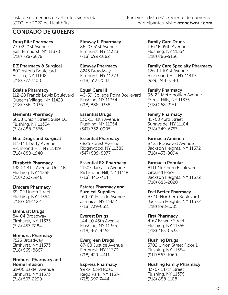## CONDADO DE QUEENS

Drug Rite Pharmacy 77-02 21st Avenue East Elmhurst, NY 11370 (718) 728-6878

E Z Pharmacy & Surgical 803 Astoria Boulevard Astoria, NY 11102 (718) 777-1100

Edelsie Pharmacy 112-28 Francis Lewis Boulevard Queens Village, NY 11429 (718) 736-0036

Elements Pharmacy 3808 Union Street, Suite D2 Flushing, NY 11354 (718) 888-3366

Elite Drugs and Surgical 111-14 Liberty Avenue Richmond Hill, NY 11419 (718) 880-1940

Elizabeth Pharmacy 132-21 41st Avenue Unit 1B Flushing, NY 11355 (718) 353-5948

Elmcare Pharmacy 39-02 Union Street Flushing, NY 11354 (718) 661-1122

Elmhurst Drugs 84-04 Broadway Elmhurst, NY 11373 (718) 457-7884

Elmhurst Pharmacy 7523 Broadway Elmhurst, NY 11373 (718) 565-8667

Elmhurst Pharmacy and Home Infusion 81-06 Baxter Avenue Elmhurst, NY 11373 (718) 507-2299

Elmway II Pharmacy 86-07 51st Avenue Elmhurst, NY 11373 (718) 699-1882

Elmway Pharmacy 8245 Broadway Elmhurst, NY 11373 (718) 513-2047

Equal Care III 40-59 College Point Boulevard Flushing, NY 11354 (718) 888-9338

Essential Drugs 136-15 41th Avenue Flushing, NY 11354 (347) 732-0905

Essential Pharmacy 6825 Forest Avenue Ridgewood, NY 11385 (347) 589-8077

Essential RX Pharmacy 11507 Jamaica Avenue Richmond Hill, NY 11418 (718) 441-7414

Estates Pharmacy and Surgical Supplies 169-01 Hillside Avenue Jamaica, NY 11432 (718) 739-0311

Everest Drugs 144-10 45th Avenue Flushing, NY 11355 (718) 461-4452

Evergreen Drugs 87-08 Justice Avenue Elmhurst, NY 11373 (718) 429-4411

Express Pharmacy 99-14 63rd Road Rego Park, NY 11374 (718) 997-7444

Family Care Drugs 136 18 39th Avenue Flushing, NY 11354 (718) 886-9136

Family Care Specialty Pharmacy 126-14 101st Avenue Richmond Hill, NY 11419 (929) 244-7540

Family Pharmacy 96-22 Metropolitan Avenue Forest Hills, NY 11375 (718) 268-2151

Family Pharmacy 45-60 43rd Street Sunnyside, NY 11104 (718) 349-6767

Farmacia America 8425 Roosevelt Avenue Jackson Heights, NY 11372 (718) 433-9094

Farmacia Popular 8111 Northern Boulevard Ground Floor Jackson Heights, NY 11372 (718) 685-2020

Feel Better Pharmacy 87-10 Northern Boulevard Jackson Heights, NY 11372 (718) 898-1001

First Pharmacy 4167 Bowne Street Flushing, NY 11355 (718) 463-0333

Flushing Drugs 3702 Union Street Floor 1 Flushing, NY 11354 (917) 563-1069

Flushing Family Pharmacy 43-67 147th Street Flushing, NY 11355 (718) 888-1108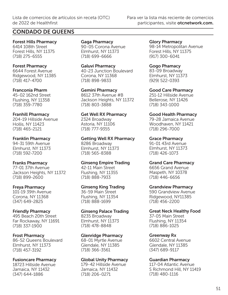## CONDADO DE QUEENS

Forest Hills Pharmacy 6414 108th Street Forest Hills, NY 11375 (718) 275-6555

#### Forest Pharmacy 6644 Forest Avenue Ridgewood, NY 11385 (718) 417-4700

## Franconia Pharm

45-02 162nd Street Flushing, NY 11358 (718) 359-7780

### Franhill Pharmacy

204-19 Hillside Avenue Hollis, NY 11423 (718) 465-2121

### Franklin Pharmacy

94-31 59th Avenue Elmhurst, NY 11373 (718) 592-7200

### Franks Pharmacy

77-01 37th Avenue Jackson Heights, NY 11372 (718) 899-2600

## Freya Pharmacy

101-19 39th Avenue Corona, NY 11368 (347) 649-2825

### Friendly Pharmacy

495 Beach 20th Street Far Rockaway, NY 11691 (718) 337-1900

### Frost Pharmacy

86-52 Queens Boulevard Elmhurst, NY 11373 (718) 457-3192

### Fusioncare Pharmacy

18723 Hillside Avenue Jamaica, NY 11432 (347) 644-1886

Gaga Pharmacy 90-05 Corona Avenue Elmhurst, NY 11373 (718) 699-6666

Galuvi Pharmacy 40-23 Junction Boulevard Corona, NY 11368 (718) 898-9833

Gemini Pharmacy 8612 37th Avenue #B Jackson Heights, NY 11372 (718) 803-3888

## Get Well RX Pharmacy 2324 Broadway

Astoria, NY 11106 (718) 777-9355

#### Getting Well RX Pharmacy 8286 Broadway

Elmhurst, NY 11373 (718) 565-8388

### Ginseng Empire Trading

42-11 Main Street Flushing, NY 11355 (718) 888-7933

## Ginseng King Trading

36-59 Main Street Flushing, NY 11354 (718) 888-1699

## Ginseng Palace Trading

8235 Broadway Elmhurst, NY 11373 (718) 478-8848

### Glenridge Pharmacy

68-01 Myrtle Avenue Glendale, NY 11385 (718) 366-3561

### Global Unity Pharmacy

179-42 Hillside Avenue Jamaica, NY 11432 (718) 206-0271

Glory Pharmacy 98-14 Metropolitan Avenue Forest Hills, NY 11375 (917) 300-6041

Gogo Phamacy 83-09 Broadway Elmhurst, NY 11373 (929) 522-0393

Good Care Pharmacy 251-12 Hillside Avenue Bellerose, NY 11426 (718) 343-1000

## Good Health Pharmacy

79-28 Jamaica Avenue Woodhaven, NY 11421 (718) 296-7000

## Grace Pharmacy

91-01 43rd Avenue Elmhurst, NY 11373 (718) 426-1073

### Grand Care Pharmacy

6656 Grand Avenue Maspeth, NY 10378 (718) 446-6656

### Grandview Pharmacy

590 Grandview Avenue Ridgewood, NY11385 (718) 456-2200

## Great Neck Healthy Food

37-05 Main Street Flushing, NY 11354 (718) 886-1025

## Greenway Rx

6602 Central Avenue Glendale, NY 11385 (347) 689-9117

### Guardian Pharmacy

117-04 Atlantic Avenue S Richmond Hill, NY 11419 (718) 480-1116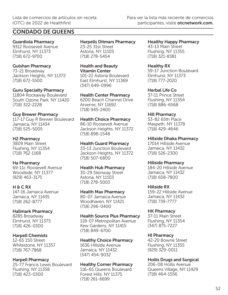## CONDADO DE QUEENS

## Guardiola Pharmacy

9312 Roosevelt Avenue Elmhurst, NY 11373 (718) 672-9700

### Gulshan Pharmacy

73-21 Broadway Jackson Heights, NY 11372 (718) 672-5500

### Guru Specialty Pharmacy

11804 Rockaway Boulevard South Ozone Park, NY 11420 (718) 322-2228

#### Guy Brewer Pharmacy

117-17 Guy R Brewer Boulevard Jamaica, NY 11434 (718) 525-5005

#### H2 Pharmacy

3809 Main Street Flushing, NY 11354 (718) 762-1168

### Ha Pharmacy

69-11c Roosevelt Avenue Woodside, NY 11377 (929) 463-3175

### H & C RX

147-16 Jamaica Avenue Jamaica, NY 11435 (718) 262-8777

### Hallmark Pharmacy

8285 Broadway Elmhurst, NY 11373 (718) 426-0300

### Harpell Chemists

12-65 150 Street Whitestone, NY 11357 (718) 767-7868

### Harpell Pharmacy

25-77 Francis Lewis Boulevard Flushing, NY 11358 (718) 423-0300

#### Harpells Ditmars Pharmacy 23-25 31st Street Astoria, NY 11105 (718) 278-5454

Health and Beauty Vitamin Center

101-22 Astoria Boulevard East Elmhurst, NY 11369 (347) 649-0996

## Health Center Pharmacy

6200 Beach Channel Drive Arverne, NY 11692 (718) 945-2400

#### Health Choice Pharmacy

86-10 Roosevelt Avenue Jackson Heights, NY 11372 (718) 898-1548

#### Health Guard Pharmacy

33-13 Junction Boulevard Jackson Heights, NY 11372 (718) 507-6800

#### Health Hub Pharmacy

30-29 Steinway Street Astoria, NY 11103 (718) 278-5003

#### Health Max Pharmacy

80-07 Jamaica Avenue Woodhaven, NY 11421 (718) 296-0400

#### Health Source Plus Pharmacy

118-07 Metropolitan Avenue Kew Gardens, NY 11415 (718) 849-6700

## Healthy Choice Pharmacy

1636 Hillside Avenue Jamaica, NY 11432 (347) 454-9032

### Healthy Corner Pharmacy

116-65 Queens Boulevard Forest Hills, NY 11375 (718) 261-6699

Healthy Happy Pharmacy 43-13 Main Street Flushing, NY 11355 (718) 321-8381

#### Healthy RX 59-17 Junction Boulevard Elmhurst, NY 11373 (718) 777-2020

Herbal Life Co 37-11 Prince Street Flushing, NY 11354 (718) 886-6568

#### Hill Pharmacy

53-82 65th Place Maspeth, NY 11378 (718) 429-4646

#### Hillside Dhaka Pharmacy

17014 Hillside Avenue Jamaica, NY 11432 (718) 526-2300

### Hillside Pharmacy

184-20 Hillside Avenue Jamaica, NY 11432 (718) 658-7800

### Hillside RX

159-22 Hillside Avenue Jamaica, NY 11432 (718) 739-7777

### HK Pharmacy

37-11 Main Street Flushing, NY 11354 (347) 875-7227

### Hl Pharmacy

42-20 Bowne Street Flushing, NY 11355 (929) 329-0011

### Hollis Drugs and Surgical

206-08 Hollis Avenue Queens Village, NY 11429 (718) 464-1556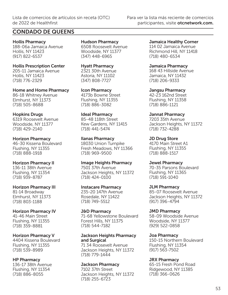## CONDADO DE QUEENS

Hollis Pharmacy 188-06a Jamaica Avenue Hollis, NY 11423 (917) 822-6537

Hollis Prescription Center 205-11 Jamaica Avenue Hollis, NY 11423 (718) 776-2329

Home and Home Pharmacy 86-18 Whitney Avenue Elmhurst, NY 11373 (718) 505-8688

Hopkins Drugs 6319 Roosevelt Avenue Woodside, NY 11377 (718) 429-2140

Horizon Pharmacy 46-30 Kissena Boulevard Flushing, NY 11355 (718) 888-1918

Horizon Pharmacy II 136-11 38th Avenue Flushing, NY 11354 (718) 939-8787

Horizon Pharmacy III 81-14 Broadway Elmhurst, NY 11373

(718) 803-1188 Horizon Pharmacy IV

41-46 Main Street Flushing, NY 11355 (718) 359-8881

Horizon Pharmacy V 4404 Kissena Boulevard Flushing, NY 11355 (718) 539-8989

HP Pharmacy 136-17 38th Avenue Flushing, NY 11354 (718) 886-8055

Hudson Pharmacy 6508 Roosevelt Avenue Woodside, NY 11377 (347) 448-6965

Hyatt Pharmacy 2321 30th Avenue Astoria, NY 11102 (347) 808-7727

Icon Pharmacy 4173b Bowne Street Flushing, NY 11355 (718) 886-3082

Ideal Pharmacy 85-48 118th Street Kew Gardens, NY 11415 (718) 441-5474

Ilanas Pharmacy 18030 Union Turnpike Fresh Meadows, NY 11366 (718) 969-9500

Image Heights Pharmacy 7501 37th Avenue Jackson Heights, NY 11372 (718) 424-0100

Instacare Pharmacy 235-20 147th Avenue Rosedale, NY 11422 (718) 749-5512

J&D Pharmacy 71-68 Yellowstone Boulevard Forest Hills, NY 11375 (718) 544-7182

## Jackson Heights Pharmacy and Surgical

71 34 Roosevelt Avenue Jackson Heights, NY 11372 (718) 779-1444

Jackson Pharmacy

7102 37th Street Jackson Heights, NY 11372 (718) 255-6723

Jamaica Healthy Corner 114 02 Jamaica Avenue Richmond Hill, NY 11418 (718) 480-6534

Jamaica Pharmacy 168 43 Hillside Avenue Jamaica, NY 11432 (718) 206-9333

Jangsu Pharmacy 42-23 162nd Street Flushing, NY 11358 (718) 886-1121

Jannat Pharmacy 7203 35th Avenue Jackson Heights, NY 11372 (718) 732-4288

JD Drug Store 4170 Main Street A1 Flushing, NY 11355 (718) 888-1517

Jewel Pharmacy 70-35 Parsons Boulevard Flushing, NY 11365 (718) 591-1040

JLM Pharmacy 85-07 Roosevelt Avenue Jackson Heights, NY 11372 (917) 396-4794

JMD Pharmacy 58-09 Woodside Avenue Woodside, NY 11377 (929) 522-0858

Joa Pharmacy 150-15 Northern Boulevard Flushing, NY 11354 (917) 563-7502

JRX Pharmacy 65-15 Fresh Pond Road Ridgewood, NY 11385 (718) 366-0626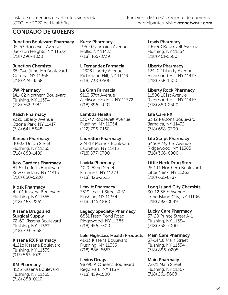## CONDADO DE QUEENS

Junction Boulevard Pharmacy 95-53 Roosevelt Avenue Jackson Heights, NY 11372 (718) 396-4030

Junction Chemists 35-04c Junction Boulevard Corona, NY 11368 (718) 424-4538

JW Pharmacy 141-02 Northern Boulevard Flushing, NY 11354 (718) 762-3784

Kalish Pharmacy 9320 Liberty Avenue Ozone Park, NY 11417 (718) 641-5648

Kaneda Pharmacy 40-32 Union Street Flushing, NY 11355 (718) 888-1489

Kew Gardens Pharmacy 81-57 Lefferts Boulevard Kew Gardens, NY 11415 (718) 850-5220

Kiosk Pharmacy 41-01 Kissena Boulevard Flushing, NY 11355 (718) 463-2261

Kissena Drugs and Surgical Supply 72-63 Kissena Boulevard Flushing, NY 11367

(718) 793-7658

Kissena RX Pharmacy 4121c Kissena Boulevard Flushing, NY 11355 (917) 563-1079

KM Pharmacy 4135 Kissena Boulevard Flushing, NY 11355 (718) 888-0110

Kurtz Pharmacy 195-07 Jamaica Avenue Hollis, NY 11423 (718) 465-8739

L Fernandez Farmacia 12323 Liberty Avenue Richmond Hill, NY 11419 (718) 738-0500

La Gran Farmacia 9110 37th Avenue Jackson Heights, NY 11372 (718) 396-4091

Lambda Health 136-47 Roosevelt Avenue Flushing, NY 11354 (212) 796-2168

Laurelton Pharmacy 224-12 Merrick Boulevard Laurelton, NY 11413 (718) 977-0700

Lavida Pharmacy 4020 82nd Street Elmhurst, NY 11373 (718) 426-2525

Leavitt Pharmacy 3519 Leavitt Street # S1 Flushing, NY 11354 (718) 445-1888

Legacy Specialty Pharmacy 6851 Fresh Pond Road Ridgewood, NY 11385 (718) 456-7300

Lele Highclass Health Products

41-13 Kissena Boulevard Flushing, NY 11355 (718) 886-6657

Levins Drugs 98-90 A Queens Boulevard Rego Park, NY 11374 (718) 459-1500

Lewis Pharmacy 136-98 Roosevelt Avenue Flushing, NY 11354 (718) 461-5500

Liberty Pharmacy 124-02 Liberty Avenue Richmond Hill, NY 11419 (718) 738-1500

Liberty Rock Pharmacy 11806 101st Avenue Richmond Hill, NY 11419 (718) 880-2500

Life Care RX 8342 Parsons Boulevard Jamaica, NY 11432 (718) 658-9300

Life Script Pharmacy 5456A Myrtle Avenue Ridgewood, NY 11385 (718) 366-6900

Little Neck Drug Store 252-11 Northern Boulevard Little Neck, NY 11362 (718) 631-8787

Long Island City Chemists 30-12 36th Avenue Long Island City, NY 11106 (718) 392-8049

Lucky Care Pharmacy 37-20 Prince Street A-1 Flushing, NY 11354 (718) 358-7000

Main Care Pharmacy 37-14/18 Main Street Flushing, NY 11354 (718) 886-0205

Main Pharmacy 72-71 Main Street Flushing, NY 11367 (718) 261-5608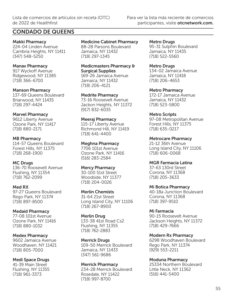## CONDADO DE QUEENS

Makki Pharmacy 224-04 Linden Avenue Cambria Heights, NY 11411 (347) 548-5250

Manav Pharmacy 917 Wyckoff Avenue Ridgewood, NY 11385 (718) 366-6700

Manson Pharmacy 137-69 Queens Boulevard Briarwood, NY 11435 (718) 297-4424

Marvel Pharmacy 9612 Liberty Avenue Ozone Park, NY 11417 (718) 880-2171

MB Pharmacy 114-57 Queens Boulevard Forest Hills, NY 11375 (718) 268-1900

MC Drugs 136-70 Roosevelt Avenue Flushing, NY 11354 (718) 762-2099

Med RX 97-27 Queens Boulevard Rego Park, NY 11374 (718) 897-8500

Medaid Pharmacy 77-08 101st Avenue Ozone Park, NY 11416 (718) 880-1032

Medex Pharmacy 9602 Jamaica Avenue Woodhaven, NY 11421 (718) 805-7000

Medi Space Drugs 41-39 Main Street Flushing, NY 11355 (718) 961-3373

Medicine Cabinet Pharmacy

88-28 Parsons Boulevard Jamaica, NY 11432 (718) 297-1345

Medicmasters Pharmacy & Surgical Supplies 169-26 Jamaica Avenue Jamaica, NY 11432 (718) 206-4121

Medrite Pharmacy 73-16 Roosevelt Avenue Jackon Heights, NY 11372 (917) 832-6035

Meeraj Pharmacy 115-17 Liberty Avenue Richmond Hill, NY 11419 (718) 641-4400

Meghna Pharmacy 7706 101st Avenue Ozone Park, NY 11416 (516) 283-2584

Mercy Pharmacy 30-100 51st Street Woodside, NY 11377 (718) 204-0026

Merlin Chemists 31-64 21st Street Long Island City, NY 11106 (718) 267-8900

Merlin Drug 133-38 41st Road Cs2 Flushing, NY 11355 (718) 762-2883

Merrick Drugs 109-50 Merrick Boulevard Jamaica, NY 11433 (347) 561-9686

Merrick Pharmacy 234-28 Merrick Boulevard Rosedale, NY 11422 (718) 997-8700

Metro Drugs 95-31 Sutphin Boulevard Jamaica, NY 11435 (718) 522-5560

Metro Drugs 134-02 Jamaica Avenue Jamaica, NY 11418 (718) 206-4653

Metro Pharmacy 172-17 Jamaica Avenue Jamaica, NY 11432 (718) 523-5800

Metro Scripts 97-08 Metropolitan Avenue Forest Hills, NY 11375 (718) 635-0217

Metrocare Pharmacy 21-12 36th Avenue Long Island City, NY 11106 (718) 606-0068

MGR Farmacia Latina 37-63 130rd Street Corona, NY 11368 (718) 205-3633

Mi Botica Pharmacy 40-18a Junction Boulevard Corona, NY 11368 (718) 397-9510

Mi Farmacia 90-15 Roosevelt Avenue Jackson Heights, NY 11372 (718) 429-7666

Modern Rx Pharmacy 6298 Woodhaven Boulevard Rego Park, NY 11374 (929) 553-2211

Moduna Pharmacy 25334 Northern Boulevard Little Neck, NY 11362 (516) 441-5400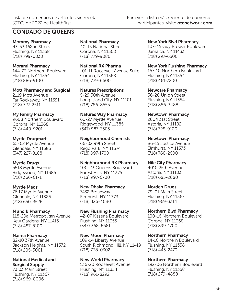## CONDADO DE QUEENS

Mommy Pharmacy 43-53 162nd Street Flushing, NY 11358 (718) 799-0830

Morami Pharmacy 144-73 Northern Boulevard Flushing, NY 11354 (718) 886-9100

Mott Pharmacy and Surgical 2119 Mott Avenue Far Rockaway, NY 11691 (718) 327-2511

#### My Family Pharmacy

9608 Northern Boulevard Corona, NY 11368 (718) 440-9201

#### Myrtle Drugmart

65-62 Myrtle Avenue Glendale, NY 11385 (347) 227-8188

### Myrtle Drugs

5518 Myrtle Avenue Ridgewood, NY 11385 (718) 366-6171

### Myrtle Meds

76 17 Myrtle Avenue Glendale, NY 11385 (718) 650-3526

### N and B Pharmacy

118-29a Metropolitan Avenue Kew Gardens, NY 11415 (718) 487-8100

### Naima Pharmacy

82-10 37th Avenue Jackson Heights, NY 11372 (718) 205-5001

#### National Medical and Surgical Supply

73 03 Main Street Flushing, NY 11367 (718) 969-0006

National Pharmacy 40-15 National Street Corona, NY 11368 (718) 779-9080

National RX Pharma 101-11 Roosevelt Avenue Suite Corona, NY 11368 (718) 779-6600

Natures Prescriptions 5-29 50th Avenue Long Island City, NY 11101 (718) 786-8555

Natures Way Pharmacy 60-27 Myrtle Avenue Ridgewood, NY 11385 (347) 987-3585

## Neighborhood Chemists

66-02 99th Street Rego Park, NY 11374 (718) 997-1700

Neighborhood RX Pharmacy 100-23 Queens Boulevard Forest Hills, NY 11375 (718) 997-6700

### New Dhaka Pharmacy

7432 Broadway Elmhurst, NY 11373 (718) 426-4080

### New Flushing Pharmacy

42-07 Kissena Boulevard Flushing, NY 11355 (347) 368-6681

#### New Moon Pharmacy

109-14 Liberty Avenue South Richmond Hill, NY 11419 (718) 738-0302

## New World Pharmacy

136-20 Roosevelt Avenue Flushing, NY 11354 (718) 961-8292

New York Blvd Pharmacy 107-45 Guy Brewer Boulevard Jamaica, NY 11433 (718) 297-6500

New York Flushing Pharmacy

157-10 Northern Boulevard Flushing, NY 11354 (718) 461-7200

Newcare Pharmacy 36-20 Union Street Flushing, NY 11354 (718) 886-3488

Newtown Pharmacy 2804 31st Street Astoria, NY 11102 (718) 728-9100

Newtown Pharmacy

86-15 Justice Avenue Elmhurst, NY 11373 (718) 760-2600

#### Nile City Pharmacy

4010 25th Avenue Astoria, NY 11103 (718) 685-2880

### Norden Drugs

79-01 Main Street Flushing, NY 11367 (718) 969-3314

### Northern Blvd Pharmacy

100-16 Northern Boulevard Corona, NY 11368 (718) 899-1700

### Northern Pharmacy

14-16 Northern Boulevard Flushing, NY 11358 (718) 445-2470

## Northern Pharmacy

192-06 Northern Boulevard Flushing, NY 11358 (718) 279-4888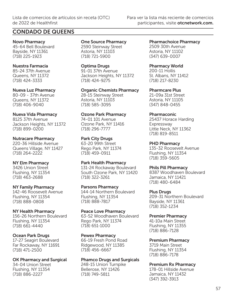## CONDADO DE QUEENS

Novo Pharmacy 45-64 Bell Boulevard Bayside, NY 11361 (718) 225-1923

#### Nuestra Farmacia

85-24 37th Avenue Queens, NY 11372 (718) 424-3333

#### Nueva Luz Pharmacy

80-09 - 37th Avenue Queens, NY 11372 (718) 406-9040

#### Nueva Vida Pharmacy

8125 37th Avenue Jackson Heights, NY 11372 (718) 899-0200

#### Nutracare Pharmacy

220-36 Hillside Avenue Queens Village, NY 11427 (718) 264-2222

#### NY Elm Pharmacy

3426 Union Street Flushing, NY 11354 (718) 463-2688

#### NY Family Pharmacy

142-46 Roosevelt Avenue Flushing, NY 11354 (718) 888-0808

#### NY Health Pharmacy

156-26 Northern Boulevard Flushing, NY 11354 (718) 661-4440

#### Ocean Park Drugs

17-27 Seagirt Boulevard Far Rockaway, NY 11691 (718) 471-2500

OK Pharmacy and Surgical 34-04 Union Street

Flushing, NY 11354 (718) 886-2227

One Source Pharmacy 2590 Steinway Street Astoria, NY 11103 (718) 721-5900

Optima Drugs

91-01 37th Avenue Jackson Heights, NY 11372 (718) 424-9275

Organic Chemists Pharmacy 28-15 Steinway Street Astoria, NY 11103 (718) 585-3095

#### Ozone Park Pharmacy

74-01 101 Avenue Ozone Park, NY 11416 (718) 296-7777

#### Park City Drugs

63-20 99th Street Rego Park, NY 11374 (718) 459-0911

Park Health Pharmacy

131-24 Rockaway Boulevard South Ozone Park, NY 11420 (718) 322-3261

Parsons Pharmacy 144-14 Northern Boulevard

Flushing, NY 11354 (718) 888-7817

Peace Love Pharmacy 63-52 Woodhaven Boulevard Rego Park, NY 11374 (718) 651-1000

#### Pewex Pharmacy

66-19 Fresh Pond Road Ridgewood, NY 11385 (718) 456-6667

#### Phamco Drugs and Surgicals

248-15 Union Turnpike Bellerose, NY 11426 (718) 749-5811

Pharmachoice Pharmacy 2509 30th Avenue Astoria, NY 11102 (347) 639-0007

Pharmacy World

200-11 Hollis St. Albans, NY 11412 (718) 217-8230

Pharmcare Plus

21-09a 31st Street Astoria, NY 11105 (347) 848-0455

#### Pharmaconic

25437 Horace Harding Expressway Little Neck, NY 11362 (718) 819-8511

#### PHD Pharmacy

135-32 Roosevelt Avenue Flushing, NY 11354 (718) 359-5605

#### Phils Pill Pharmacy

8387 Woodhaven Boulevard Jamaica, NY 11421 (718) 480-6484

#### Plus Drugs

209-31 Northern Boulevard Bayside, NY 11361 (718) 352-1234

Premier Pharmacy

41-10a Main Street Flushing, NY 11355 (718) 886-7128

Premium Pharmacy

3719 Main Street Flushing, NY 11354 (718) 886-7178

#### Premium Rx Pharmacy

178-01 Hillside Avenue Jamaica, NY 11432 (347) 392-3913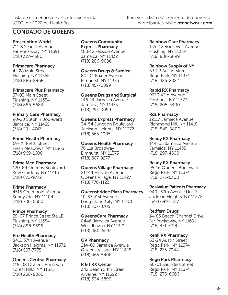## CONDADO DE QUEENS

Prescription World 711 B Seagirt Avenue Far Rockaway, NY 11691

## Primacare Pharmacy

(718) 327-4300

41-28 Main Street Flushing, NY 11355 (718) 886-8968

Primacare Plus Pharmacy

37-03 Main Street Flushing, NY 11354 (718) 886-5683

#### Primary Care Pharmacy

90-20 Sutphin Boulevard Jamaica, NY 11435 (718) 291-4747

#### Prime Health Pharmacy

69-21 164th Street Fresh Meadows, NY 11365 (718) 969-1600

#### Prime Med Pharmacy

120-84 Queens Boulevard Kew Gardens, NY 11415 (718) 872-9772

#### Prime Pharmacy

4515 Greenpoint Avenue Sunnyside, NY 11104 (718) 786-6600

#### Prince Pharmacy

39-07 Prince Street Ste 1E Flushing, NY 11354 (718) 888-9596

#### Pro Health Pharmacy

8412 37th Avenue Jackson Heights, NY 11372 (718) 507-7775

## Queens Central Pharmacy

116-08 Queens Boulevard Forest Hills, NY 11375 (718) 268-8060

#### Queens Community Express Pharmacy 168-12 Hillside Avenue Jamaica, NY 11432

(718) 206-9096

#### Queens Drugs & Surgical

80-04 Baxter Avenue Elmhurst, NY 11373 (718) 457-0099

#### Queens Drugs and Surgical

146-14 Jamaica Avenue Jamaica, NY 11435 (718) 297-0099

#### Queens Express Pharmacy

34-54 Junction Boulevard Jackson Heights, NY 11372 (718) 565-1005

### Queens Health Pharmacy

76 11a Broadway Elmhurst, NY 11373 (718) 507-9277

#### Queens Village Pharmacy

21444 Hillside Avenue Queens Village, NY 11427 (718) 776-1123

#### Queensbridge Plaza Pharmacy

10-37 41st Avenue Long Island City, NY 11101 (718) 707-0705

#### QueensCare Pharmacy

8446 Jamaica Avenue Woodhaven, NY 11421 (718) 480-6597

#### QV Pharmacy

214-09 Jamaica Avenue Queens Village, NY 11428 (718) 465-5400

R & I RX Center 342 Beach 54th Street Arverne, NY 11692 (718) 634-5890

#### Rainbow Care Pharmacy

135-42 Roosevelt Avenue Flushing, NY 11354 (718) 886-5899

#### Rainbow Supply of NY

63-22 Austin Street Rego Park, NY 11374 (718) 326-2822

#### Rapid RX Pharmacy

9330 43rd Avenue Elmhurst, NY 11373 (718) 205-5400

#### Rds Pharmacy

12117 Jamaica Avenue Richmond Hill, NY 11418 (718) 849-9800

#### Ready RX Pharmacy

144-05 Jamaica Avenue Jamaica, NY 11435 (718) 297-4500

#### Ready RX Pharmacy

95-16 Queens Boulevard Rego Park, NY 11374 (718) 275-5300

#### Realvalue Patients Pharmacy

9401 37th Avenue Unit 7 Jackson Heights, NY 11372 (347) 699-1237

#### Redfern Drugs

14-85 Beach Channel Drive Far Rockaway, NY 11691 (718) 471-3090

#### Refill RX Pharmacy

63-24 Austin Street Rego Park, NY 11374 (718) 275-7944

#### Rego Park Pharmacy

66-01 Saunders Street Rego Park, NY 11374 (718) 275-6666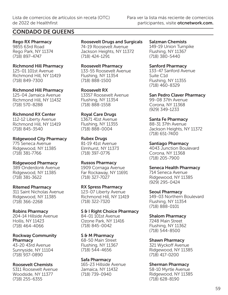## CONDADO DE QUEENS

Rego RX Pharmacy 9855 63rd Road Rego Park, NY 11374 (718) 897-4747

Richmond Hill Pharmacy

125-01 101st Avenue Richmond Hill, NY 11419 (718) 849-7300

Richmond Hill Pharmacy 125-04 Jamaica Avenue Richmond Hill, NY 11432 (718) 570-8288

Richmond RX Center 112-12 Liberty Avenue

Richmond Hill, NY 11419 (718) 845-3540

Ridgewood City Pharmacy 775 Seneca Avenue Ridgewood, NY 11385 (718) 381-7766

Ridgewood Pharmacy 389 Onderdonk Avenue

Ridgewood, NY 11385 (718) 381-3622

Ritemed Pharmacy 311 Saint Nicholas Avenue Ridgewood, NY 11385 (718) 366-2268

Robins Pharmacy 204-14 Hillside Avenue

Hollis, NY 11423 (718) 464-4066

Rockway Community **Pharmacy** 

43-20 43rd Avenue Sunnyside, NY 11104 (718) 937-0890

Roosevelt Chemists

5311 Roosevelt Avenue Woodside, NY 11377 (718) 255-6355

Roosevelt Drugs and Surgicals 74-19 Roosevelt Avenue Jackson Heights, NY 11372 (718) 424-1291

Roosevelt Pharmacy 133-55 Roosevelt Avenue Flushing, NY 11354 (718) 888-1500

Roosevelt RX 13357 Roosevelt Avenue Flushing, NY 11354 (718) 888-1558

Royal Care Drugs 13671 41st Avenue Flushing, NY 11355 (718) 888-0004

Rubex Drugs 81-19 41st Avenue Elmhurst, NY 11373 (718) 397-0776

Russos Pharmacy 1909 Cornaga Avenue Far Rockaway, NY 11691 (718) 327-7027

RX Spress Pharmacy 123-07 Liberty Avenue Richmond Hill, NY 11419 (718) 322-7320

S & I Right Choice Pharmacy 84-01 101st Avenue Ozone Park, NY 11416 (718) 845-0042

S & M Pharmacy 68-50 Main Street Flushing, NY 11367 (718) 544-4656

Safa Pharmacy 165-23 Hillside Avenue Jamaica, NY 11432 (718) 739-0940

Salzman Chemists 149-19 Union Turnpike Flushing, NY 11367 (718) 380-5440

Sanford Pharmacy 133-47 Sanford Avenue

Suite C1d Flushing, NY 11355 (718) 460-8329

San Pedro Claver Pharmacy 99-08 37th Avenue Corona, NY 11368 (929) 349-1233

Santa Fe Pharmacy 88-31 37th Avenue Jackson Heights, NY 11372

(718) 651-7400 Santiago Pharmacy 4043 Junction Boulevard

Corona, NY 11368 (718) 205-7900

Seneca Health Pharmacy

714 Seneca Avenue Ridgewood, NY 11385 (929) 295-0424

Seoul Pharmacy 149-03 Northern Boulevard Flushing, NY 11354 (718) 888-0101

Shalom Pharmacy 7248 Main Street Flushing, NY 11362 (718) 544-8500

Shawn Pharmacy 321 Wyckoff Avenue Ridgewood, NY 11385 (718) 417-0200

Sherman Pharmacy

58-10 Myrtle Avenue Ridgewood, NY 11385 (718) 628-8190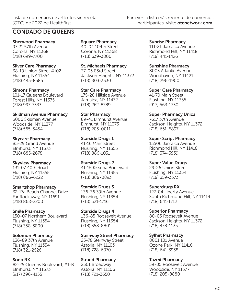## CONDADO DE QUEENS

Sherwood Pharmacy 97 21 57th Avenue Corona, NY 11368 (718) 699-7700

Silver Care Pharmacy 38-19 Union Street #102 Flushing, NY 11354 (718) 445-8585

Simons Pharmacy 101-17 Queens Boulevard Forest Hills, NY 11375 (718) 997-7333

Skillman Avenue Pharmacy 5006 Skillman Avenue Woodside, NY 11377 (718) 565-5454

Skycare Pharmacy 85-29 Grand Avenue Elmhurst, NY 11373 (718) 685-2678

Skyview Pharmacy 131-07 40th Road Flushing, NY 11355 (718) 886-6222

Smartshop Pharmacy 32-17a Beach Channel Drive Far Rockaway, NY 11691 (718) 868-2200

Smile Pharmacy 150-07 Northern Boulevard Flushing, NY 11354 (718) 358-3800

Solomon Pharmacy 136-89 37th Avenue Flushing, NY 11354 (718) 321-2526

Sono RX 82-25 Queens Boulevard, #1-B Elmhurst, NY 11373 (917) 396-4155

Square Pharmacy 40-04 104th Street Corona, NY 11368 (718) 639-3800

St. Michaels Pharmacy 37-05 83rd Street Jackson Heights, NY 11372 (718) 803-3330

Star Care Pharmacy 175-20 Hillside Avenue Jamaica, NY 11432 (718) 262-8789

Star Pharmacy 89-41 Elmhurst Avenue Elmhurst, NY 11373 (718) 205-0011

Starside Drugs 1 41-16 Main Street Flushing, NY 11355 (718) 886-1031

Starside Drugs 2 41-15 Kissena Boulevard Flushing, NY 11355 (718) 888-0893

Starside Drugs 3 136-36 39th Avenue Flushing, NY 11354 (718) 321-1716

Starside Drugs 4 136-85 Roosevelt Avenue Flushing, NY 11354 (718) 358-8801

Steinway Street Pharmacy

25-78 Steinway Street Astoria, NY 11103 (718) 728-6070

Strand Pharmacy 2501 Broadway Astoria, NY 11106 (718) 721-3650

Sunrise Pharmacy 111-21 Jamaica Avenue Richmond Hill, NY 11418 (718) 441-1426

Sunshine Pharmacy 8003 Atlantic Avenue Woodhaven, NY 11421 (718) 296-1900

Super Care Pharmacy 41-70 Main Street Flushing, NY 11355 (917) 563-1730

Super Pharmacy Unica 7617 37th Avenue Jackson Heights, NY 11372 (718) 651-6897

Super Script Pharmacy 13506 Jamaica Avenue Richmond Hill, NY 11418 (718) 374-3939

Super Value Drugs 29-26 Union Street Flushing, NY 11354 (718) 359-3373

Superdrugs RX 127-04 Liberty Avenue South Richmond Hill, NY 11419 (718) 641-1712

Superior Pharmacy 80-05 Roosevelt Avenue Jackson Heights, NY 11372 (718) 478-1135

Sylhet Pharmacy 8001 101 Avenue Ozone Park, NY 11416 (718) 641-3938

Tazmi Pharmacy 59-05 Roosevelt Avenue Woodside, NY 11377 (718) 205-8880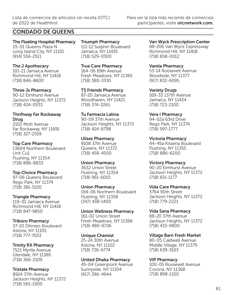## CONDADO DE QUEENS

The Floating Hospital Pharmacy 25-01 Queens Plaza N Long Island City, NY 11101 (914) 556-2511

The J Apothecary 101-21 Jamaica Avenue Richmond Hill, NY 11418 (718) 846-8600

Three Js Pharmacy 90-12 Elmhurst Avenue

Jackson Heights, NY 11372 (718) 424-0533

#### Thriftway Far Rockaway Drug

2102 Mott Avenue Far Rockaway, NY 11691 (718) 327-2559

### Top Care Pharmacy

13604 Northern Boulevard Unit Cu1 Flushing, NY 11354 (718) 886-8833

### Top Choice Pharmacy

97-06 Queens Boulevard Rego Park, NY 11374 (718) 381-5100

### Triangle Pharmacy

119-01 Jamaica Avenue Richmond Hill, NY 11418 (718) 847-9850

### Triboro Pharmacy

37-20 Ditmars Boulevard Astoria, NY 11105 (718) 777-7033

### Trinity RX Pharmacy

7521 Myrtle Avenue Glendale, NY 11385 (718) 366-2109

Tristate Pharmacy

8924 37th Avenue Jackson Heights, NY 11372 (718) 565-1900

Triumph Pharmacy 111-12 Sutphin Boulevard Jamaica, NY 11435 (718) 529-0300

True Care Pharmacy 164-06 69th Avenue Fresh Meadows, NY 11365 (718) 380-3330

TS Friends Pharmacy 87-20 Jamaica Avenue Woodhaven, NY 11421 (718) 374-3265

Tu Farmacia Latina 90-09 37th Avenue Jackson Heights, NY 11372 (718) 424-8798

Ulises Pharmacy 9108 37th Avenue Queens, NY 11372 (718) 458-4500

Union Pharmacy 3632 Union Street Flushing, NY 11354 (718) 961-6010

Union Pharmacy 194-06 Northern Boulevard Flushing, NY 11358 (347) 438-1400

Union Wellness Pharmacy 161-02 Union Street Fresh Meadows, NY 11366 (718) 480-6726

### Unique Chemist

25-24 30th Avenue Astoria, NY 11102 (718) 726-6774

### United Dhaka Pharmacy

45-04 Greenpoint Avenue Sunnyside, NY 11104 (917) 396-4944

Van Wyck Prescription Center 88-20b Van Wyck Expressway Richmond Hill, NY 11418 (718) 658-0012

Varela Pharmacy 53-14 Roosevelt Avenue Woodside, NY 11377 (917) 832-6095

Variety Drugs 169-33 137th Avenue Jamaica, NY 11434 (718) 723-2100

Vera I Pharmacy

94-02a 63rd Drive Rego Park, NY 11374 (718) 997-1777

Victoria Pharmacy 44-45a Kissena Boulevard Flushing, NY 11355 (718) 886-6200

Victory Pharmacy 90-20 Elmhurst Avenue Jackson Heights, NY 11372 (718) 651-1177

Vida Care Pharmacy 3764 90th Street Jackson Heights, NY 11372 (718) 779-2221

Vida Sana Pharmacy 88-20 37th Avenue Jackson Heights, NY 11372 (718) 433-9800

Village Barn Fresh Market

80-05 Caldwell Avenue Middle Village, NY 11379 (718) 639-3103

### VIP Pharmacy

100-05 Roosevelt Avenue Corona, NY 11368 (718) 898-1100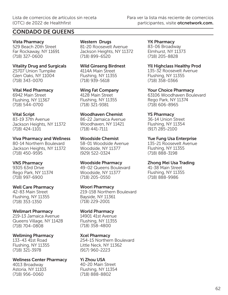## CONDADO DE QUEENS

Vista Pharmacy 529 Beach 20th Street Far Rockaway, NY 11691 (718) 327-0600

Vitality Drug and Surgicals 25707 Union Turnpike Glen Oaks, NY 11004 (718) 343-0070

Vital Med Pharmacy 6942 Main Street Flushing, NY 11367 (718) 544-0700

## Vital Script 83-19 37th Avenue

Jackson Heights, NY 11372 (718) 424-1101

Viva Pharmacy and Wellness 80-14 Northern Boulevard Jackson Heights, NY 11372 (718) 450-9595

### VNS Pharmacy

9305 63rd Drive Rego Park, NY 11374 (718) 997-6900

Well Care Pharmacy

42-83 Main Street Flushing, NY 11355 (718) 353-1350

### Wellmart Pharmacy

219-13 Jamaica Avenue Queens Village, NY 11428 (718) 704-0808

Wellming Pharmacy

133-43 41st Road Flushing, NY 11355 (718) 321-3978

Wellness Center Pharmacy 4013 Broadway Astoria, NY 11103 (718) 956-0060

Western Drugs 81-20 Roosevelt Avenue Jackson Heights, NY 11372 (718) 899-6520

Wild Ginseng Birdnest 4114A Main Street Flushing, NY 11355 (718) 939-5618

Wing Fat Company 4128 Main Street Flushing, NY 11355 (718) 321-9381

Woodhaven Chemist

86-22 Jamaica Avenue Woodhaven, NY 11421 (718) 441-7111

Woodside Chemist 58-01 Woodside Avenue Woodside, NY 11377 (929) 522-0324

Woodside Pharmacy 49-02 Queens Boulevard Woodside, NY 11377 (718) 205-0550

Woori Pharmacy 219-15B Northern Boulevard Bayside, NY 11361 (718) 229-2001

World Pharmacy

14901 41st Avenue Flushing, NY 11355 (718) 358-4800

## Xcel Pharmacy

254-15 Northern Boulevard Little Neck, NY 11362 (917) 960-2223

Yi Zhou USA 40-20 Main Street Flushing, NY 11354 (718) 888-8802

YK Pharmacy 83-06 Broadway Elmhurst, NY 11373 (718) 205-8828

Yll Highclass Healthy Prod 135-32 Roosevelt Avenue Flushing, NY 11355

(718) 358-0366 Your Choice Pharmacy

63106 Woodhaven Boulevard Rego Park, NY 11374 (718) 606-8965

## YS Pharmacy

36-14 Union Street Flushing, NY 11354 (917) 285-2100

Yue Fung Usa Enterprise

135-21 Roosevelt Avenue Flushing, NY 11355 (718) 888-3198

## Zhong Mei Usa Trading

41-38 Main Street Flushing, NY 11355 (718) 888-9986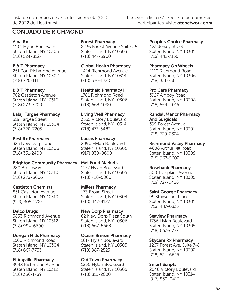## CONDADO DE RICHMOND

#### Alba Rx

1194 Hylan Boulevard Staten Island, NY 10305 (718) 524-8127

### B & T Pharmacy

251 Port Richmond Avenue Staten Island, NY 10302 (718) 720-1111

### B & T Pharmacy

702 Castleton Avenue Staten Island, NY 10310 (718) 273-7200

### Balaji Targee Pharmacy

519 Targee Street Staten Island, NY 10304 (718) 720-7205

## Best Rx Pharmacy

325 New Dorp Lane Staten Island, NY 10306 (718) 351-2400

Brighton Community Pharmacy 280 Broadway Staten Island, NY 10310 (718) 273-6606

### Castleton Chemists

831 Castleton Avenue Staten Island, NY 10310 (929) 308-2727

## Delco Drugs

3833 Richmond Avenue Staten Island, NY 10312 (718) 984-6600

## Dongan Hills Pharmacy

1560 Richmond Road Staten Island, NY 10304 (718) 667-7733

### Eltingville Pharmacy

3948 Richmond Avenue Staten Island, NY 10312 (718) 356-1789

## Forest Pharmacy

2236 Forest Avenue Suite #5 Staten Island, NY 10303 (718) 447-5900

## Global Health Pharmacy

1424 Richmond Avenue Staten Island, NY 10314 (718) 370-1220

## Healthaid Pharmacy Ii 1781 Richmond Road

Staten Island, NY 10306 (718) 668-1090

## Living Well Pharmacy

3555 Victory Boulevard Staten Island, NY 10314 (718) 477-5483

## Lucias Pharmacy

2090 Hylan Boulevard Staten Island, NY 10306 (917) 830-0600

#### Met Food Markets 1177 Hylan Boulevard Staten Island, NY 10305 (718) 720-5800

### Millers Pharmacy

173 Broad Street Staten Island, NY 10304 (718) 447-4127

## New Dorp Pharmacy

62 New Dorp Plaza South Staten Island, NY 10306 (718) 667-6668

### Ocean Breeze Pharmacy

1817 Hylan Boulevard Staten Island, NY 10305 (718) 987-2525

## Old Town Pharmacy

1250 Hylan Boulevard Staten Island, NY 10305 (718) 815-2600

## People's Choice Pharmacy

423 Jersey Street Staten Island, NY 10301 (718) 442-7150

### Pharmacy On Wheels

2110 Richmond Road Staten Island, NY 10306 (718) 351-7363

## Pro Care Pharmacy

3927 Amboy Road Staten Island, NY 10308 (718) 554-4016

#### Randall Manor Pharmacy And Surgicals

395 Forest Avenue Staten Island, NY 10301 (718) 720-2324

## Richmond Valley Pharmacy

4888 Arthur Kill Road Staten Island, NY 10309 (718) 967-9607

### Rosebank Pharmacy

500 Tompkins Avenue Staten Island, NY 10305 (718) 727-0426

### Saint George Pharmacy

99 Stuyvesant Place Staten Island, NY 10301 (718) 447-0333

## Seaview Pharmacy

1756 Hylan Boulevard Staten Island, NY 10305 (718) 667-6777

## Skycare Rx Pharmacy

1267 Forest Ave, Suite 7-8 Staten Island, NY 10302 (718) 524-6625

### Smart Scripts

2048 Victory Boulevard Staten Island, NY 10314 (917) 830-0413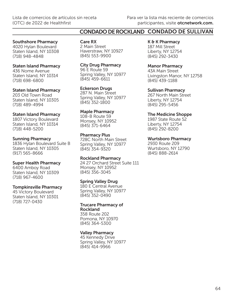## CONDADO DE ROCKLAND CONDADO DE SULLIVAN

#### Southshore Pharmacy

4020 Hylan Boulevard Staten Island, NY 10308 (718) 948-4848

#### Staten Island Pharmacy

436 Nome Avenue Staten Island, NY 10314 (718) 698-6800

#### Staten Island Pharmacy

203 Old Town Road Staten Island, NY 10305 (718) 489-4994

#### Staten Island Pharmacy

1807 Victory Boulevard Staten Island, NY 10314 (718) 448-5200

#### Sunning Pharmacy

1836 Hylan Boulevard Suite B Staten Island, NY 10305 (917) 565-8666

#### Super Health Pharmacy

6400 Amboy Road Staten Island, NY 10309 (718) 967-4600

#### Tompkinsville Pharmacy

45 Victory Boulevard Staten Island, NY 10301 (718) 727-0430

Care RX 2 Main Street Haverstraw, NY 10927 (845) 553-9900

City Drug Pharmacy 96 E Route 59 Spring Valley, NY 10977 (845) 459-6611

#### Eckerson Drugs 287 N. Main Street Spring Valley, NY 10977

(845) 352-1800 Maple Pharmacy

108-B Route 59 Monsey, NY 10952 (845) 371-6464

#### Pharmacy Plus

728C North Main Street Spring Valley, NY 10977 (845) 354-9320

#### Rockland Pharmacy

24 27 Orchard Street Suite 111 Monsey, NY 10952 (845) 356-3045

#### Spring Valley Drug

180 E Central Avenue Spring Valley, NY 10977 (845) 352-0490

#### Trucare Pharmacy of Rockland

358 Route 202 Pomona, NY 10970 (845) 364-5300

#### Valley Pharmacy

45 Kennedy Drive Spring Valley, NY 10977 (845) 414-9966

K & K Pharmacy 187 Mill Street Liberty, NY 12754 (845) 292-3430

Manor Pharmacy 43A Main Street Livingston Manor, NY 12758 (845) 439-1188

Sullivan Pharmacy 267 North Main Street Liberty, NY 12754 (845) 295-5456

The Medicine Shoppe 1987 State Route 52 Liberty, NY 12754 (845) 292-8200

Wurtsboro Pharmacy 2930 Route 209 Wurtsboro, NY 12790 (845) 888-2614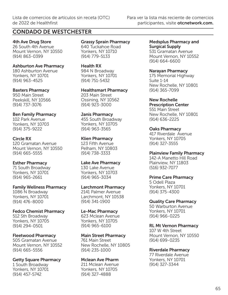## CONDADO DE WESTCHESTER

4th Ave Drug Store 26 South 4th Avenue Mount Vernon, NY 10550 (914) 863-0399

Ashburton Ave Pharmacy 180 Ashburton Avenue Yonkers, NY 10701 (914) 963-4525

### Baxters Pharmacy

950 Main Street Peekskill, NY 10566 (914) 737-3076

#### Ben Family Pharmacy

102 Park Avenue Yonkers, NY 10703 (914) 375-9222

#### Circle RX

120 Gramatan Avenue Mount Vernon, NY 10550 (914) 665-5555

### Esther Pharmacy

71 South Broadway Yonkers, NY 10701 (914) 965-2661

#### Family Wellness Pharmacy

1086 N Broadway Yonkers, NY 10701 (914) 476-8000

### Fedco Chemist Pharmacy

512 Sth Broadway Yonkers, NY 10705 (914) 294-0501

### Fleetwood Pharmacy

505 Gramatan Avenue Mount Vernon, NY 10552 (914) 665-5556

### Getty Square Pharmacy

1 South Broadway Yonkers, NY 10701 (914) 457-5742

Grassy Sprain Pharmacy 640 Tuckahoe Road Yonkers, NY 10710 (914) 779-5133

Health RX 984 N Broadway Yonkers, NY 10701 (914) 751-5432

Healthsmart Pharmacy 203 Main Street Ossining, NY 10562

(914) 923-3000 Janis Pharmacy

455 South Broadway Yonkers, NY 10705 (914) 963-3565

### Klien Pharmacy

123 Fifth Avenue Pelham, NY 10803 (914) 738-3333

### Lake Ave Pharmacy

130 Lake Avenue Yonkers, NY 10703 (914) 965-3034

### Larchmont Pharmacy

2141 Palmer Avenue Larchmont, NY 10538 (914) 341-1900

### Le-Mac Pharmacy

623 Mclean Avenue Yonkers, NY 10705 (914) 965-6100

### Main Street Pharmacy

761 Main Street New Rochelle, NY 10805 (914) 235-1000

## Mclean Ave Pharm

211 Mclean Avenue Yonkers, NY 10705 (914) 327-4888

## Medsplus Pharmacy and Surgical Supply

531 Gramatan Avenue Mount Vernon, NY 10552 (914) 664-6600

#### Narayan Pharmacy

175 Memorial Highway Suite 1-14 New Rochelle, NY 10801 (914) 365-7099

### New Rochelle

Prescription Center 551 Main Street New Rochelle, NY 10801 (914) 636-2225

#### Oaks Pharmacy

417 Riverdale Avenue Yonkers, NY 10705 (914) 327-3555

### Plainview Family Pharmacy

142-A Manetto Hill Road Plainview, NY 11803 (516) 932-7077

### Prime Care Pharmacy

5 Odell Plaza Yonkers, NY 10701 (914) 375-4300

### Quality Care Pharmacy

50 Warburton Avenue Yonkers, NY 10701 (914) 966-0225

### RL Mt Vernon Pharmacy

107 W 4th Street Mount Vernon, NY 10550 (914) 699-0235

### Riverdale Pharmacy

77 Riverdale Avenue Yonkers, NY 10701 (914) 327-3344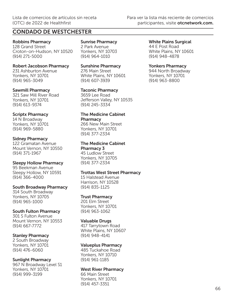## CONDADO DE WESTCHESTER

Robbins Pharmacy 128 Grand Street Croton-on-Hudson, NY 10520 (914) 271-5000

Robert Jacobson Pharmacy 231 Ashburton Avenue Yonkers, NY 10701 (914) 965-3049

#### Sawmill Pharmacy 321 Saw Mill River Road Yonkers, NY 10701 (914) 613-9374

### Scriptx Pharmacy

14 N Broadway Yonkers, NY 10701 (914) 969-5880

#### Sidney Pharmacy

122 Gramatan Avenue Mount Vernon, NY 10550 (914) 371-1967

#### Sleepy Hollow Pharmacy

95 Beekman Avenue Sleepy Hollow, NY 10591 (914) 366-4000

### South Broadway Pharmacy

314 South Broadway Yonkers, NY 10705 (914) 965-1000

### South Fulton Pharmacy

301 S Fulton Avenue Mount Vernon, NY 10553 (914) 667-7772

### Stanley Pharmacy

2 South Broadway Yonkers, NY 10701 (914) 476-6060

### Sunlight Pharmacy

967 N Broadway Level S1 Yonkers, NY 10701 (914) 999-3199

#### Sunrise Pharmacy 2 Park Avenue Yonkers, NY 10703 (914) 964-1010

Sunshine Pharmacy 276 Main Street White Plains, NY 10601 (914) 607-3939

Taconic Pharmacy 3659 Lee Road Jefferson Valley, NY 10535 (914) 245-3334

#### The Medicine Cabinet **Pharmacy**

266 New Main Street Yonkers, NY 10701 (914) 377-2334

## The Medicine Cabinet

Pharmacy 3 45 Ludlow Street Yonkers, NY 10705 (914) 377-2334

## Trottas West Street Pharmacy

15 Halstead Avenue Harrison, NY 10528 (914) 835-1125

## Trust Pharmacy

201 Elm Street Yonkers, NY 10701 (914) 963-1062

### Valuable Drugs

417 Tarrytown Road White Plains, NY 10607 (914) 948-4141

### Valueplus Pharmacy

485 Tuckahoe Road Yonkers, NY 10710 (914) 961-1185

### West River Pharmacy

66 Main Street Yonkers, NY 10701 (914) 457-3351

White Plains Surgical 44 E Post Road White Plains, NY 10601 (914) 948-4878

## Yonkers Pharmacy

944 North Broadway Yonkers, NY 10701 (914) 963-8800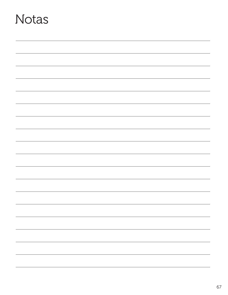# Notas